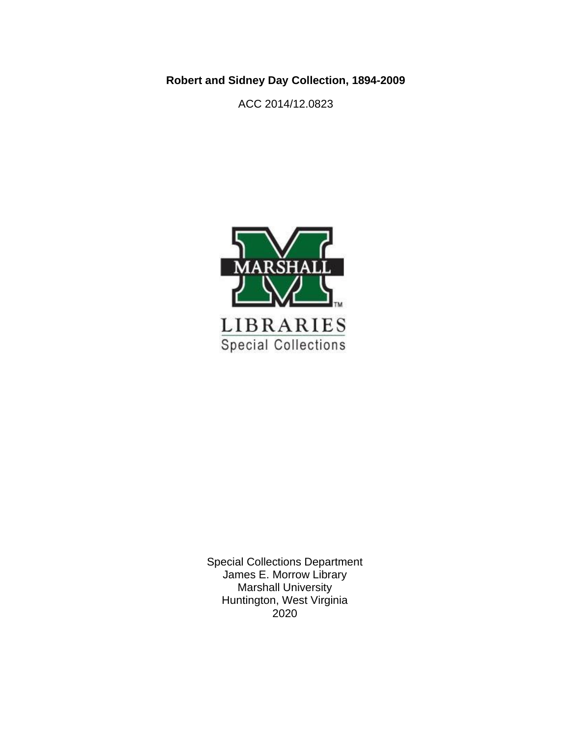**Robert and Sidney Day Collection, 1894-2009**

ACC 2014/12.0823



Special Collections Department James E. Morrow Library Marshall University Huntington, West Virginia 2020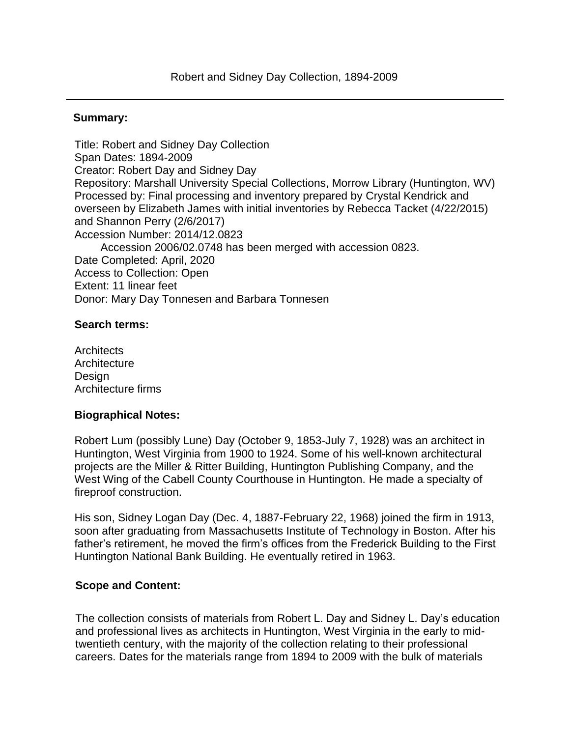### **Summary:**

Title: Robert and Sidney Day Collection Span Dates: 1894-2009 Creator: Robert Day and Sidney Day Repository: Marshall University Special Collections, Morrow Library (Huntington, WV) Processed by: Final processing and inventory prepared by Crystal Kendrick and overseen by Elizabeth James with initial inventories by Rebecca Tacket (4/22/2015) and Shannon Perry (2/6/2017) Accession Number: 2014/12.0823 Accession 2006/02.0748 has been merged with accession 0823. Date Completed: April, 2020 Access to Collection: Open Extent: 11 linear feet Donor: Mary Day Tonnesen and Barbara Tonnesen

### **Search terms:**

**Architects Architecture** Design Architecture firms

#### **Biographical Notes:**

Robert Lum (possibly Lune) Day (October 9, 1853-July 7, 1928) was an architect in Huntington, West Virginia from 1900 to 1924. Some of his well-known architectural projects are the Miller & Ritter Building, Huntington Publishing Company, and the West Wing of the Cabell County Courthouse in Huntington. He made a specialty of fireproof construction.

His son, Sidney Logan Day (Dec. 4, 1887-February 22, 1968) joined the firm in 1913, soon after graduating from Massachusetts Institute of Technology in Boston. After his father's retirement, he moved the firm's offices from the Frederick Building to the First Huntington National Bank Building. He eventually retired in 1963.

## **Scope and Content:**

The collection consists of materials from Robert L. Day and Sidney L. Day's education and professional lives as architects in Huntington, West Virginia in the early to midtwentieth century, with the majority of the collection relating to their professional careers. Dates for the materials range from 1894 to 2009 with the bulk of materials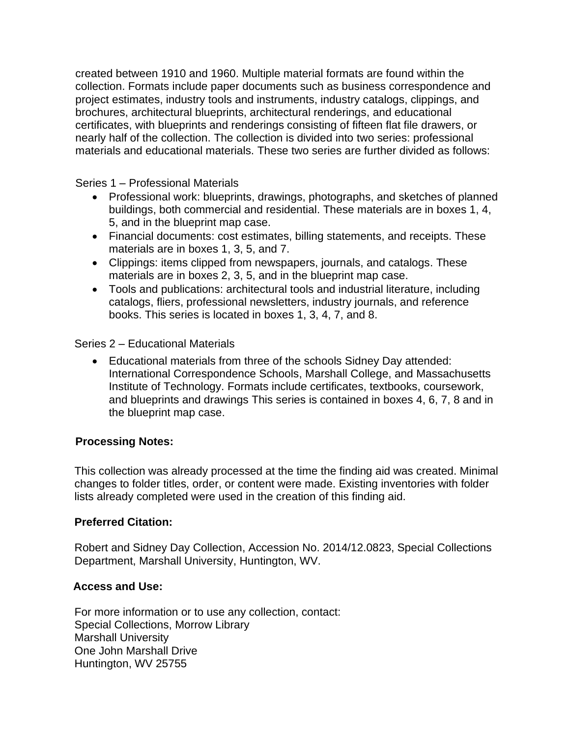created between 1910 and 1960. Multiple material formats are found within the collection. Formats include paper documents such as business correspondence and project estimates, industry tools and instruments, industry catalogs, clippings, and brochures, architectural blueprints, architectural renderings, and educational certificates, with blueprints and renderings consisting of fifteen flat file drawers, or nearly half of the collection. The collection is divided into two series: professional materials and educational materials. These two series are further divided as follows:

Series 1 – Professional Materials

- Professional work: blueprints, drawings, photographs, and sketches of planned buildings, both commercial and residential. These materials are in boxes 1, 4, 5, and in the blueprint map case.
- Financial documents: cost estimates, billing statements, and receipts. These materials are in boxes 1, 3, 5, and 7.
- Clippings: items clipped from newspapers, journals, and catalogs. These materials are in boxes 2, 3, 5, and in the blueprint map case.
- Tools and publications: architectural tools and industrial literature, including catalogs, fliers, professional newsletters, industry journals, and reference books. This series is located in boxes 1, 3, 4, 7, and 8.

Series 2 – Educational Materials

• Educational materials from three of the schools Sidney Day attended: International Correspondence Schools, Marshall College, and Massachusetts Institute of Technology. Formats include certificates, textbooks, coursework, and blueprints and drawings This series is contained in boxes 4, 6, 7, 8 and in the blueprint map case.

## **Processing Notes:**

This collection was already processed at the time the finding aid was created. Minimal changes to folder titles, order, or content were made. Existing inventories with folder lists already completed were used in the creation of this finding aid.

## **Preferred Citation:**

Robert and Sidney Day Collection, Accession No. 2014/12.0823, Special Collections Department, Marshall University, Huntington, WV.

## **Access and Use:**

For more information or to use any collection, contact: Special Collections, Morrow Library Marshall University One John Marshall Drive Huntington, WV 25755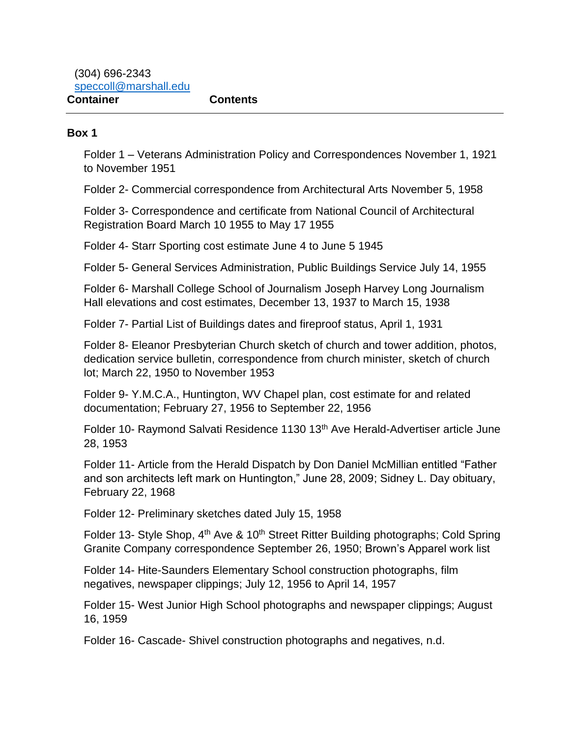(304) 696-2343 [speccoll@marshall.edu](mailto:speccoll@marshall.edu) **Container Contents**

#### **Box 1**

Folder 1 – Veterans Administration Policy and Correspondences November 1, 1921 to November 1951

Folder 2- Commercial correspondence from Architectural Arts November 5, 1958

Folder 3- Correspondence and certificate from National Council of Architectural Registration Board March 10 1955 to May 17 1955

Folder 4- Starr Sporting cost estimate June 4 to June 5 1945

Folder 5- General Services Administration, Public Buildings Service July 14, 1955

Folder 6- Marshall College School of Journalism Joseph Harvey Long Journalism Hall elevations and cost estimates, December 13, 1937 to March 15, 1938

Folder 7- Partial List of Buildings dates and fireproof status, April 1, 1931

Folder 8- Eleanor Presbyterian Church sketch of church and tower addition, photos, dedication service bulletin, correspondence from church minister, sketch of church lot; March 22, 1950 to November 1953

Folder 9- Y.M.C.A., Huntington, WV Chapel plan, cost estimate for and related documentation; February 27, 1956 to September 22, 1956

Folder 10- Raymond Salvati Residence 1130 13<sup>th</sup> Ave Herald-Advertiser article June 28, 1953

Folder 11- Article from the Herald Dispatch by Don Daniel McMillian entitled "Father and son architects left mark on Huntington," June 28, 2009; Sidney L. Day obituary, February 22, 1968

Folder 12- Preliminary sketches dated July 15, 1958

Folder 13- Style Shop, 4<sup>th</sup> Ave & 10<sup>th</sup> Street Ritter Building photographs; Cold Spring Granite Company correspondence September 26, 1950; Brown's Apparel work list

Folder 14- Hite-Saunders Elementary School construction photographs, film negatives, newspaper clippings; July 12, 1956 to April 14, 1957

Folder 15- West Junior High School photographs and newspaper clippings; August 16, 1959

Folder 16- Cascade- Shivel construction photographs and negatives, n.d.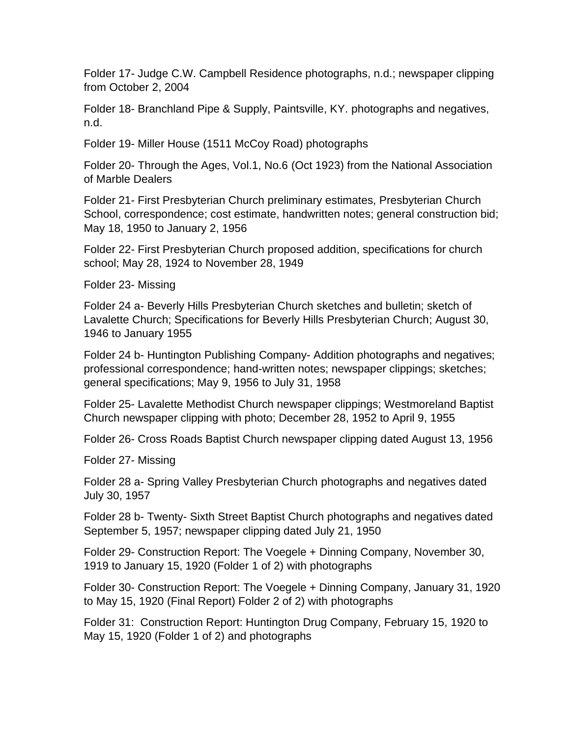Folder 17- Judge C.W. Campbell Residence photographs, n.d.; newspaper clipping from October 2, 2004

Folder 18- Branchland Pipe & Supply, Paintsville, KY. photographs and negatives, n.d.

Folder 19- Miller House (1511 McCoy Road) photographs

Folder 20- Through the Ages, Vol.1, No.6 (Oct 1923) from the National Association of Marble Dealers

Folder 21- First Presbyterian Church preliminary estimates, Presbyterian Church School, correspondence; cost estimate, handwritten notes; general construction bid; May 18, 1950 to January 2, 1956

Folder 22- First Presbyterian Church proposed addition, specifications for church school; May 28, 1924 to November 28, 1949

Folder 23- Missing

Folder 24 a- Beverly Hills Presbyterian Church sketches and bulletin; sketch of Lavalette Church; Specifications for Beverly Hills Presbyterian Church; August 30, 1946 to January 1955

Folder 24 b- Huntington Publishing Company- Addition photographs and negatives; professional correspondence; hand-written notes; newspaper clippings; sketches; general specifications; May 9, 1956 to July 31, 1958

Folder 25- Lavalette Methodist Church newspaper clippings; Westmoreland Baptist Church newspaper clipping with photo; December 28, 1952 to April 9, 1955

Folder 26- Cross Roads Baptist Church newspaper clipping dated August 13, 1956

Folder 27- Missing

Folder 28 a- Spring Valley Presbyterian Church photographs and negatives dated July 30, 1957

Folder 28 b- Twenty- Sixth Street Baptist Church photographs and negatives dated September 5, 1957; newspaper clipping dated July 21, 1950

Folder 29- Construction Report: The Voegele + Dinning Company, November 30, 1919 to January 15, 1920 (Folder 1 of 2) with photographs

Folder 30- Construction Report: The Voegele + Dinning Company, January 31, 1920 to May 15, 1920 (Final Report) Folder 2 of 2) with photographs

Folder 31: Construction Report: Huntington Drug Company, February 15, 1920 to May 15, 1920 (Folder 1 of 2) and photographs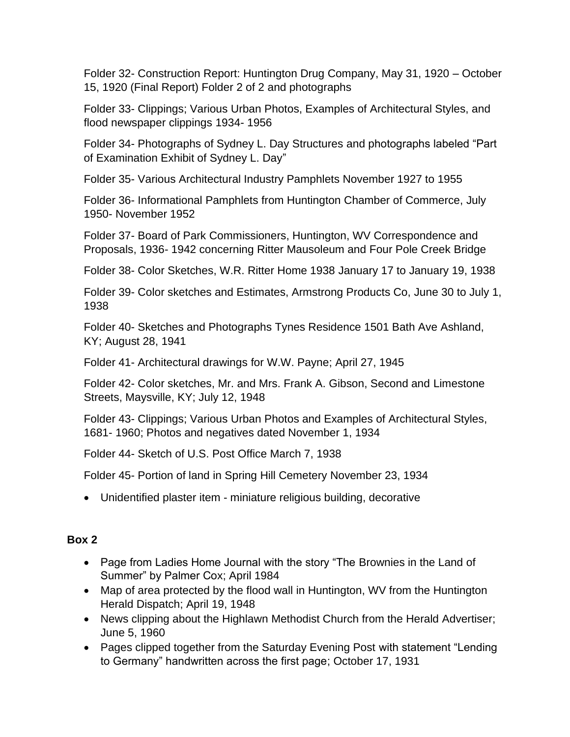Folder 32- Construction Report: Huntington Drug Company, May 31, 1920 – October 15, 1920 (Final Report) Folder 2 of 2 and photographs

Folder 33- Clippings; Various Urban Photos, Examples of Architectural Styles, and flood newspaper clippings 1934- 1956

Folder 34- Photographs of Sydney L. Day Structures and photographs labeled "Part of Examination Exhibit of Sydney L. Day"

Folder 35- Various Architectural Industry Pamphlets November 1927 to 1955

Folder 36- Informational Pamphlets from Huntington Chamber of Commerce, July 1950- November 1952

Folder 37- Board of Park Commissioners, Huntington, WV Correspondence and Proposals, 1936- 1942 concerning Ritter Mausoleum and Four Pole Creek Bridge

Folder 38- Color Sketches, W.R. Ritter Home 1938 January 17 to January 19, 1938

Folder 39- Color sketches and Estimates, Armstrong Products Co, June 30 to July 1, 1938

Folder 40- Sketches and Photographs Tynes Residence 1501 Bath Ave Ashland, KY; August 28, 1941

Folder 41- Architectural drawings for W.W. Payne; April 27, 1945

Folder 42- Color sketches, Mr. and Mrs. Frank A. Gibson, Second and Limestone Streets, Maysville, KY; July 12, 1948

Folder 43- Clippings; Various Urban Photos and Examples of Architectural Styles, 1681- 1960; Photos and negatives dated November 1, 1934

Folder 44- Sketch of U.S. Post Office March 7, 1938

Folder 45- Portion of land in Spring Hill Cemetery November 23, 1934

• Unidentified plaster item - miniature religious building, decorative

# **Box 2**

- Page from Ladies Home Journal with the story "The Brownies in the Land of Summer" by Palmer Cox; April 1984
- Map of area protected by the flood wall in Huntington, WV from the Huntington Herald Dispatch; April 19, 1948
- News clipping about the Highlawn Methodist Church from the Herald Advertiser; June 5, 1960
- Pages clipped together from the Saturday Evening Post with statement "Lending to Germany" handwritten across the first page; October 17, 1931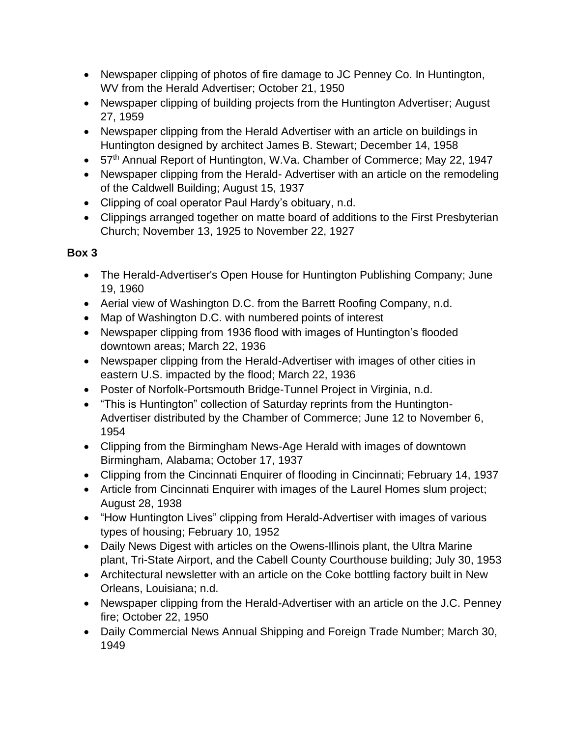- Newspaper clipping of photos of fire damage to JC Penney Co. In Huntington, WV from the Herald Advertiser; October 21, 1950
- Newspaper clipping of building projects from the Huntington Advertiser; August 27, 1959
- Newspaper clipping from the Herald Advertiser with an article on buildings in Huntington designed by architect James B. Stewart; December 14, 1958
- 57<sup>th</sup> Annual Report of Huntington, W.Va. Chamber of Commerce; May 22, 1947
- Newspaper clipping from the Herald-Advertiser with an article on the remodeling of the Caldwell Building; August 15, 1937
- Clipping of coal operator Paul Hardy's obituary, n.d.
- Clippings arranged together on matte board of additions to the First Presbyterian Church; November 13, 1925 to November 22, 1927

## **Box 3**

- The Herald-Advertiser's Open House for Huntington Publishing Company; June 19, 1960
- Aerial view of Washington D.C. from the Barrett Roofing Company, n.d.
- Map of Washington D.C. with numbered points of interest
- Newspaper clipping from 1936 flood with images of Huntington's flooded downtown areas; March 22, 1936
- Newspaper clipping from the Herald-Advertiser with images of other cities in eastern U.S. impacted by the flood; March 22, 1936
- Poster of Norfolk-Portsmouth Bridge-Tunnel Project in Virginia, n.d.
- "This is Huntington" collection of Saturday reprints from the Huntington-Advertiser distributed by the Chamber of Commerce; June 12 to November 6, 1954
- Clipping from the Birmingham News-Age Herald with images of downtown Birmingham, Alabama; October 17, 1937
- Clipping from the Cincinnati Enquirer of flooding in Cincinnati; February 14, 1937
- Article from Cincinnati Enquirer with images of the Laurel Homes slum project; August 28, 1938
- "How Huntington Lives" clipping from Herald-Advertiser with images of various types of housing; February 10, 1952
- Daily News Digest with articles on the Owens-Illinois plant, the Ultra Marine plant, Tri-State Airport, and the Cabell County Courthouse building; July 30, 1953
- Architectural newsletter with an article on the Coke bottling factory built in New Orleans, Louisiana; n.d.
- Newspaper clipping from the Herald-Advertiser with an article on the J.C. Penney fire; October 22, 1950
- Daily Commercial News Annual Shipping and Foreign Trade Number; March 30, 1949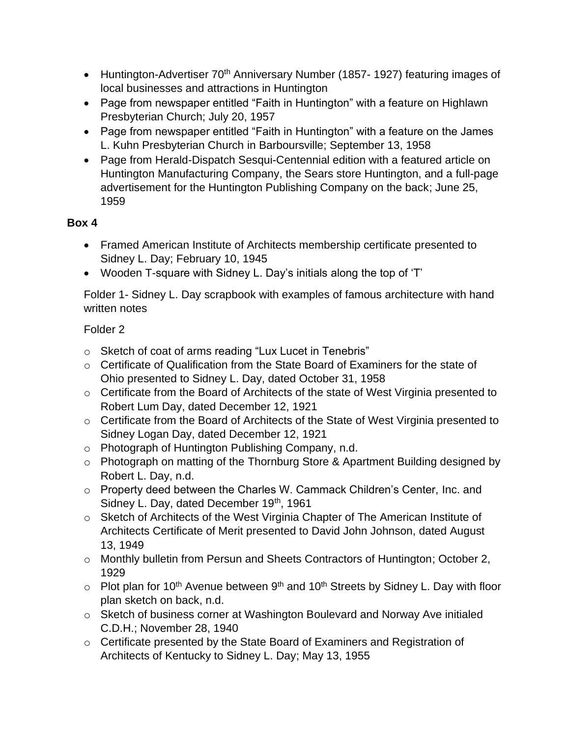- Huntington-Advertiser 70<sup>th</sup> Anniversary Number (1857-1927) featuring images of local businesses and attractions in Huntington
- Page from newspaper entitled "Faith in Huntington" with a feature on Highlawn Presbyterian Church; July 20, 1957
- Page from newspaper entitled "Faith in Huntington" with a feature on the James L. Kuhn Presbyterian Church in Barboursville; September 13, 1958
- Page from Herald-Dispatch Sesqui-Centennial edition with a featured article on Huntington Manufacturing Company, the Sears store Huntington, and a full-page advertisement for the Huntington Publishing Company on the back; June 25, 1959

## **Box 4**

- Framed American Institute of Architects membership certificate presented to Sidney L. Day; February 10, 1945
- Wooden T-square with Sidney L. Day's initials along the top of 'T'

Folder 1- Sidney L. Day scrapbook with examples of famous architecture with hand written notes

## Folder 2

- o Sketch of coat of arms reading "Lux Lucet in Tenebris"
- o Certificate of Qualification from the State Board of Examiners for the state of Ohio presented to Sidney L. Day, dated October 31, 1958
- o Certificate from the Board of Architects of the state of West Virginia presented to Robert Lum Day, dated December 12, 1921
- o Certificate from the Board of Architects of the State of West Virginia presented to Sidney Logan Day, dated December 12, 1921
- o Photograph of Huntington Publishing Company, n.d.
- o Photograph on matting of the Thornburg Store & Apartment Building designed by Robert L. Day, n.d.
- o Property deed between the Charles W. Cammack Children's Center, Inc. and Sidney L. Day, dated December 19<sup>th</sup>, 1961
- o Sketch of Architects of the West Virginia Chapter of The American Institute of Architects Certificate of Merit presented to David John Johnson, dated August 13, 1949
- o Monthly bulletin from Persun and Sheets Contractors of Huntington; October 2, 1929
- $\circ$  Plot plan for 10<sup>th</sup> Avenue between 9<sup>th</sup> and 10<sup>th</sup> Streets by Sidney L. Day with floor plan sketch on back, n.d.
- o Sketch of business corner at Washington Boulevard and Norway Ave initialed C.D.H.; November 28, 1940
- o Certificate presented by the State Board of Examiners and Registration of Architects of Kentucky to Sidney L. Day; May 13, 1955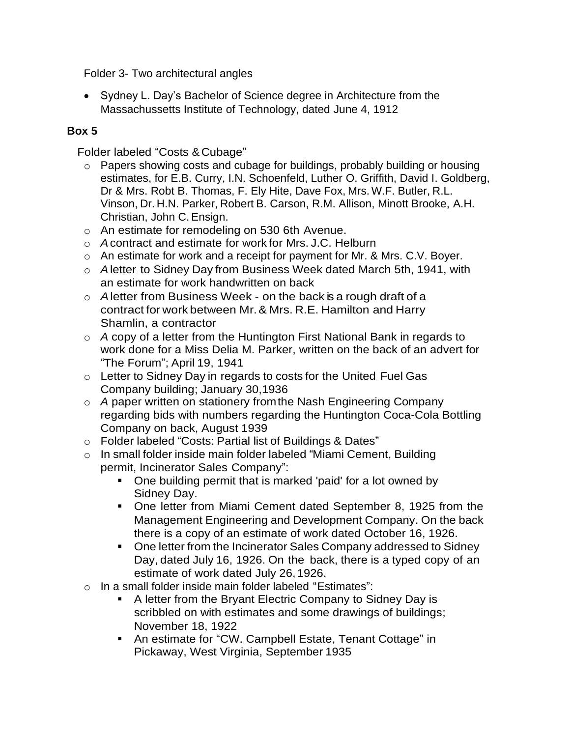Folder 3- Two architectural angles

• Sydney L. Day's Bachelor of Science degree in Architecture from the Massachussetts Institute of Technology, dated June 4, 1912

## **Box 5**

Folder labeled "Costs &Cubage"

- o Papers showing costs and cubage for buildings, probably building or housing estimates, for E.B. Curry, I.N. Schoenfeld, Luther O. Griffith, David I. Goldberg, Dr & Mrs. Robt B. Thomas, F. Ely Hite, Dave Fox, Mrs. W.F. Butler, R.L. Vinson, Dr. H.N. Parker, Robert B. Carson, R.M. Allison, Minott Brooke, A.H. Christian, John C. Ensign.
- o An estimate for remodeling on 530 6th Avenue.
- o *A*contract and estimate for work for Mrs. J.C. Helburn
- o An estimate for work and a receipt for payment for Mr. & Mrs. C.V. Boyer.
- o *A*letter to Sidney Day from Business Week dated March 5th, 1941, with an estimate for work handwritten on back
- o *A*letter from Business Week on the back is a rough draft of a contract for work between Mr.& Mrs. R.E. Hamilton and Harry Shamlin, a contractor
- o *A* copy of a letter from the Huntington First National Bank in regards to work done for a Miss Delia M. Parker, written on the back of an advert for "The Forum"; April 19, 1941
- o Letter to Sidney Day in regards to costs for the United Fuel Gas Company building; January 30,1936
- o *A* paper written on stationery fromthe Nash Engineering Company regarding bids with numbers regarding the Huntington Coca-Cola Bottling Company on back, August 1939
- o Folder labeled "Costs: Partial list of Buildings & Dates"
- o In small folder inside main folder labeled "Miami Cement, Building permit, Incinerator Sales Company":
	- One building permit that is marked 'paid' for a lot owned by Sidney Day.
	- One letter from Miami Cement dated September 8, 1925 from the Management Engineering and Development Company. On the back there is a copy of an estimate of work dated October 16, 1926.
	- One letter from the Incinerator Sales Company addressed to Sidney Day, dated July 16, 1926. On the back, there is a typed copy of an estimate of work dated July 26,1926.
- o In a small folder inside main folder labeled "Estimates":
	- A letter from the Bryant Electric Company to Sidney Day is scribbled on with estimates and some drawings of buildings; November 18, 1922
	- An estimate for "CW. Campbell Estate, Tenant Cottage" in Pickaway, West Virginia, September 1935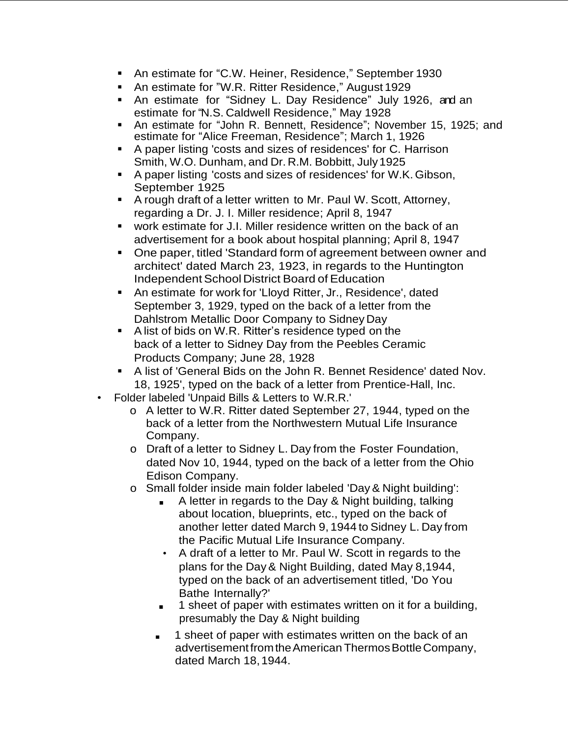- An estimate for "C.W. Heiner, Residence," September 1930
- An estimate for "W.R. Ritter Residence," August 1929
- An estimate for "Sidney L. Day Residence" July 1926, and an estimate for "N.S. Caldwell Residence," May 1928
- An estimate for "John R. Bennett, Residence"; November 15, 1925; and estimate for "Alice Freeman, Residence"; March 1, 1926
- A paper listing 'costs and sizes of residences' for C. Harrison Smith, W.O. Dunham, and Dr. R.M. Bobbitt, July1925
- A paper listing 'costs and sizes of residences' for W.K.Gibson, September 1925
- A rough draft of a letter written to Mr. Paul W. Scott, Attorney, regarding a Dr. J. I. Miller residence; April 8, 1947
- work estimate for J.I. Miller residence written on the back of an advertisement for a book about hospital planning; April 8, 1947
- One paper, titled 'Standard form of agreement between owner and architect' dated March 23, 1923, in regards to the Huntington **Independent School District Board of Education**
- An estimate for work for 'Lloyd Ritter, Jr., Residence', dated September 3, 1929, typed on the back of a letter from the Dahlstrom Metallic Door Company to Sidney Day
- A list of bids on W.R. Ritter's residence typed on the back of a letter to Sidney Day from the Peebles Ceramic Products Company; June 28, 1928
- A list of 'General Bids on the John R. Bennet Residence' dated Nov. 18, 1925', typed on the back of a letter from Prentice-Hall, Inc.
- Folder labeled 'Unpaid Bills & Letters to W.R.R.'
	- o A letter to W.R. Ritter dated September 27, 1944, typed on the back of a letter from the Northwestern Mutual Life Insurance Company.
	- o Draft of a letter to Sidney L. Day from the Foster Foundation, dated Nov 10, 1944, typed on the back of a letter from the Ohio Edison Company.
	- o Small folder inside main folder labeled 'Day & Night building':
		- A letter in regards to the Day & Night building, talking about location, blueprints, etc., typed on the back of another letter dated March 9, 1944 to Sidney L. Day from the Pacific Mutual Life Insurance Company.
		- A draft of a letter to Mr. Paul W. Scott in regards to the plans for the Day& Night Building, dated May 8,1944, typed on the back of an advertisement titled, 'Do You Bathe Internally?'
		- 1 sheet of paper with estimates written on it for a building, presumably the Day & Night building
		- 1 sheet of paper with estimates written on the back of an advertisement from the American Thermos Bottle Company, dated March 18,1944.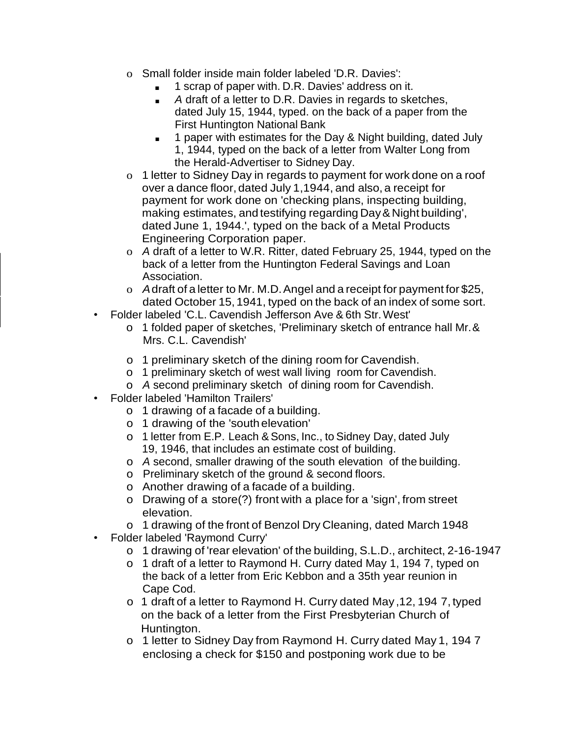- o Small folder inside main folder labeled 'D.R. Davies':
	- 1 scrap of paper with. D.R. Davies' address on it.
	- *A* draft of a letter to D.R. Davies in regards to sketches, dated July 15, 1944, typed. on the back of a paper from the First Huntington National Bank
	- 1 paper with estimates for the Day & Night building, dated July 1, 1944, typed on the back of a letter from Walter Long from the Herald-Advertiser to Sidney Day.
- o 1 letter to Sidney Day in regards to payment for work done on a roof over a dance floor, dated July 1,1944, and also, a receipt for payment for work done on 'checking plans, inspecting building, making estimates, and testifying regarding Day& Night building', dated June 1, 1944.', typed on the back of a Metal Products Engineering Corporation paper.
- o *A* draft of a letter to W.R. Ritter, dated February 25, 1944, typed on the back of a letter from the Huntington Federal Savings and Loan Association.
- o *A*draft of a letter to Mr. M.D.Angel and a receipt for payment for \$25, dated October 15, 1941, typed on the back of an index of some sort.
- Folder labeled 'C.L. Cavendish Jefferson Ave & 6th Str.West'
	- o 1 folded paper of sketches, 'Preliminary sketch of entrance hall Mr.& Mrs. C.L. Cavendish'
	- o 1 preliminary sketch of the dining room for Cavendish.
	- o 1 preliminary sketch of west wall living room for Cavendish.
	- o *A* second preliminary sketch of dining room for Cavendish.
- Folder labeled 'Hamilton Trailers'
	- o 1 drawing of a facade of a building.
	- o 1 drawing of the 'south elevation'
	- o 1 letter from E.P. Leach & Sons, Inc., to Sidney Day, dated July 19, 1946, that includes an estimate cost of building.
	- o *A* second, smaller drawing of the south elevation of the building.
	- o Preliminary sketch of the ground & second floors.
	- o Another drawing of a facade of a building.
	- o Drawing of a store(?) front with a place for a 'sign', from street elevation.
	- o 1 drawing of the front of Benzol Dry Cleaning, dated March 1948
- Folder labeled 'Raymond Curry'
	- o 1 drawing of 'rear elevation' of the building, S.L.D., architect, 2-16-1947
	- o 1 draft of a letter to Raymond H. Curry dated May 1, 194 7, typed on the back of a letter from Eric Kebbon and a 35th year reunion in Cape Cod.
	- o 1 draft of a letter to Raymond H. Curry dated May ,12, 194 7, typed on the back of a letter from the First Presbyterian Church of Huntington.
	- o 1 letter to Sidney Day from Raymond H. Curry dated May 1, 194 7 enclosing a check for \$150 and postponing work due to be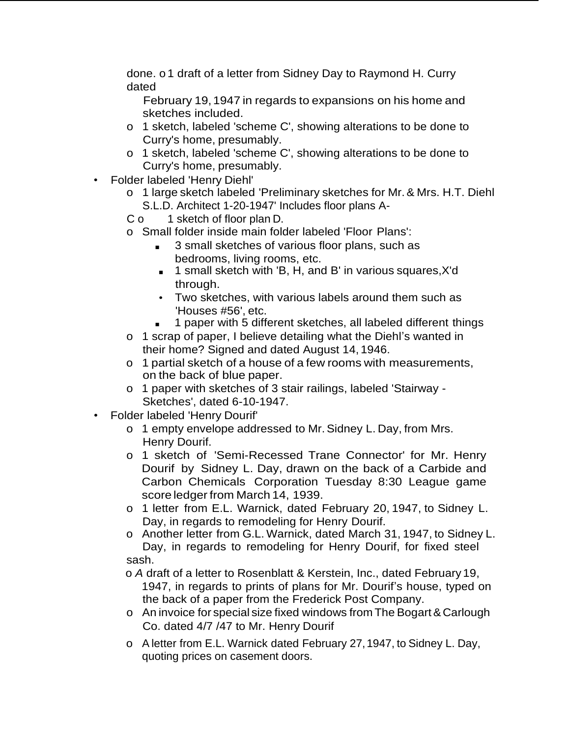done. o 1 draft of a letter from Sidney Day to Raymond H. Curry dated

February 19, 1947 in regards to expansions on his home and sketches included.

- o 1 sketch, labeled 'scheme C', showing alterations to be done to Curry's home, presumably.
- o 1 sketch, labeled 'scheme C', showing alterations to be done to Curry's home, presumably.
- Folder labeled 'Henry Diehl'
	- o 1 large sketch labeled 'Preliminary sketches for Mr.& Mrs. H.T. Diehl S.L.D. Architect 1-20-1947' Includes floor plans A-
	- C o 1 sketch of floor plan D.
	- o Small folder inside main folder labeled 'Floor Plans':
		- 3 small sketches of various floor plans, such as bedrooms, living rooms, etc.
		- 1 small sketch with 'B, H, and B' in various squares, X'd through.
		- Two sketches, with various labels around them such as 'Houses #56', etc.
		- 1 paper with 5 different sketches, all labeled different things
	- o 1 scrap of paper, I believe detailing what the Diehl's wanted in their home? Signed and dated August 14, 1946.
	- o 1 partial sketch of a house of a few rooms with measurements, on the back of blue paper.
	- o 1 paper with sketches of 3 stair railings, labeled 'Stairway Sketches', dated 6-10-1947.
- Folder labeled 'Henry Dourif'
	- o 1 empty envelope addressed to Mr.Sidney L. Day, from Mrs. Henry Dourif.
	- o 1 sketch of 'Semi-Recessed Trane Connector' for Mr. Henry Dourif by Sidney L. Day, drawn on the back of a Carbide and Carbon Chemicals Corporation Tuesday 8:30 League game score ledger from March 14, 1939.
	- o 1 letter from E.L. Warnick, dated February 20, 1947, to Sidney L. Day, in regards to remodeling for Henry Dourif.
	- o Another letter from G.L. Warnick, dated March 31, 1947, to Sidney L. Day, in regards to remodeling for Henry Dourif, for fixed steel sash.

o *A* draft of a letter to Rosenblatt & Kerstein, Inc., dated February 19, 1947, in regards to prints of plans for Mr. Dourif's house, typed on the back of a paper from the Frederick Post Company.

- o An invoice for special size fixed windows from The Bogart& Carlough Co. dated 4/7 /47 to Mr. Henry Dourif
- o A letter from E.L. Warnick dated February 27,1947, to Sidney L. Day, quoting prices on casement doors.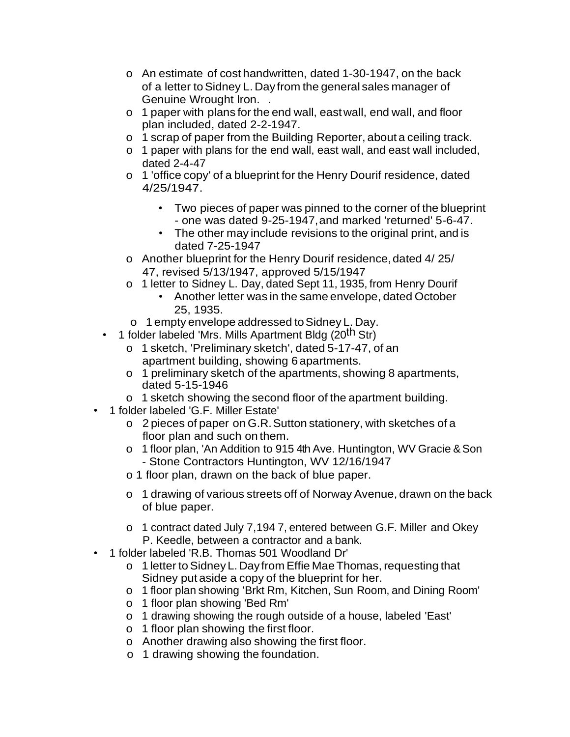- o An estimate of cost handwritten, dated 1-30-1947, on the back of a letter to Sidney L. Day from the general sales manager of Genuine Wrought Iron. .
- o 1 paper with plans for the end wall, eastwall, end wall, and floor plan included, dated 2-2-1947.
- o 1 scrap of paper from the Building Reporter, about a ceiling track.
- o 1 paper with plans for the end wall, east wall, and east wall included, dated 2-4-47
- o 1 'office copy' of a blueprint for the Henry Dourif residence, dated 4/25/1947.
	- Two pieces of paper was pinned to the corner of the blueprint - one was dated 9-25-1947,and marked 'returned' 5-6-47.
	- The other may include revisions to the original print, and is dated 7-25-1947
- o Another blueprint for the Henry Dourif residence,dated 4/ 25/ 47, revised 5/13/1947, approved 5/15/1947
- o 1 letter to Sidney L. Day, dated Sept 11, 1935, from Henry Dourif
	- Another letter was in the same envelope, dated October 25, 1935.
- o 1 empty envelope addressed toSidney L. Day.
- 1 folder labeled 'Mrs. Mills Apartment Bldg (20<sup>th</sup> Str)
	- o 1 sketch, 'Preliminary sketch', dated 5-17-47, of an apartment building, showing 6 apartments.
	- o 1 preliminary sketch of the apartments, showing 8 apartments, dated 5-15-1946
	- o 1 sketch showing the second floor of the apartment building.
- 1 folder labeled 'G.F. Miller Estate'
	- o 2 pieces of paper on G.R.Sutton stationery, with sketches of a floor plan and such on them.
	- o 1 floor plan, 'An Addition to 915 4th Ave. Huntington, WV Gracie & Son - Stone Contractors Huntington, WV 12/16/1947
	- o 1 floor plan, drawn on the back of blue paper.
	- o 1 drawing of various streets off of Norway Avenue, drawn on the back of blue paper.
	- o 1 contract dated July 7,194 7, entered between G.F. Miller and Okey P. Keedle, between a contractor and a bank.
- 1 folder labeled 'R.B. Thomas 501 Woodland Dr'
	- o 1 letter toSidney L.Dayfrom Effie MaeThomas, requesting that Sidney put aside a copy of the blueprint for her.
	- o 1 floor plan showing 'Brkt Rm, Kitchen, Sun Room, and Dining Room'
	- o 1 floor plan showing 'Bed Rm'
	- o 1 drawing showing the rough outside of a house, labeled 'East'
	- o 1 floor plan showing the first floor.
	- o Another drawing also showing the first floor.
	- o 1 drawing showing the foundation.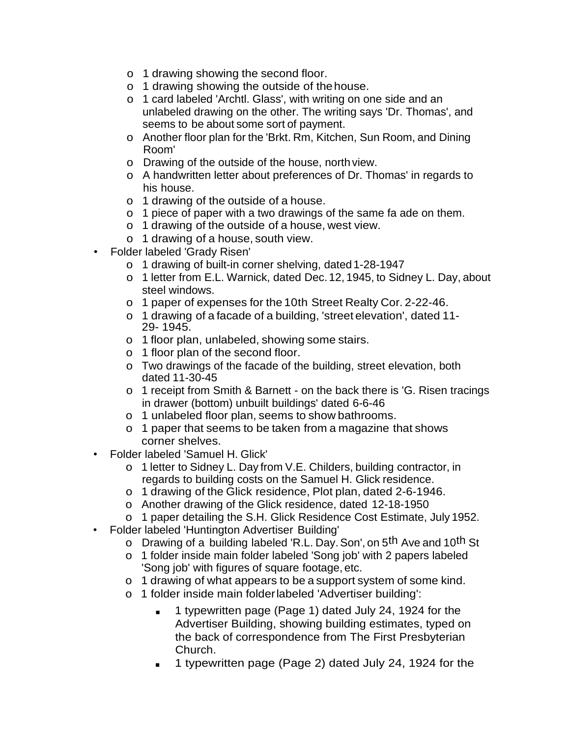- o 1 drawing showing the second floor.
- o 1 drawing showing the outside of thehouse.
- o 1 card labeled 'Archtl. Glass', with writing on one side and an unlabeled drawing on the other. The writing says 'Dr. Thomas', and seems to be about some sort of payment.
- o Another floor plan for the 'Brkt. Rm, Kitchen, Sun Room, and Dining Room'
- o Drawing of the outside of the house, north view.
- o A handwritten letter about preferences of Dr. Thomas' in regards to his house.
- o 1 drawing of the outside of a house.
- o 1 piece of paper with a two drawings of the same fa ade on them.
- o 1 drawing of the outside of a house, west view.
- o 1 drawing of a house, south view.
- Folder labeled 'Grady Risen'
	- o 1 drawing of built-in corner shelving, dated 1-28-1947
	- o 1 letter from E.L. Warnick, dated Dec.12, 1945, to Sidney L. Day, about steel windows.
	- o 1 paper of expenses for the 10th Street Realty Cor. 2-22-46.
	- o 1 drawing of a facade of a building, 'street elevation', dated 11- 29- 1945.
	- o 1 floor plan, unlabeled, showing some stairs.
	- o 1 floor plan of the second floor.
	- o Two drawings of the facade of the building, street elevation, both dated 11-30-45
	- o 1 receipt from Smith & Barnett on the back there is 'G. Risen tracings in drawer (bottom) unbuilt buildings' dated 6-6-46
	- o 1 unlabeled floor plan, seems to show bathrooms.
	- o 1 paper that seems to be taken from a magazine that shows corner shelves.
- Folder labeled 'Samuel H. Glick'
	- o 1 letter to Sidney L. Day from V.E. Childers, building contractor, in regards to building costs on the Samuel H. Glick residence.
	- o 1 drawing of the Glick residence, Plot plan, dated 2-6-1946.
	- o Another drawing of the Glick residence, dated 12-18-1950
	- o 1 paper detailing the S.H. Glick Residence Cost Estimate, July 1952.
- Folder labeled 'Huntington Advertiser Building'
	- o Drawing of a building labeled 'R.L. Day. Son', on 5<sup>th</sup> Ave and 10<sup>th</sup> St
	- o 1 folder inside main folder labeled 'Song job' with 2 papers labeled 'Song job' with figures of square footage, etc.
	- o 1 drawing of what appears to be a support system of some kind.
	- o 1 folder inside main folderlabeled 'Advertiser building':
		- 1 typewritten page (Page 1) dated July 24, 1924 for the Advertiser Building, showing building estimates, typed on the back of correspondence from The First Presbyterian Church.
		- 1 typewritten page (Page 2) dated July 24, 1924 for the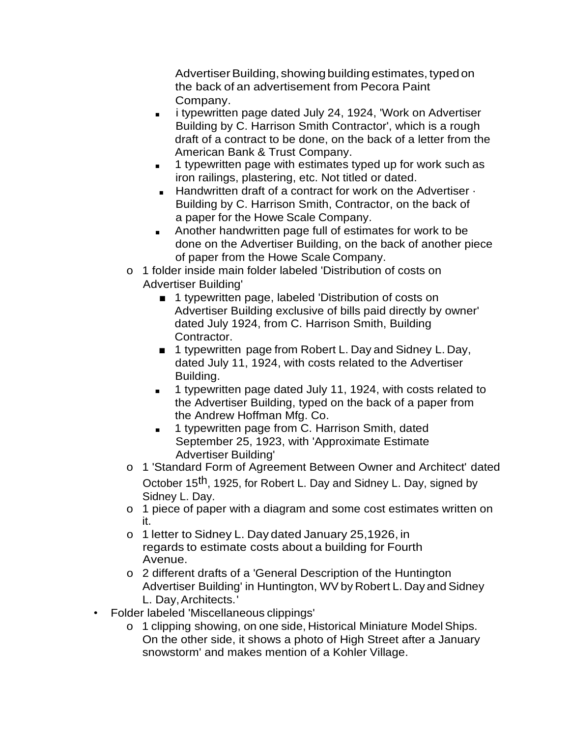Advertiser Building, showing building estimates, typed on the back of an advertisement from Pecora Paint Company.

- i typewritten page dated July 24, 1924, 'Work on Advertiser Building by C. Harrison Smith Contractor', which is a rough draft of a contract to be done, on the back of a letter from the American Bank & Trust Company.
- 1 typewritten page with estimates typed up for work such as iron railings, plastering, etc. Not titled or dated.
- Handwritten draft of a contract for work on the Advertiser · Building by C. Harrison Smith, Contractor, on the back of a paper for the Howe Scale Company.
- Another handwritten page full of estimates for work to be done on the Advertiser Building, on the back of another piece of paper from the Howe Scale Company.
- o 1 folder inside main folder labeled 'Distribution of costs on Advertiser Building'
	- 1 typewritten page, labeled 'Distribution of costs on Advertiser Building exclusive of bills paid directly by owner' dated July 1924, from C. Harrison Smith, Building Contractor.
	- 1 typewritten page from Robert L. Day and Sidney L. Day, dated July 11, 1924, with costs related to the Advertiser Building.
	- 1 typewritten page dated July 11, 1924, with costs related to the Advertiser Building, typed on the back of a paper from the Andrew Hoffman Mfg. Co.
	- 1 typewritten page from C. Harrison Smith, dated September 25, 1923, with 'Approximate Estimate Advertiser Building'
- o 1 'Standard Form of Agreement Between Owner and Architect' dated October 15th, 1925, for Robert L. Day and Sidney L. Day, signed by Sidney L. Day.
- o 1 piece of paper with a diagram and some cost estimates written on it.
- o 1 letter to Sidney L. Day dated January 25,1926, in regards to estimate costs about a building for Fourth Avenue.
- o 2 different drafts of a 'General Description of the Huntington Advertiser Building' in Huntington, WV by Robert L. Day and Sidney L. Day, Architects.'
- Folder labeled 'Miscellaneous clippings'
	- o 1 clipping showing, on one side, Historical Miniature ModelShips. On the other side, it shows a photo of High Street after a January snowstorm' and makes mention of a Kohler Village.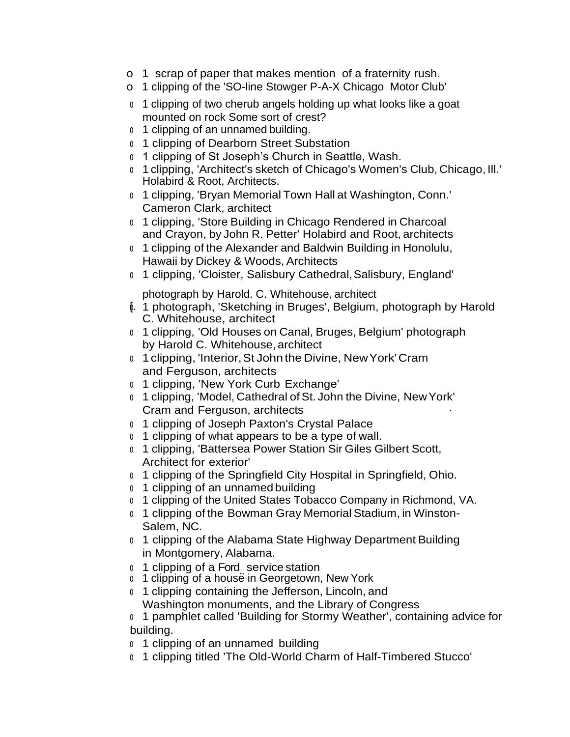- o 1 scrap of paper that makes mention of a fraternity rush.
- o 1 clipping of the 'SO-line Stowger P-A-X Chicago Motor Club'
- <sup>o</sup> 1 clipping of two cherub angels holding up what looks like a goat mounted on rock Some sort of crest?
- <sup>o</sup> 1 clipping of an unnamed building.
- <sup>o</sup> 1 clipping of Dearborn Street Substation
- <sup>o</sup> 1 clipping of St Joseph's Church in Seattle, Wash.
- <sup>o</sup> 1 clipping, 'Architect's sketch of Chicago's Women's Club, Chicago, Ill.' Holabird & Root, Architects.
- <sup>o</sup> 1 clipping, 'Bryan Memorial Town Hall at Washington, Conn.' Cameron Clark, architect
- <sup>o</sup> 1 clipping, 'Store Building in Chicago Rendered in Charcoal and Crayon, by John R. Petter' Holabird and Root, architects
- <sup>o</sup> 1 clipping of the Alexander and Baldwin Building in Honolulu, Hawaii by Dickey & Woods, Architects
- <sup>o</sup> 1 clipping, 'Cloister, Salisbury Cathedral,Salisbury, England'

photograph by Harold. C. Whitehouse, architect

- ≬. 1 photograph, 'Sketching in Bruges', Belgium, photograph by Harold C. Whitehouse, architect
- <sup>o</sup> 1 clipping, 'Old Houses on Canal, Bruges, Belgium' photograph by Harold C. Whitehouse, architect
- <sup>o</sup> 1clipping, 'Interior,St John the Divine, NewYork'Cram and Ferguson, architects
- <sup>o</sup> 1 clipping, 'New York Curb Exchange'
- <sup>o</sup> 1 clipping, 'Model, Cathedral of St. John the Divine, NewYork' Cram and Ferguson, architects ·
- <sup>o</sup> 1 clipping of Joseph Paxton's Crystal Palace
- <sup>o</sup> 1 clipping of what appears to be a type of wall.
- <sup>o</sup> 1 clipping, 'Battersea Power Station Sir Giles Gilbert Scott, Architect for exterior'
- <sup>o</sup> 1 clipping of the Springfield City Hospital in Springfield, Ohio.
- <sup>o</sup> 1 clipping of an unnamed building
- <sup>o</sup> 1 clipping of the United States Tobacco Company in Richmond, VA.
- <sup>o</sup> 1 clipping of the Bowman Gray Memorial Stadium, in Winston-Salem, NC.
- <sup>o</sup> 1 clipping of the Alabama State Highway Department Building in Montgomery, Alabama.
- 0 1 clipping of a Ford. service station
- o 1 clipping of a house in Georgetown, New York
- <sup>o</sup> 1 clipping containing the Jefferson, Lincoln, and Washington monuments, and the Library of Congress
- <sup>o</sup> 1 pamphlet called 'Building for Stormy Weather', containing advice for building.
- <sup>o</sup> 1 clipping of an unnamed building
- <sup>o</sup> 1 clipping titled 'The Old-World Charm of Half-Timbered Stucco'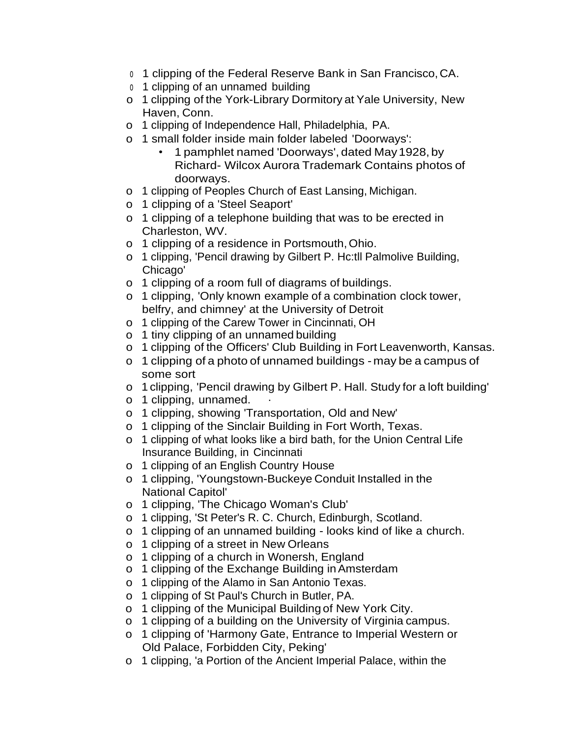- <sup>o</sup> 1 clipping of the Federal Reserve Bank in San Francisco,CA.
- <sup>o</sup> 1 clipping of an unnamed building
- o 1 clipping of the York-Library Dormitory at Yale University, New Haven, Conn.
- o 1 clipping of Independence Hall, Philadelphia, PA.
- o 1 small folder inside main folder labeled 'Doorways':
	- 1 pamphlet named 'Doorways', dated May1928, by Richard- Wilcox Aurora Trademark Contains photos of doorways.
- o 1 clipping of Peoples Church of East Lansing, Michigan.
- o 1 clipping of a 'Steel Seaport'
- o 1 clipping of a telephone building that was to be erected in Charleston, WV.
- o 1 clipping of a residence in Portsmouth,Ohio.
- o 1 clipping, 'Pencil drawing by Gilbert P. Hc:tll Palmolive Building, Chicago'
- o 1 clipping of a room full of diagrams of buildings.
- o 1 clipping, 'Only known example of a combination clock tower, belfry, and chimney' at the University of Detroit
- o 1 clipping of the Carew Tower in Cincinnati, OH
- o 1 tiny clipping of an unnamed building
- o 1 clipping of the Officers' Club Building in Fort Leavenworth, Kansas.
- o 1 clipping of a photo of unnamed buildings may be a campus of some sort
- o 1 clipping, 'Pencil drawing by Gilbert P. Hall. Study for a loft building'
- o 1 clipping, unnamed.
- o 1 clipping, showing 'Transportation, Old and New'
- o 1 clipping of the Sinclair Building in Fort Worth, Texas.
- o 1 clipping of what looks like a bird bath, for the Union Central Life Insurance Building, in Cincinnati
- o 1 clipping of an English Country House
- o 1 clipping, 'Youngstown-Buckeye Conduit Installed in the National Capitol'
- o 1 clipping, 'The Chicago Woman's Club'
- o 1 clipping, 'St Peter's R. C. Church, Edinburgh, Scotland.
- o 1 clipping of an unnamed building looks kind of like a church.
- o 1 clipping of a street in New Orleans
- o 1 clipping of a church in Wonersh, England
- o 1 clipping of the Exchange Building inAmsterdam
- o 1 clipping of the Alamo in San Antonio Texas.
- o 1 clipping of St Paul's Church in Butler, PA.
- o 1 clipping of the Municipal Building of New York City.
- o 1 clipping of a building on the University of Virginia campus.
- o 1 clipping of 'Harmony Gate, Entrance to Imperial Western or Old Palace, Forbidden City, Peking'
- o 1 clipping, 'a Portion of the Ancient Imperial Palace, within the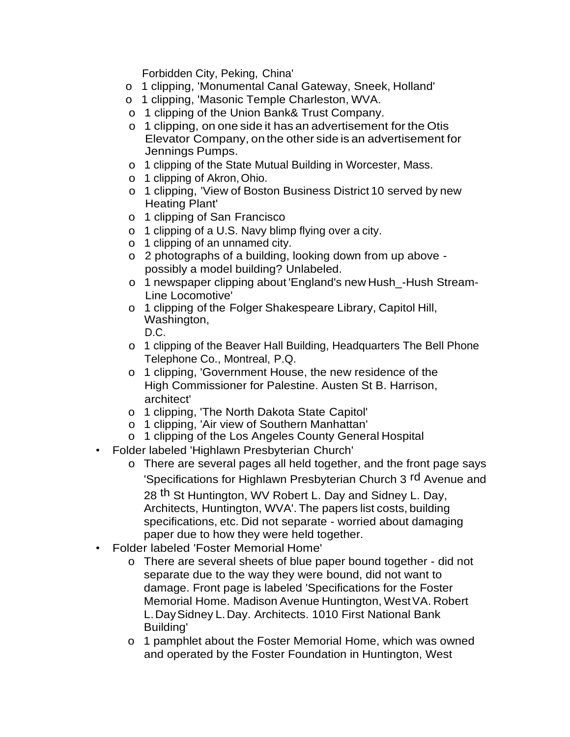Forbidden City, Peking, China'

- o 1 clipping, 'Monumental Canal Gateway, Sneek, Holland'
- o 1 clipping, 'Masonic Temple Charleston, WVA.
- o 1 clipping of the Union Bank& Trust Company.
- o 1 clipping, on one side it has an advertisement for the Otis Elevator Company, on the other side is an advertisement for Jennings Pumps.
- o 1 clipping of the State Mutual Building in Worcester, Mass.
- o 1 clipping of Akron,Ohio.
- o 1 clipping, 'View of Boston Business District 10 served by new Heating Plant'
- o 1 clipping of San Francisco
- o 1 clipping of a U.S. Navy blimp flying over a city.
- o 1 clipping of an unnamed city.
- o 2 photographs of a building, looking down from up above possibly a model building? Unlabeled.
- o 1 newspaper clipping about 'England's new Hush\_-Hush Stream-Line Locomotive'
- o 1 clipping of the Folger Shakespeare Library, Capitol Hill, Washington,

D.C.

- o 1 clipping of the Beaver Hall Building, Headquarters The Bell Phone Telephone Co., Montreal, P.Q.
- o 1 clipping, 'Government House, the new residence of the High Commissioner for Palestine. Austen St B. Harrison, architect'
- o 1 clipping, 'The North Dakota State Capitol'
- o 1 clipping, 'Air view of Southern Manhattan'
- o 1 clipping of the Los Angeles County General Hospital
- Folder labeled 'Highlawn Presbyterian Church'
	- o There are several pages all held together, and the front page says 'Specifications for Highlawn Presbyterian Church 3<sup>rd</sup> Avenue and 28 th St Huntington, WV Robert L. Day and Sidney L. Day, Architects, Huntington, WVA'. The papers list costs, building specifications, etc. Did not separate - worried about damaging paper due to how they were held together.
- Folder labeled 'Foster Memorial Home'
	- o There are several sheets of blue paper bound together did not separate due to the way they were bound, did not want to damage. Front page is labeled 'Specifications for the Foster Memorial Home. Madison Avenue Huntington, WestVA. Robert L.DaySidney L.Day. Architects. 1010 First National Bank Building'
	- o 1 pamphlet about the Foster Memorial Home, which was owned and operated by the Foster Foundation in Huntington, West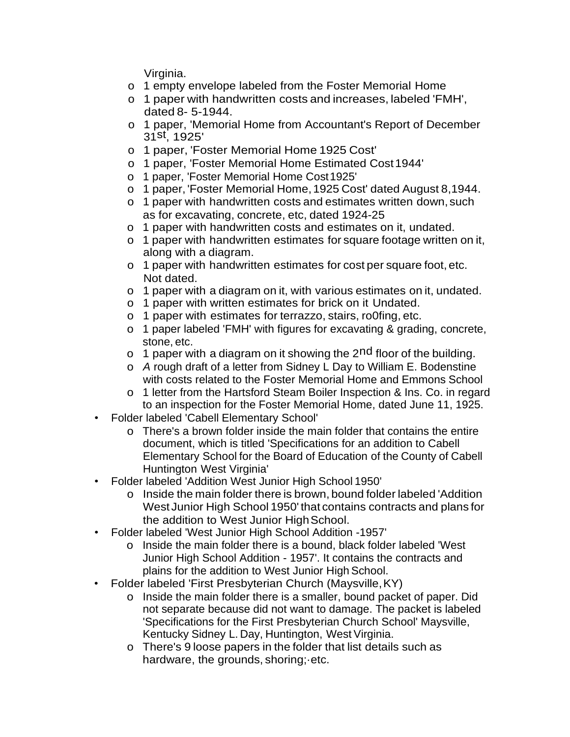Virginia.

- o 1 empty envelope labeled from the Foster Memorial Home
- o 1 paper with handwritten costs and increases, labeled 'FMH', dated 8- 5-1944.
- o 1 paper, 'Memorial Home from Accountant's Report of December 31<sup>st'</sup>, 1925'
- o 1 paper, 'Foster Memorial Home 1925 Cost'
- o 1 paper, 'Foster Memorial Home Estimated Cost1944'
- o 1 paper, 'Foster Memorial Home Cost1925'
- o 1 paper, 'Foster Memorial Home,1925 Cost' dated August 8,1944.
- o 1 paper with handwritten costs and estimates written down, such as for excavating, concrete, etc, dated 1924-25
- o 1 paper with handwritten costs and estimates on it, undated.
- o 1 paper with handwritten estimates for square footage written on it, along with a diagram.
- o 1 paper with handwritten estimates for cost per square foot, etc. Not dated.
- o 1 paper with a diagram on it, with various estimates on it, undated.
- o 1 paper with written estimates for brick on it Undated.
- o 1 paper with estimates for terrazzo, stairs, ro0fing, etc.
- o 1 paper labeled 'FMH' with figures for excavating & grading, concrete, stone, etc.
- o 1 paper with a diagram on it showing the  $2<sup>nd</sup>$  floor of the building.
- o *A* rough draft of a letter from Sidney L Day to William E. Bodenstine with costs related to the Foster Memorial Home and Emmons School
- o 1 letter from the Hartsford Steam Boiler Inspection & Ins. Co. in regard to an inspection for the Foster Memorial Home, dated June 11, 1925.
- Folder labeled 'Cabell Elementary School'
	- o There's a brown folder inside the main folder that contains the entire document, which is titled 'Specifications for an addition to Cabell Elementary School for the Board of Education of the County of Cabell Huntington West Virginia'
- Folder labeled 'Addition West Junior High School 1950'
	- o Inside the main folder there is brown, bound folder labeled 'Addition West Junior High School 1950' that contains contracts and plans for the addition to West Junior High School.
- Folder labeled 'West Junior High School Addition -1957'
	- o Inside the main folder there is a bound, black folder labeled 'West Junior High School Addition - 1957'. It contains the contracts and plains for the addition to West Junior High School.
- Folder labeled 'First Presbyterian Church (Maysville,KY)
	- o Inside the main folder there is a smaller, bound packet of paper. Did not separate because did not want to damage. The packet is labeled 'Specifications for the First Presbyterian Church School' Maysville, Kentucky Sidney L. Day, Huntington, West Virginia.
	- o There's 9 loose papers in the folder that list details such as hardware, the grounds, shoring;·etc.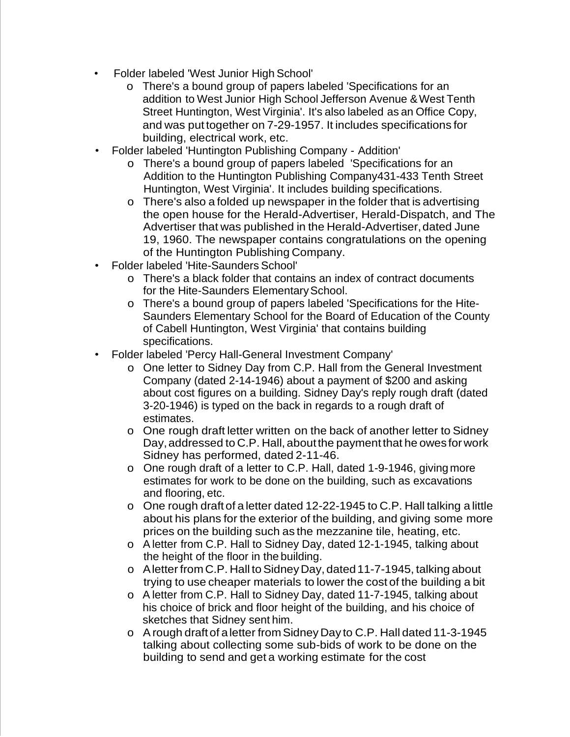- Folder labeled 'West Junior High School'
	- o There's a bound group of papers labeled 'Specifications for an addition to West Junior High School Jefferson Avenue & West Tenth Street Huntington, West Virginia'. It's also labeled as an Office Copy, and was put together on 7-29-1957. It includes specifications for building, electrical work, etc.
- Folder labeled 'Huntington Publishing Company Addition'
	- o There's a bound group of papers labeled 'Specifications for an Addition to the Huntington Publishing Company431-433 Tenth Street Huntington, West Virginia'. It includes building specifications.
	- o There's also a folded up newspaper in the folder that is advertising the open house for the Herald-Advertiser, Herald-Dispatch, and The Advertiser that was published in the Herald-Advertiser, dated June 19, 1960. The newspaper contains congratulations on the opening of the Huntington Publishing Company.
- Folder labeled 'Hite-Saunders School'
	- o There's a black folder that contains an index of contract documents for the Hite-Saunders Elementary School.
	- o There's a bound group of papers labeled 'Specifications for the Hite-Saunders Elementary School for the Board of Education of the County of Cabell Huntington, West Virginia' that contains building specifications.
- Folder labeled 'Percy Hall-General Investment Company'
	- o One letter to Sidney Day from C.P. Hall from the General Investment Company (dated 2-14-1946) about a payment of \$200 and asking about cost figures on a building. Sidney Day's reply rough draft (dated 3-20-1946) is typed on the back in regards to a rough draft of estimates.
	- o One rough draft letter written on the back of another letter to Sidney Day, addressed to C.P. Hall, about the payment that he owes for work Sidney has performed, dated 2-11-46.
	- o One rough draft of a letter to C.P. Hall, dated 1-9-1946, giving more estimates for work to be done on the building, such as excavations and flooring, etc.
	- o One rough draft of a letter dated 12-22-1945 to C.P. Hall talking a little about his plans for the exterior of the building, and giving some more prices on the building such as the mezzanine tile, heating, etc.
	- o Aletter from C.P. Hall to Sidney Day, dated 12-1-1945, talking about the height of the floor in the building.
	- o Aletter from C.P. Hall toSidneyDay, dated11-7-1945, talking about trying to use cheaper materials to lower the cost of the building a bit
	- o A letter from C.P. Hall to Sidney Day, dated 11-7-1945, talking about his choice of brick and floor height of the building, and his choice of sketches that Sidney sent him.
	- o Arough draftof aletter from Sidney Day to C.P. Hall dated 11-3-1945 talking about collecting some sub-bids of work to be done on the building to send and get a working estimate for the cost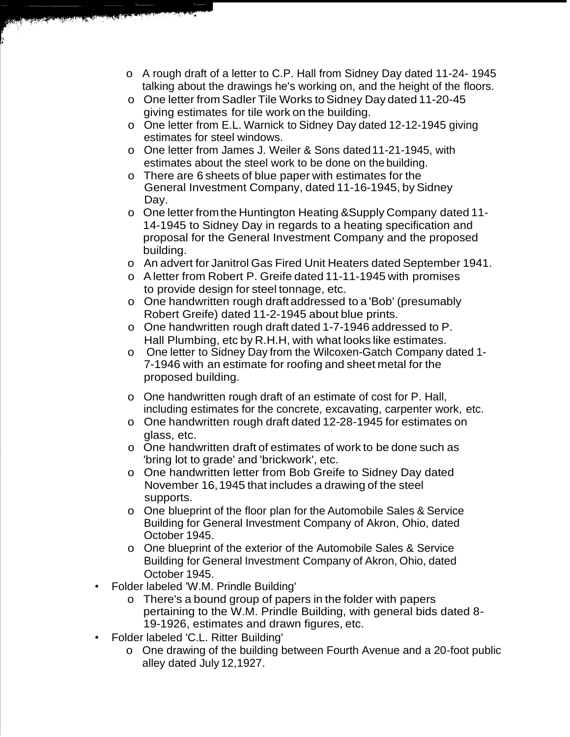- o A rough draft of a letter to C.P. Hall from Sidney Day dated 11-24- 1945 talking about the drawings he's working on, and the height of the floors.
- o One letter from Sadler Tile Works to Sidney Day dated 11-20-45 giving estimates for tile work on the building.
- o One letter from E.L. Warnick to Sidney Day dated 12-12-1945 giving estimates for steel windows.
- o One letter from James J. Weiler & Sons dated11-21-1945, with estimates about the steel work to be done on the building.
- o There are 6 sheets of blue paper with estimates for the General Investment Company, dated 11-16-1945, by Sidney Day.
- o One letter from the Huntington Heating &Supply Company dated 11- 14-1945 to Sidney Day in regards to a heating specification and proposal for the General Investment Company and the proposed building.
- o An advert for Janitrol Gas Fired Unit Heaters dated September 1941.
- o Aletter from Robert P. Greife dated 11-11-1945 with promises to provide design for steel tonnage, etc.
- o One handwritten rough draft addressed to a 'Bob' (presumably Robert Greife) dated 11-2-1945 about blue prints.
- o One handwritten rough draft dated 1-7-1946 addressed to P. Hall Plumbing, etc by R.H.H, with what looks like estimates.
- o One letter to Sidney Day from the Wilcoxen-Gatch Company dated 1- 7-1946 with an estimate for roofing and sheet metal for the proposed building.
- o One handwritten rough draft of an estimate of cost for P. Hall, including estimates for the concrete, excavating, carpenter work, etc.
- o One handwritten rough draft dated 12-28-1945 for estimates on glass, etc.
- o One handwritten draft of estimates of work to be done such as 'bring lot to grade' and 'brickwork', etc.
- o One handwritten letter from Bob Greife to Sidney Day dated November 16,1945 that includes a drawing of the steel supports.
- o One blueprint of the floor plan for the Automobile Sales & Service Building for General Investment Company of Akron, Ohio, dated October 1945.
- o One blueprint of the exterior of the Automobile Sales & Service Building for General Investment Company of Akron, Ohio, dated October 1945.
- Folder labeled 'W.M. Prindle Building'
	- o There's a bound group of papers in the folder with papers pertaining to the W.M. Prindle Building, with general bids dated 8- 19-1926, estimates and drawn figures, etc.
- Folder labeled 'C.L. Ritter Building'
	- o One drawing of the building between Fourth Avenue and a 20-foot public alley dated July 12,1927.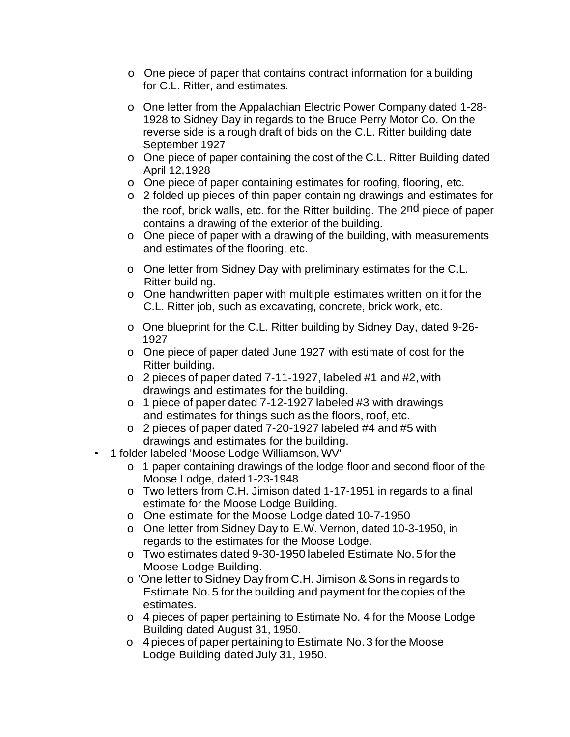- o One piece of paper that contains contract information for a building for C.L. Ritter, and estimates.
- o One letter from the Appalachian Electric Power Company dated 1-28- 1928 to Sidney Day in regards to the Bruce Perry Motor Co. On the reverse side is a rough draft of bids on the C.L. Ritter building date September 1927
- o One piece of paper containing the cost of the C.L. Ritter Building dated April 12,1928
- o One piece of paper containing estimates for roofing, flooring, etc.
- o 2 folded up pieces of thin paper containing drawings and estimates for the roof, brick walls, etc. for the Ritter building. The 2nd piece of paper contains a drawing of the exterior of the building.
- o One piece of paper with a drawing of the building, with measurements and estimates of the flooring, etc.
- o One letter from Sidney Day with preliminary estimates for the C.L. Ritter building.
- o One handwritten paper with multiple estimates written on it for the C.L. Ritter job, such as excavating, concrete, brick work, etc.
- o One blueprint for the C.L. Ritter building by Sidney Day, dated 9-26- 1927
- o One piece of paper dated June 1927 with estimate of cost for the Ritter building.
- o 2 pieces of paper dated 7-11-1927, labeled #1 and #2,with drawings and estimates for the building.
- o 1 piece of paper dated 7-12-1927 labeled #3 with drawings and estimates for things such as the floors, roof, etc.
- o 2 pieces of paper dated 7-20-1927 labeled #4 and #5 with drawings and estimates for the building.
- 1 folder labeled 'Moose Lodge Williamson,WV'
	- o 1 paper containing drawings of the lodge floor and second floor of the Moose Lodge, dated 1-23-1948
	- o Two letters from C.H. Jimison dated 1-17-1951 in regards to a final estimate for the Moose Lodge Building.
	- o One estimate for the Moose Lodge dated 10-7-1950
	- o One letter from Sidney Day to E.W. Vernon, dated 10-3-1950, in regards to the estimates for the Moose Lodge.
	- o Two estimates dated 9-30-1950 labeled Estimate No.5forthe Moose Lodge Building.
	- o 'One letter toSidney Day from C.H. Jimison &Sons in regards to Estimate No.5 forthe building and payment for the copies of the estimates.
	- o 4 pieces of paper pertaining to Estimate No. 4 for the Moose Lodge Building dated August 31, 1950.
	- o 4pieces of paper pertaining to Estimate No.3 forthe Moose Lodge Building dated July 31, 1950.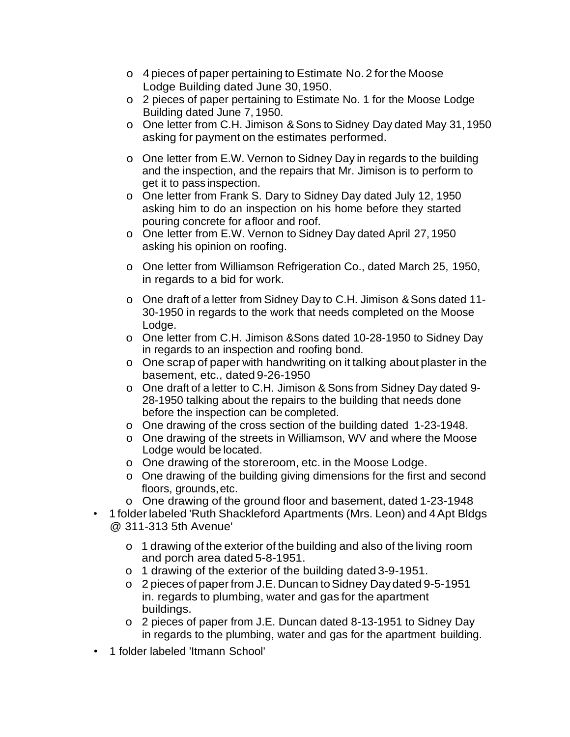- o 4 pieces of paper pertaining to Estimate No. 2 forthe Moose Lodge Building dated June 30,1950.
- o 2 pieces of paper pertaining to Estimate No. 1 for the Moose Lodge Building dated June 7, 1950.
- o One letter from C.H. Jimison &Sons to Sidney Day dated May 31,1950 asking for payment on the estimates performed.
- o One letter from E.W. Vernon to Sidney Day in regards to the building and the inspection, and the repairs that Mr. Jimison is to perform to get it to pass inspection.
- o One letter from Frank S. Dary to Sidney Day dated July 12, 1950 asking him to do an inspection on his home before they started pouring concrete for afloor and roof.
- o One letter from E.W. Vernon to Sidney Day dated April 27, 1950 asking his opinion on roofing.
- o One letter from Williamson Refrigeration Co., dated March 25, 1950, in regards to a bid for work.
- o One draft of a letter from Sidney Day to C.H. Jimison &Sons dated 11- 30-1950 in regards to the work that needs completed on the Moose Lodge.
- o One letter from C.H. Jimison &Sons dated 10-28-1950 to Sidney Day in regards to an inspection and roofing bond.
- o One scrap of paper with handwriting on it talking about plaster in the basement, etc., dated 9-26-1950
- o One draft of a letter to C.H. Jimison & Sons from Sidney Day dated 9- 28-1950 talking about the repairs to the building that needs done before the inspection can be completed.
- o One drawing of the cross section of the building dated 1-23-1948.
- o One drawing of the streets in Williamson, WV and where the Moose Lodge would be located.
- o One drawing of the storeroom, etc. in the Moose Lodge.
- o One drawing of the building giving dimensions for the first and second floors, grounds,etc.
- o One drawing of the ground floor and basement, dated 1-23-1948
- 1 folder labeled 'Ruth Shackleford Apartments (Mrs. Leon) and 4Apt Bldgs @ 311-313 5th Avenue'
	- o 1 drawing of the exterior of the building and also of the living room and porch area dated 5-8-1951.
	- o 1 drawing of the exterior of the building dated 3-9-1951.
	- o 2 pieces of paper from J.E. Duncan toSidney Daydated 9-5-1951 in. regards to plumbing, water and gas for the apartment buildings.
	- o 2 pieces of paper from J.E. Duncan dated 8-13-1951 to Sidney Day in regards to the plumbing, water and gas for the apartment building.
- 1 folder labeled 'Itmann School'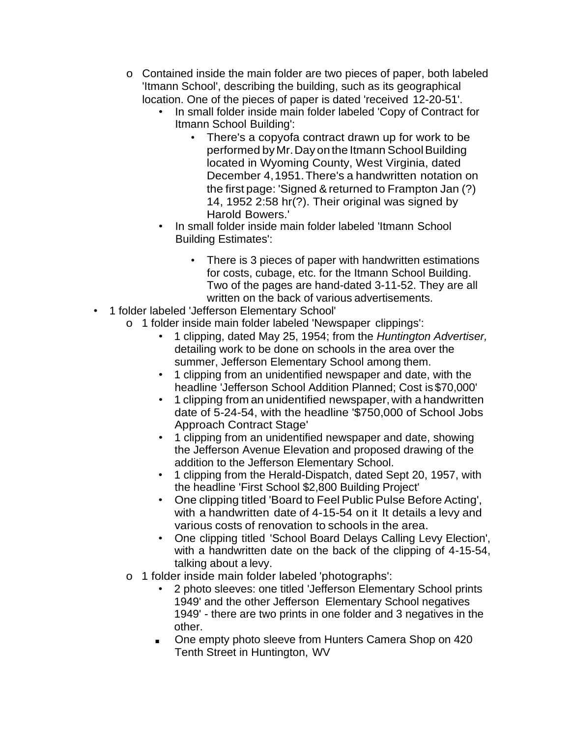- o Contained inside the main folder are two pieces of paper, both labeled 'Itmann School', describing the building, such as its geographical location. One of the pieces of paper is dated 'received 12-20-51'.
	- In small folder inside main folder labeled 'Copy of Contract for Itmann School Building':
		- There's a copyofa contract drawn up for work to be performed byMr.Day on the Itmann SchoolBuilding located in Wyoming County, West Virginia, dated December 4,1951.There's a handwritten notation on the first page: 'Signed & returned to Frampton Jan (?) 14, 1952 2:58 hr(?). Their original was signed by Harold Bowers.'
	- In small folder inside main folder labeled 'Itmann School Building Estimates':
		- There is 3 pieces of paper with handwritten estimations for costs, cubage, etc. for the Itmann School Building. Two of the pages are hand-dated 3-11-52. They are all written on the back of various advertisements.
- 1 folder labeled 'Jefferson Elementary School'
	- o 1 folder inside main folder labeled 'Newspaper clippings':
		- 1 clipping, dated May 25, 1954; from the *Huntington Advertiser,*  detailing work to be done on schools in the area over the summer, Jefferson Elementary School among them.
		- 1 clipping from an unidentified newspaper and date, with the headline 'Jefferson School Addition Planned; Cost is \$70,000'
		- 1 clipping from an unidentified newspaper, with a handwritten date of 5-24-54, with the headline '\$750,000 of School Jobs Approach Contract Stage'
		- 1 clipping from an unidentified newspaper and date, showing the Jefferson Avenue Elevation and proposed drawing of the addition to the Jefferson Elementary School.
		- 1 clipping from the Herald-Dispatch, dated Sept 20, 1957, with the headline 'First School \$2,800 Building Project'
		- One clipping titled 'Board to Feel Public Pulse Before Acting', with a handwritten date of 4-15-54 on it It details a levy and various costs of renovation to schools in the area.
		- One clipping titled 'School Board Delays Calling Levy Election', with a handwritten date on the back of the clipping of 4-15-54, talking about a levy.
	- o 1 folder inside main folder labeled 'photographs':
		- 2 photo sleeves: one titled 'Jefferson Elementary School prints 1949' and the other Jefferson Elementary School negatives 1949' - there are two prints in one folder and 3 negatives in the other.
		- One empty photo sleeve from Hunters Camera Shop on 420 Tenth Street in Huntington, WV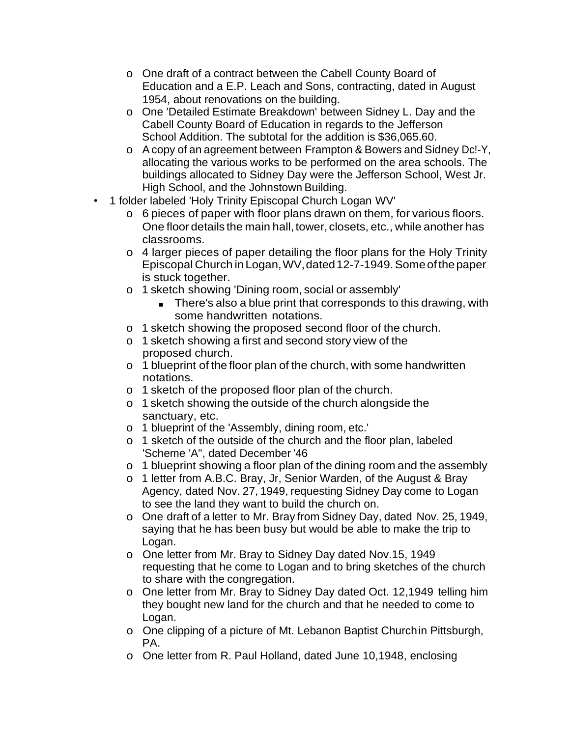- o One draft of a contract between the Cabell County Board of Education and a E.P. Leach and Sons, contracting, dated in August 1954, about renovations on the building.
- o One 'Detailed Estimate Breakdown' between Sidney L. Day and the Cabell County Board of Education in regards to the Jefferson School Addition. The subtotal for the addition is \$36,065.60.
- o Acopy of an agreement between Frampton & Bowers and Sidney Dc!-Y, allocating the various works to be performed on the area schools. The buildings allocated to Sidney Day were the Jefferson School, West Jr. High School, and the Johnstown Building.
- 1 folder labeled 'Holy Trinity Episcopal Church Logan WV'
	- o 6 pieces of paper with floor plans drawn on them, for various floors. One floor details the main hall, tower, closets, etc., while another has classrooms.
	- o 4 larger pieces of paper detailing the floor plans for the Holy Trinity Episcopal Church in Logan,WV,dated12-7-1949.Someofthepaper is stuck together.
	- o 1 sketch showing 'Dining room, social or assembly'
		- There's also a blue print that corresponds to this drawing, with some handwritten notations.
	- o 1 sketch showing the proposed second floor of the church.
	- o 1 sketch showing a first and second story view of the proposed church.
	- o 1 blueprint of the floor plan of the church, with some handwritten notations.
	- o 1 sketch of the proposed floor plan of the church.
	- o 1 sketch showing the outside of the church alongside the sanctuary, etc.
	- o 1 blueprint of the 'Assembly, dining room, etc.'
	- o 1 sketch of the outside of the church and the floor plan, labeled 'Scheme 'A", dated December '46
	- o 1 blueprint showing a floor plan of the dining room and the assembly
	- o 1 letter from A.B.C. Bray, Jr, Senior Warden, of the August & Bray Agency, dated Nov. 27, 1949, requesting Sidney Day come to Logan to see the land they want to build the church on.
	- o One draft of a letter to Mr. Bray from Sidney Day, dated Nov. 25, 1949, saying that he has been busy but would be able to make the trip to Logan.
	- o One letter from Mr. Bray to Sidney Day dated Nov.15, 1949 requesting that he come to Logan and to bring sketches of the church to share with the congregation.
	- o One letter from Mr. Bray to Sidney Day dated Oct. 12,1949 telling him they bought new land for the church and that he needed to come to Logan.
	- o One clipping of a picture of Mt. Lebanon Baptist Churchin Pittsburgh, PA.
	- o One letter from R. Paul Holland, dated June 10,1948, enclosing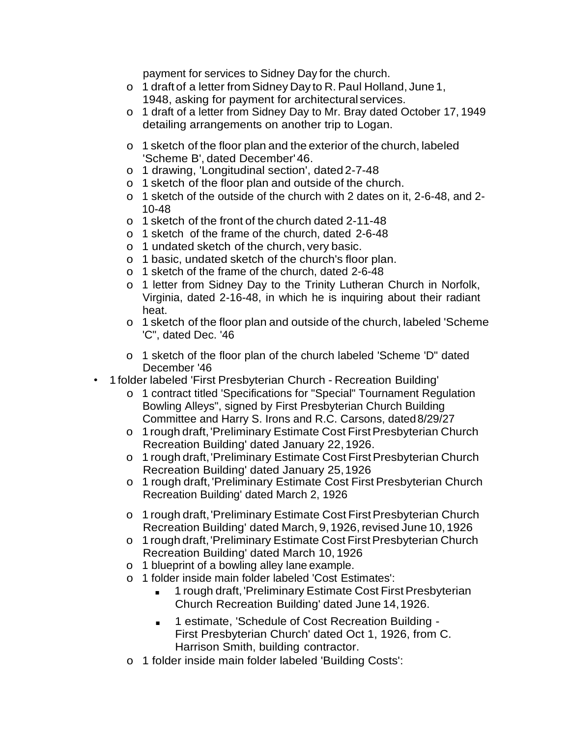payment for services to Sidney Day for the church.

- o 1 draft of a letter from Sidney Day to R. Paul Holland, June 1, 1948, asking for payment for architectural services.
- o 1 draft of a letter from Sidney Day to Mr. Bray dated October 17, 1949 detailing arrangements on another trip to Logan.
- o 1 sketch of the floor plan and the exterior of the church, labeled 'Scheme B', dated December'46.
- o 1 drawing, 'Longitudinal section', dated 2-7-48
- o 1 sketch of the floor plan and outside of the church.
- o 1 sketch of the outside of the church with 2 dates on it, 2-6-48, and 2- 10-48
- o 1 sketch of the front of the church dated 2-11-48
- o 1 sketch of the frame of the church, dated 2-6-48
- o 1 undated sketch of the church, very basic.
- o 1 basic, undated sketch of the church's floor plan.
- o 1 sketch of the frame of the church, dated 2-6-48
- o 1 letter from Sidney Day to the Trinity Lutheran Church in Norfolk, Virginia, dated 2-16-48, in which he is inquiring about their radiant heat.
- o 1 sketch of the floor plan and outside of the church, labeled 'Scheme 'C", dated Dec. '46
- o 1 sketch of the floor plan of the church labeled 'Scheme 'D" dated December '46
- 1 folder labeled 'First Presbyterian Church Recreation Building'
	- o 1 contract titled 'Specifications for "Special" Tournament Regulation Bowling Alleys", signed by First Presbyterian Church Building Committee and Harry S. Irons and R.C. Carsons, dated8/29/27
	- o 1 rough draft, 'Preliminary Estimate Cost First Presbyterian Church Recreation Building' dated January 22,1926.
	- o 1 rough draft, 'Preliminary Estimate Cost First Presbyterian Church Recreation Building' dated January 25,1926
	- o 1 rough draft,'Preliminary Estimate Cost First Presbyterian Church Recreation Building' dated March 2, 1926
	- o 1 rough draft,'Preliminary Estimate Cost FirstPresbyterian Church Recreation Building' dated March, 9,1926,revised June 10,1926
	- o 1 rough draft, 'Preliminary Estimate Cost First Presbyterian Church Recreation Building' dated March 10, 1926
	- o 1 blueprint of a bowling alley lane example.
	- o 1 folder inside main folder labeled 'Cost Estimates':
		- 1 rough draft, 'Preliminary Estimate Cost First Presbyterian Church Recreation Building' dated June 14,1926.
		- 1 estimate, 'Schedule of Cost Recreation Building -First Presbyterian Church' dated Oct 1, 1926, from C. Harrison Smith, building contractor.
	- o 1 folder inside main folder labeled 'Building Costs':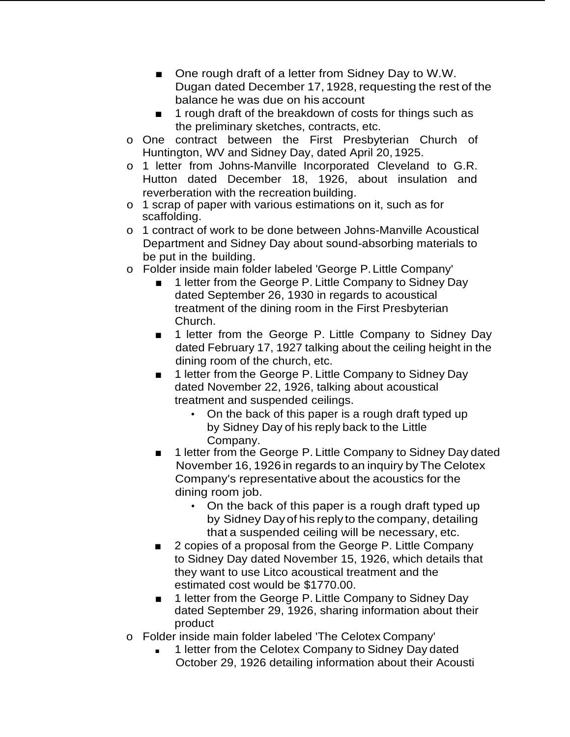- One rough draft of a letter from Sidney Day to W.W. Dugan dated December 17, 1928, requesting the rest of the balance he was due on his account
- 1 rough draft of the breakdown of costs for things such as the preliminary sketches, contracts, etc.
- o One contract between the First Presbyterian Church of Huntington, WV and Sidney Day, dated April 20, 1925.
- o 1 letter from Johns-Manville Incorporated Cleveland to G.R. Hutton dated December 18, 1926, about insulation and reverberation with the recreation building.
- o 1 scrap of paper with various estimations on it, such as for scaffolding.
- o 1 contract of work to be done between Johns-Manville Acoustical Department and Sidney Day about sound-absorbing materials to be put in the building.
- o Folder inside main folder labeled 'George P.Little Company'
	- 1 letter from the George P. Little Company to Sidney Day dated September 26, 1930 in regards to acoustical treatment of the dining room in the First Presbyterian Church.
	- 1 letter from the George P. Little Company to Sidney Day dated February 17, 1927 talking about the ceiling height in the dining room of the church, etc.
	- 1 letter from the George P. Little Company to Sidney Day dated November 22, 1926, talking about acoustical treatment and suspended ceilings.
		- On the back of this paper is a rough draft typed up by Sidney Day of his reply back to the Little Company.
	- 1 letter from the George P. Little Company to Sidney Day dated November 16, 1926 in regards to an inquiry by The Celotex Company's representative about the acoustics for the dining room job.
		- On the back of this paper is a rough draft typed up by Sidney Day of his reply to the company, detailing that a suspended ceiling will be necessary, etc.
	- 2 copies of a proposal from the George P. Little Company to Sidney Day dated November 15, 1926, which details that they want to use Litco acoustical treatment and the estimated cost would be \$1770.00.
	- 1 letter from the George P. Little Company to Sidney Day dated September 29, 1926, sharing information about their product
- o Folder inside main folder labeled 'The Celotex Company'
	- 1 letter from the Celotex Company to Sidney Day dated October 29, 1926 detailing information about their Acousti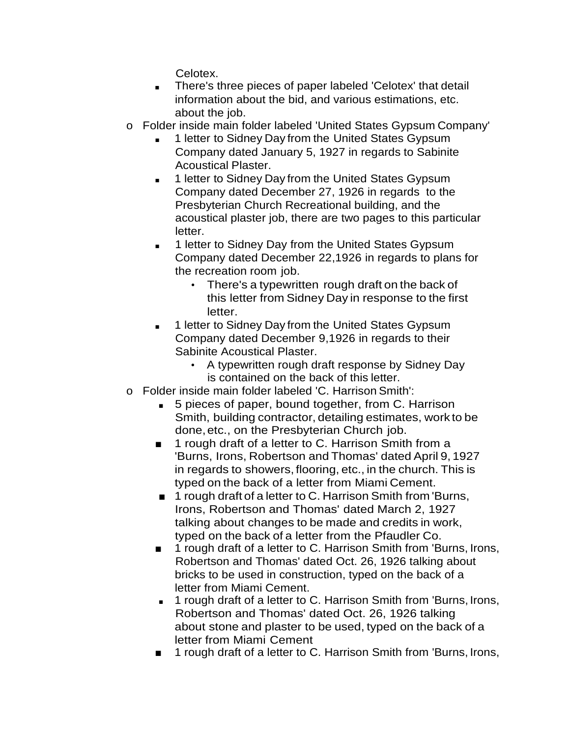Celotex.

- There's three pieces of paper labeled 'Celotex' that detail information about the bid, and various estimations, etc. about the job.
- o Folder inside main folder labeled 'United States Gypsum Company'
	- 1 letter to Sidney Day from the United States Gypsum Company dated January 5, 1927 in regards to Sabinite Acoustical Plaster.
	- 1 letter to Sidney Day from the United States Gypsum Company dated December 27, 1926 in regards to the Presbyterian Church Recreational building, and the acoustical plaster job, there are two pages to this particular letter.
	- 1 letter to Sidney Day from the United States Gypsum Company dated December 22,1926 in regards to plans for the recreation room job.
		- There's a typewritten rough draft on the back of this letter from Sidney Day in response to the first letter.
	- 1 letter to Sidney Day from the United States Gypsum Company dated December 9,1926 in regards to their Sabinite Acoustical Plaster.
		- A typewritten rough draft response by Sidney Day is contained on the back of this letter.
- o Folder inside main folder labeled 'C. Harrison Smith':
	- 5 pieces of paper, bound together, from C. Harrison Smith, building contractor, detailing estimates, work to be done,etc., on the Presbyterian Church job.
	- 1 rough draft of a letter to C. Harrison Smith from a 'Burns, Irons, Robertson and Thomas' dated April 9, 1927 in regards to showers, flooring, etc., in the church. This is typed on the back of a letter from Miami Cement.
	- 1 rough draft of a letter to C. Harrison Smith from 'Burns, Irons, Robertson and Thomas' dated March 2, 1927 talking about changes to be made and credits in work, typed on the back of a letter from the Pfaudler Co.
	- 1 rough draft of a letter to C. Harrison Smith from 'Burns, Irons, Robertson and Thomas' dated Oct. 26, 1926 talking about bricks to be used in construction, typed on the back of a letter from Miami Cement.
	- 1 rough draft of a letter to C. Harrison Smith from 'Burns, Irons, Robertson and Thomas' dated Oct. 26, 1926 talking about stone and plaster to be used, typed on the back of a letter from Miami Cement
	- 1 rough draft of a letter to C. Harrison Smith from 'Burns, Irons,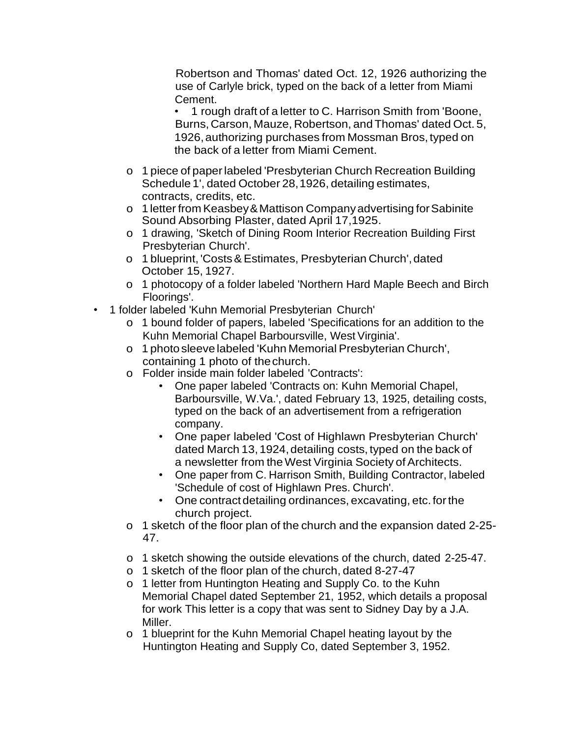Robertson and Thomas' dated Oct. 12, 1926 authorizing the use of Carlyle brick, typed on the back of a letter from Miami Cement.

• 1 rough draft of a letter to C. Harrison Smith from 'Boone, Burns, Carson, Mauze, Robertson, and Thomas' dated Oct. 5, 1926,authorizing purchases from Mossman Bros, typed on the back of a letter from Miami Cement.

- o 1 piece of paperlabeled 'Presbyterian Church Recreation Building Schedule 1', dated October 28,1926, detailing estimates, contracts, credits, etc.
- o 1 letter from Keasbey&Mattison Companyadvertising forSabinite Sound Absorbing Plaster, dated April 17,1925.
- o 1 drawing, 'Sketch of Dining Room Interior Recreation Building First Presbyterian Church'.
- o 1 blueprint, 'Costs&Estimates, Presbyterian Church',dated October 15, 1927.
- o 1 photocopy of a folder labeled 'Northern Hard Maple Beech and Birch Floorings'.
- 1 folder labeled 'Kuhn Memorial Presbyterian Church'
	- o 1 bound folder of papers, labeled 'Specifications for an addition to the Kuhn Memorial Chapel Barboursville, West Virginia'.
	- o 1 photo sleeve labeled 'Kuhn Memorial Presbyterian Church', containing 1 photo of thechurch.
	- o Folder inside main folder labeled 'Contracts':
		- One paper labeled 'Contracts on: Kuhn Memorial Chapel, Barboursville, W.Va.', dated February 13, 1925, detailing costs, typed on the back of an advertisement from a refrigeration company.
		- One paper labeled 'Cost of Highlawn Presbyterian Church' dated March 13, 1924, detailing costs, typed on the back of a newsletter from the West Virginia Society of Architects.
		- One paper from C. Harrison Smith, Building Contractor, labeled 'Schedule of cost of Highlawn Pres. Church'.
		- One contract detailing ordinances, excavating, etc. for the church project.
	- o 1 sketch of the floor plan of the church and the expansion dated 2-25- 47.
	- o 1 sketch showing the outside elevations of the church, dated 2-25-47.
	- o 1 sketch of the floor plan of the church, dated 8-27-47
	- o 1 letter from Huntington Heating and Supply Co. to the Kuhn Memorial Chapel dated September 21, 1952, which details a proposal for work This letter is a copy that was sent to Sidney Day by a J.A. Miller.
	- o 1 blueprint for the Kuhn Memorial Chapel heating layout by the Huntington Heating and Supply Co, dated September 3, 1952.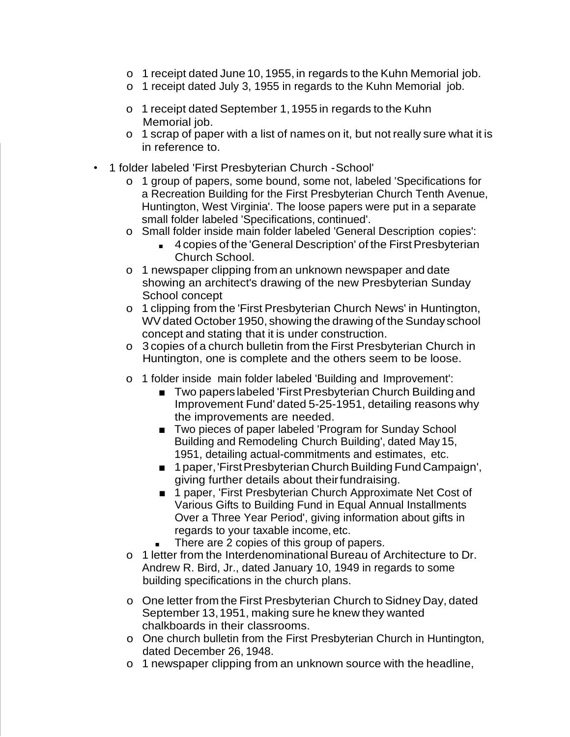- o 1 receipt dated June 10, 1955, in regards to the Kuhn Memorial job.
- o 1 receipt dated July 3, 1955 in regards to the Kuhn Memorial job.
- o 1 receipt dated September 1,1955 in regards to the Kuhn Memorial job.
- o 1 scrap of paper with a list of names on it, but not really sure what it is in reference to.
- 1 folder labeled 'First Presbyterian Church -School'
	- o 1 group of papers, some bound, some not, labeled 'Specifications for a Recreation Building for the First Presbyterian Church Tenth Avenue, Huntington, West Virginia'. The loose papers were put in a separate small folder labeled 'Specifications, continued'.
	- o Small folder inside main folder labeled 'General Description copies':
		- 4 copies of the 'General Description' of the First Presbyterian Church School.
	- o 1 newspaper clipping from an unknown newspaper and date showing an architect's drawing of the new Presbyterian Sunday School concept
	- o 1 clipping from the 'First Presbyterian Church News' in Huntington, WVdated October 1950, showing the drawing of the Sunday school concept and stating that it is under construction.
	- o 3 copies of a church bulletin from the First Presbyterian Church in Huntington, one is complete and the others seem to be loose.
	- o 1 folder inside main folder labeled 'Building and Improvement':
		- Two papers labeled 'First Presbyterian Church Building and Improvement Fund' dated 5-25-1951, detailing reasons why the improvements are needed.
		- Two pieces of paper labeled 'Program for Sunday School Building and Remodeling Church Building', dated May15, 1951, detailing actual-commitments and estimates, etc.
		- 1 paper, 'First Presbyterian Church Building Fund Campaign', giving further details about theirfundraising.
		- 1 paper, 'First Presbyterian Church Approximate Net Cost of Various Gifts to Building Fund in Equal Annual Installments Over a Three Year Period', giving information about gifts in regards to your taxable income, etc.
		- There are 2 copies of this group of papers.
	- o 1 letter from the Interdenominational Bureau of Architecture to Dr. Andrew R. Bird, Jr., dated January 10, 1949 in regards to some building specifications in the church plans.
	- o One letter from the First Presbyterian Church toSidney Day, dated September 13,1951, making sure he knew they wanted chalkboards in their classrooms.
	- o One church bulletin from the First Presbyterian Church in Huntington, dated December 26, 1948.
	- o 1 newspaper clipping from an unknown source with the headline,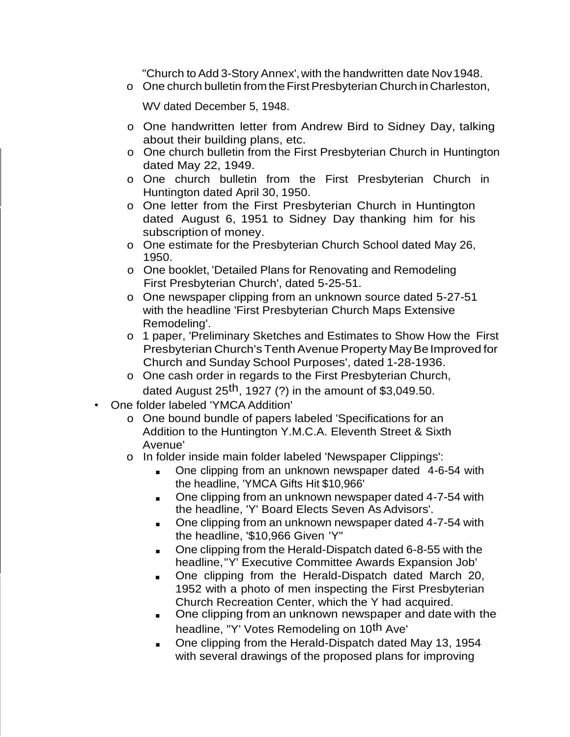"Church to Add 3-Story Annex', with the handwritten date Nov 1948.

o One church bulletin from the First Presbyterian Church in Charleston,

WV dated December 5, 1948.

- o One handwritten letter from Andrew Bird to Sidney Day, talking about their building plans, etc.
- o One church bulletin from the First Presbyterian Church in Huntington dated May 22, 1949.
- o One church bulletin from the First Presbyterian Church in Huntington dated April 30, 1950.
- o One letter from the First Presbyterian Church in Huntington dated August 6, 1951 to Sidney Day thanking him for his subscription of money.
- o One estimate for the Presbyterian Church School dated May 26, 1950.
- o One booklet, 'Detailed Plans for Renovating and Remodeling First Presbyterian Church', dated 5-25-51.
- o One newspaper clipping from an unknown source dated 5-27-51 with the headline 'First Presbyterian Church Maps Extensive Remodeling'.
- o 1 paper, 'Preliminary Sketches and Estimates to Show How the First Presbyterian Church's Tenth Avenue Property May Be Improved for Church and Sunday School Purposes', dated 1-28-1936.
- o One cash order in regards to the First Presbyterian Church, dated August 25<sup>th</sup>, 1927 (?) in the amount of \$3,049.50.
- One folder labeled 'YMCA Addition'
	- o One bound bundle of papers labeled 'Specifications for an Addition to the Huntington Y.M.C.A. Eleventh Street & Sixth Avenue'
	- o In folder inside main folder labeled 'Newspaper Clippings':
		- One clipping from an unknown newspaper dated 4-6-54 with the headline, 'YMCA Gifts Hit \$10,966'
		- One clipping from an unknown newspaper dated 4-7-54 with the headline, 'Y' Board Elects Seven As Advisors'.
		- One clipping from an unknown newspaper dated 4-7-54 with the headline, '\$10,966 Given 'Y"
		- One clipping from the Herald-Dispatch dated 6-8-55 with the headline,"Y' Executive Committee Awards Expansion Job'
		- One clipping from the Herald-Dispatch dated March 20, 1952 with a photo of men inspecting the First Presbyterian Church Recreation Center, which the Y had acquired.
		- One clipping from an unknown newspaper and date with the headline, "Y' Votes Remodeling on 10<sup>th</sup> Ave'
		- One clipping from the Herald-Dispatch dated May 13, 1954 with several drawings of the proposed plans for improving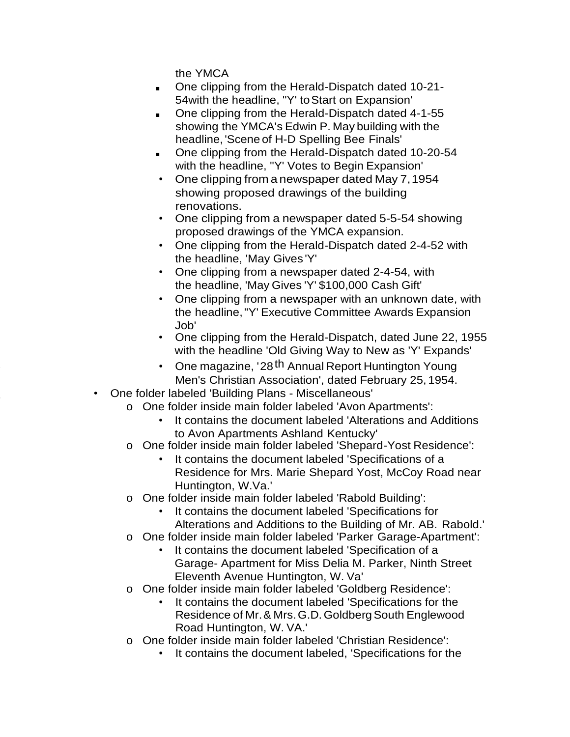the YMCA

- One clipping from the Herald-Dispatch dated 10-21-54with the headline, "Y' toStart on Expansion'
- One clipping from the Herald-Dispatch dated 4-1-55 showing the YMCA's Edwin P. May building with the headline, 'Scene of H-D Spelling Bee Finals'
- One clipping from the Herald-Dispatch dated 10-20-54 with the headline, "Y' Votes to Begin Expansion'
- One clipping from a newspaper dated May 7,1954 showing proposed drawings of the building renovations.
- One clipping from a newspaper dated 5-5-54 showing proposed drawings of the YMCA expansion.
- One clipping from the Herald-Dispatch dated 2-4-52 with the headline, 'May Gives 'Y'
- One clipping from a newspaper dated 2-4-54, with the headline, 'May Gives 'Y' \$100,000 Cash Gift'
- One clipping from a newspaper with an unknown date, with the headline,"Y' Executive Committee Awards Expansion Job'
- One clipping from the Herald-Dispatch, dated June 22, 1955 with the headline 'Old Giving Way to New as 'Y' Expands'
- One magazine, '28<sup>th</sup> Annual Report Huntington Young Men's Christian Association', dated February 25, 1954.
- One folder labeled 'Building Plans Miscellaneous'
	- o One folder inside main folder labeled 'Avon Apartments':
		- It contains the document labeled 'Alterations and Additions to Avon Apartments Ashland Kentucky'
	- o One folder inside main folder labeled 'Shepard-Yost Residence':
		- It contains the document labeled 'Specifications of a Residence for Mrs. Marie Shepard Yost, McCoy Road near Huntington, W.Va.'
	- One folder inside main folder labeled 'Rabold Building':
		- It contains the document labeled 'Specifications for Alterations and Additions to the Building of Mr. AB. Rabold.'
	- o One folder inside main folder labeled 'Parker Garage-Apartment':
		- It contains the document labeled 'Specification of a Garage- Apartment for Miss Delia M. Parker, Ninth Street Eleventh Avenue Huntington, W. Va'
	- o One folder inside main folder labeled 'Goldberg Residence':
		- It contains the document labeled 'Specifications for the Residence of Mr. & Mrs. G.D. Goldberg South Englewood Road Huntington, W. VA.'
	- o One folder inside main folder labeled 'Christian Residence':
		- It contains the document labeled, 'Specifications for the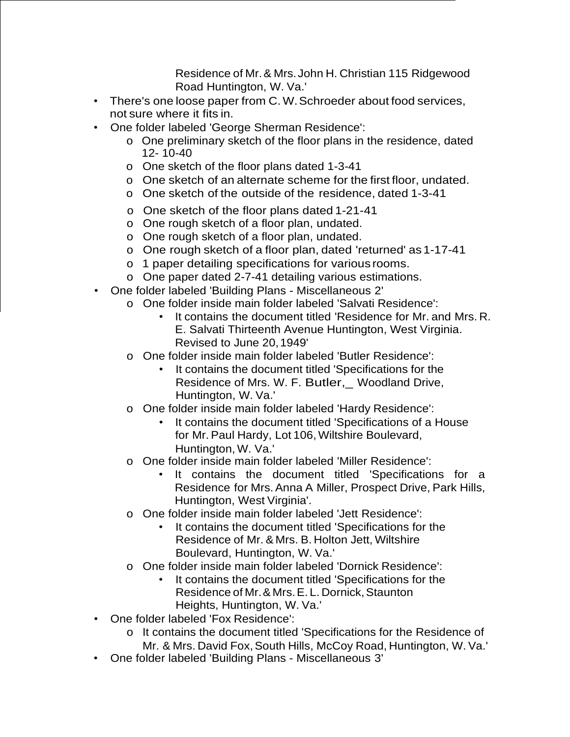Residence of Mr.& Mrs.John H. Christian 115 Ridgewood Road Huntington, W. Va.'

- There's one loose paper from C.W.Schroeder about food services, not sure where it fits in.
- One folder labeled 'George Sherman Residence':
	- o One preliminary sketch of the floor plans in the residence, dated 12- 10-40
	- o One sketch of the floor plans dated 1-3-41
	- o One sketch of an alternate scheme for the first floor, undated.
	- o One sketch of the outside of the residence, dated 1-3-41
	- o One sketch of the floor plans dated 1-21-41
	- o One rough sketch of a floor plan, undated.
	- o One rough sketch of a floor plan, undated.
	- o One rough sketch of a floor plan, dated 'returned' as 1-17-41
	- o 1 paper detailing specifications for various rooms.
	- o One paper dated 2-7-41 detailing various estimations.
- One folder labeled 'Building Plans Miscellaneous 2'
	- o One folder inside main folder labeled 'Salvati Residence':
		- It contains the document titled 'Residence for Mr. and Mrs. R. E. Salvati Thirteenth Avenue Huntington, West Virginia. Revised to June 20,1949'
	- o One folder inside main folder labeled 'Butler Residence':
		- It contains the document titled 'Specifications for the Residence of Mrs. W. F. Butler,\_ Woodland Drive, Huntington, W. Va.'
	- o One folder inside main folder labeled 'Hardy Residence':
		- It contains the document titled 'Specifications of a House for Mr. Paul Hardy, Lot 106,Wiltshire Boulevard, Huntington, W. Va.'
	- o One folder inside main folder labeled 'Miller Residence':
		- It contains the document titled 'Specifications for a Residence for Mrs.Anna A Miller, Prospect Drive, Park Hills, Huntington, West Virginia'.
	- o One folder inside main folder labeled 'Jett Residence':
		- It contains the document titled 'Specifications for the Residence of Mr. & Mrs. B. Holton Jett, Wiltshire Boulevard, Huntington, W. Va.'
	- o One folder inside main folder labeled 'Dornick Residence':
		- It contains the document titled 'Specifications for the Residence of Mr. & Mrs. E. L. Dornick, Staunton Heights, Huntington, W. Va.'
- One folder labeled 'Fox Residence':
	- o It contains the document titled 'Specifications for the Residence of Mr. & Mrs. David Fox, South Hills, McCoy Road, Huntington, W. Va.'
- One folder labeled 'Building Plans Miscellaneous 3'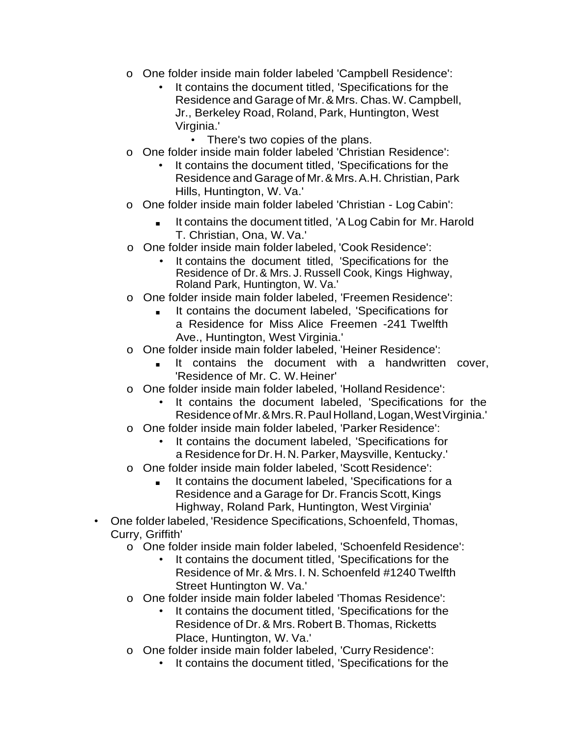- o One folder inside main folder labeled 'Campbell Residence':
	- It contains the document titled, 'Specifications for the Residence and Garage of Mr.& Mrs. Chas.W. Campbell, Jr., Berkeley Road, Roland, Park, Huntington, West Virginia.'
		- There's two copies of the plans.
- o One folder inside main folder labeled 'Christian Residence':
	- It contains the document titled, 'Specifications for the Residence and Garage of Mr.&Mrs.A.H. Christian, Park Hills, Huntington, W. Va.'
- One folder inside main folder labeled 'Christian Log Cabin':
	- It contains the document titled, 'A Log Cabin for Mr. Harold T. Christian, Ona, W.Va.'
- o One folder inside main folder labeled, 'Cook Residence':
	- It contains the document titled, 'Specifications for the Residence of Dr.& Mrs. J. Russell Cook, Kings Highway, Roland Park, Huntington, W. Va.'
- o One folder inside main folder labeled, 'Freemen Residence':
	- It contains the document labeled, 'Specifications for a Residence for Miss Alice Freemen -241 Twelfth Ave., Huntington, West Virginia.'
- o One folder inside main folder labeled, 'Heiner Residence':
	- It contains the document with a handwritten cover, 'Residence of Mr. C. W.Heiner'
- o One folder inside main folder labeled, 'Holland Residence':
	- It contains the document labeled, 'Specifications for the Residence ofMr.&Mrs.R.Paul Holland,Logan,WestVirginia.'
- o One folder inside main folder labeled, 'Parker Residence':
	- It contains the document labeled. 'Specifications for a Residence for Dr.H.N.Parker,Maysville, Kentucky.'
- o One folder inside main folder labeled, 'Scott Residence':
	- It contains the document labeled, 'Specifications for a Residence and a Garage for Dr. Francis Scott, Kings Highway, Roland Park, Huntington, West Virginia'
- One folder labeled, 'Residence Specifications, Schoenfeld, Thomas, Curry, Griffith'
	- o One folder inside main folder labeled, 'Schoenfeld Residence':
		- It contains the document titled, 'Specifications for the Residence of Mr. & Mrs. I. N. Schoenfeld #1240 Twelfth Street Huntington W. Va.'
	- o One folder inside main folder labeled 'Thomas Residence':
		- It contains the document titled, 'Specifications for the Residence of Dr.& Mrs. Robert B.Thomas, Ricketts Place, Huntington, W. Va.'
	- o One folder inside main folder labeled, 'Curry Residence':
		- It contains the document titled, 'Specifications for the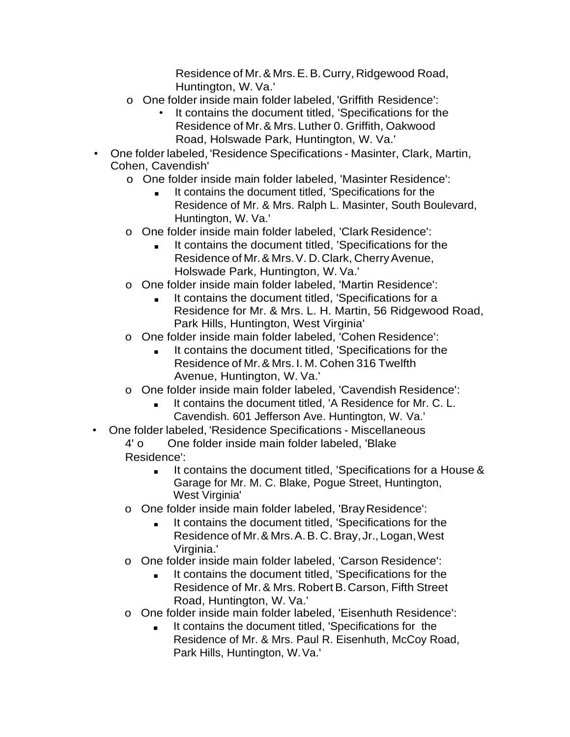Residence of Mr.& Mrs.E.B.Curry, Ridgewood Road, Huntington, W. Va.'

- o One folder inside main folder labeled, 'Griffith Residence':
	- It contains the document titled, 'Specifications for the Residence of Mr.& Mrs. Luther 0. Griffith, Oakwood Road, Holswade Park, Huntington, W. Va.'
- One folder labeled, 'Residence Specifications Masinter, Clark, Martin, Cohen, Cavendish'
	- o One folder inside main folder labeled, 'Masinter Residence':
		- It contains the document titled, 'Specifications for the Residence of Mr. & Mrs. Ralph L. Masinter, South Boulevard, Huntington, W. Va.'
	- o One folder inside main folder labeled, 'Clark Residence':
		- It contains the document titled, 'Specifications for the Residence of Mr.& Mrs.V. D.Clark, CherryAvenue, Holswade Park, Huntington, W. Va.'
	- o One folder inside main folder labeled, 'Martin Residence':
		- It contains the document titled, 'Specifications for a Residence for Mr. & Mrs. L. H. Martin, 56 Ridgewood Road, Park Hills, Huntington, West Virginia'
	- o One folder inside main folder labeled, 'Cohen Residence':
		- It contains the document titled, 'Specifications for the Residence of Mr.& Mrs. I. M. Cohen 316 Twelfth Avenue, Huntington, W. Va.'
	- o One folder inside main folder labeled, 'Cavendish Residence':
		- It contains the document titled, 'A Residence for Mr. C. L. Cavendish. 601 Jefferson Ave. Huntington, W. Va.'
- One folder labeled, 'Residence Specifications Miscellaneous 4' o One folder inside main folder labeled, 'Blake Residence':
	- It contains the document titled, 'Specifications for a House & Garage for Mr. M. C. Blake, Pogue Street, Huntington, West Virginia'
	- o One folder inside main folder labeled, 'BrayResidence':
		- It contains the document titled, 'Specifications for the Residence of Mr.& Mrs.A.B. C.Bray,Jr.,Logan,West Virginia.'
	- o One folder inside main folder labeled, 'Carson Residence':
		- It contains the document titled, 'Specifications for the Residence of Mr.& Mrs. Robert B.Carson, Fifth Street Road, Huntington, W. Va.'
	- o One folder inside main folder labeled, 'Eisenhuth Residence':
		- It contains the document titled, 'Specifications for the Residence of Mr. & Mrs. Paul R. Eisenhuth, McCoy Road, Park Hills, Huntington, W.Va.'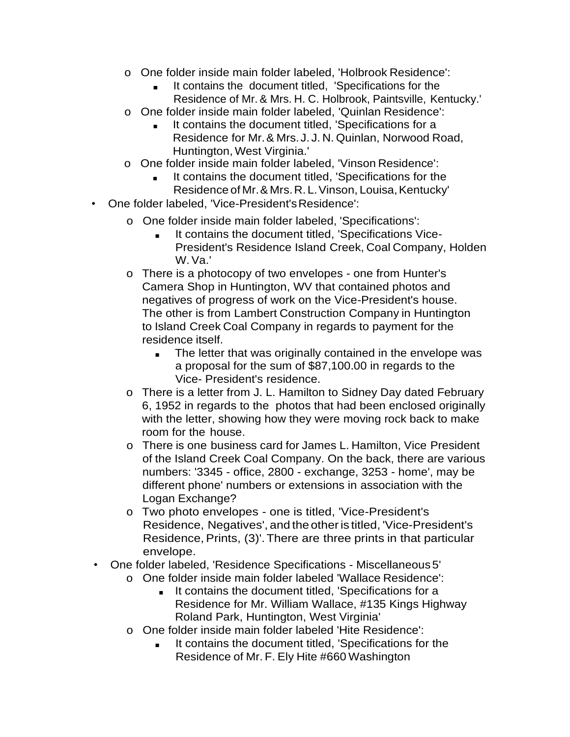- o One folder inside main folder labeled, 'Holbrook Residence':
	- It contains the document titled, 'Specifications for the Residence of Mr. & Mrs. H. C. Holbrook, Paintsville, Kentucky.'
- o One folder inside main folder labeled, 'Quinlan Residence':
	- It contains the document titled, 'Specifications for a Residence for Mr.& Mrs.J. J. N. Quinlan, Norwood Road, Huntington, West Virginia.'
- o One folder inside main folder labeled, 'Vinson Residence':
	- It contains the document titled, 'Specifications for the Residence of Mr. & Mrs. R. L. Vinson, Louisa, Kentucky'
- One folder labeled, 'Vice-President'sResidence':
	- o One folder inside main folder labeled, 'Specifications':
		- It contains the document titled, 'Specifications Vice-President's Residence Island Creek, Coal Company, Holden W.Va.'
	- o There is a photocopy of two envelopes one from Hunter's Camera Shop in Huntington, WV that contained photos and negatives of progress of work on the Vice-President's house. The other is from Lambert Construction Company in Huntington to Island Creek Coal Company in regards to payment for the residence itself.
		- The letter that was originally contained in the envelope was a proposal for the sum of \$87,100.00 in regards to the Vice- President's residence.
	- o There is a letter from J. L. Hamilton to Sidney Day dated February 6, 1952 in regards to the photos that had been enclosed originally with the letter, showing how they were moving rock back to make room for the house.
	- o There is one business card for James L. Hamilton, Vice President of the Island Creek Coal Company. On the back, there are various numbers: '3345 - office, 2800 - exchange, 3253 - home', may be different phone' numbers or extensions in association with the Logan Exchange?
	- o Two photo envelopes one is titled, 'Vice-President's Residence, Negatives', and theotheris titled, 'Vice-President's Residence, Prints, (3)'. There are three prints in that particular envelope.
- One folder labeled, 'Residence Specifications Miscellaneous 5'
	- o One folder inside main folder labeled 'Wallace Residence':
		- It contains the document titled, 'Specifications for a Residence for Mr. William Wallace, #135 Kings Highway Roland Park, Huntington, West Virginia'
	- o One folder inside main folder labeled 'Hite Residence':
		- It contains the document titled, 'Specifications for the Residence of Mr. F. Ely Hite #660 Washington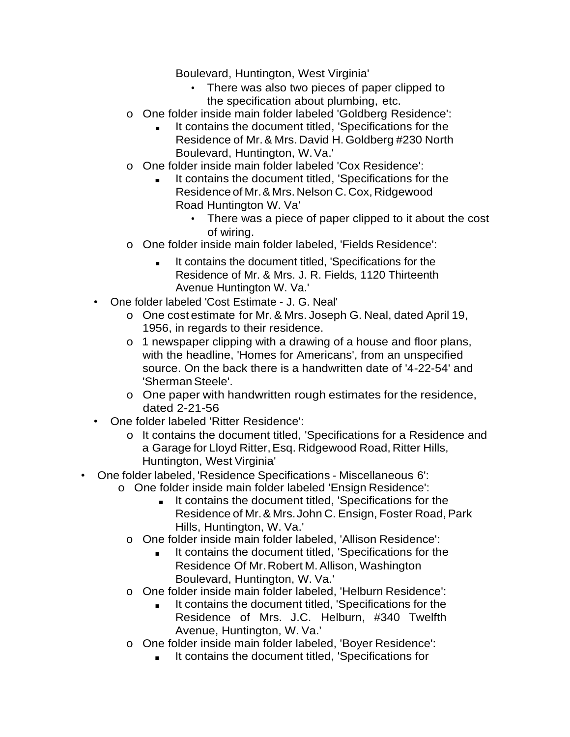Boulevard, Huntington, West Virginia'

- There was also two pieces of paper clipped to the specification about plumbing, etc.
- o One folder inside main folder labeled 'Goldberg Residence':
	- It contains the document titled, 'Specifications for the Residence of Mr.& Mrs. David H.Goldberg #230 North Boulevard, Huntington, W.Va.'
- o One folder inside main folder labeled 'Cox Residence':
	- It contains the document titled, 'Specifications for the Residence of Mr. & Mrs. Nelson C. Cox, Ridgewood Road Huntington W. Va'
		- There was a piece of paper clipped to it about the cost of wiring.
- o One folder inside main folder labeled, 'Fields Residence':
	- It contains the document titled, 'Specifications for the Residence of Mr. & Mrs. J. R. Fields, 1120 Thirteenth Avenue Huntington W. Va.'
- One folder labeled 'Cost Estimate J. G. Neal'
	- o One cost estimate for Mr.& Mrs. Joseph G. Neal, dated April 19, 1956, in regards to their residence.
	- o 1 newspaper clipping with a drawing of a house and floor plans, with the headline, 'Homes for Americans', from an unspecified source. On the back there is a handwritten date of '4-22-54' and 'Sherman Steele'.
	- o One paper with handwritten rough estimates for the residence, dated 2-21-56
- One folder labeled 'Ritter Residence':
	- o It contains the document titled, 'Specifications for a Residence and a Garage for Lloyd Ritter,Esq. Ridgewood Road, Ritter Hills, Huntington, West Virginia'
- One folder labeled, 'Residence Specifications Miscellaneous 6':
	- o One folder inside main folder labeled 'Ensign Residence':
		- It contains the document titled, 'Specifications for the Residence of Mr. & Mrs. John C. Ensign, Foster Road, Park Hills, Huntington, W. Va.'
		- o One folder inside main folder labeled, 'Allison Residence':
			- It contains the document titled, 'Specifications for the Residence Of Mr.Robert M.Allison, Washington Boulevard, Huntington, W. Va.'
		- o One folder inside main folder labeled, 'Helburn Residence':
			- It contains the document titled, 'Specifications for the Residence of Mrs. J.C. Helburn, #340 Twelfth Avenue, Huntington, W. Va.'
		- o One folder inside main folder labeled, 'Boyer Residence':
			- It contains the document titled, 'Specifications for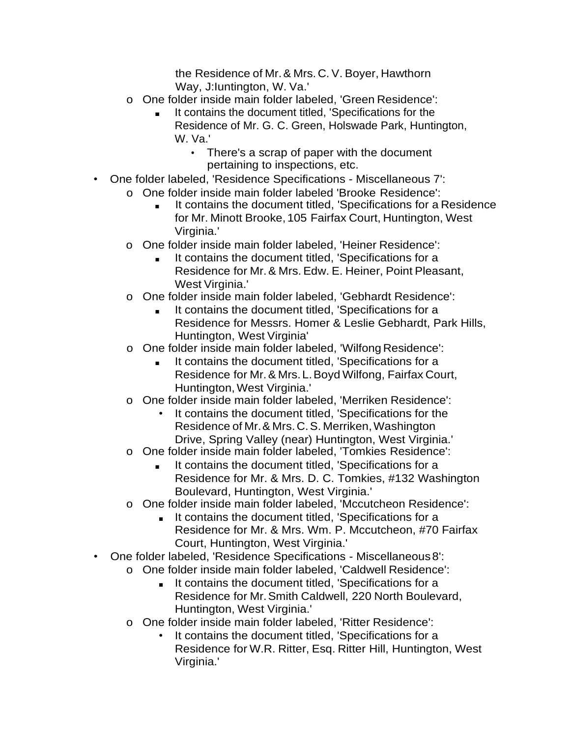the Residence of Mr.& Mrs. C. V. Boyer, Hawthorn Way, J:Iuntington, W. Va.'

- o One folder inside main folder labeled, 'Green Residence':
	- It contains the document titled, 'Specifications for the Residence of Mr. G. C. Green, Holswade Park, Huntington, W. Va.'
		- There's a scrap of paper with the document pertaining to inspections, etc.
- One folder labeled, 'Residence Specifications Miscellaneous 7':
	- o One folder inside main folder labeled 'Brooke Residence':
		- It contains the document titled, 'Specifications for a Residence for Mr. Minott Brooke, 105 Fairfax Court, Huntington, West Virginia.'
	- o One folder inside main folder labeled, 'Heiner Residence':
		- It contains the document titled, 'Specifications for a Residence for Mr.& Mrs. Edw. E. Heiner, Point Pleasant, West Virginia.'
	- o One folder inside main folder labeled, 'Gebhardt Residence':
		- It contains the document titled, 'Specifications for a Residence for Messrs. Homer & Leslie Gebhardt, Park Hills, Huntington, West Virginia'
	- o One folder inside main folder labeled, 'Wilfong Residence':
		- It contains the document titled, 'Specifications for a Residence for Mr.& Mrs.L.Boyd Wilfong, Fairfax Court, Huntington, West Virginia.'
	- o One folder inside main folder labeled, 'Merriken Residence':
		- It contains the document titled, 'Specifications for the Residence of Mr. & Mrs. C. S. Merriken, Washington Drive, Spring Valley (near) Huntington, West Virginia.'
	- o One folder inside main folder labeled, 'Tomkies Residence':
		- It contains the document titled, 'Specifications for a Residence for Mr. & Mrs. D. C. Tomkies, #132 Washington Boulevard, Huntington, West Virginia.'
	- o One folder inside main folder labeled, 'Mccutcheon Residence':
		- It contains the document titled, 'Specifications for a Residence for Mr. & Mrs. Wm. P. Mccutcheon, #70 Fairfax Court, Huntington, West Virginia.'
- One folder labeled, 'Residence Specifications Miscellaneous 8':
	- o One folder inside main folder labeled, 'Caldwell Residence':
		- It contains the document titled, 'Specifications for a Residence for Mr.Smith Caldwell, 220 North Boulevard, Huntington, West Virginia.'
	- o One folder inside main folder labeled, 'Ritter Residence':
		- It contains the document titled, 'Specifications for a Residence for W.R. Ritter, Esq. Ritter Hill, Huntington, West Virginia.'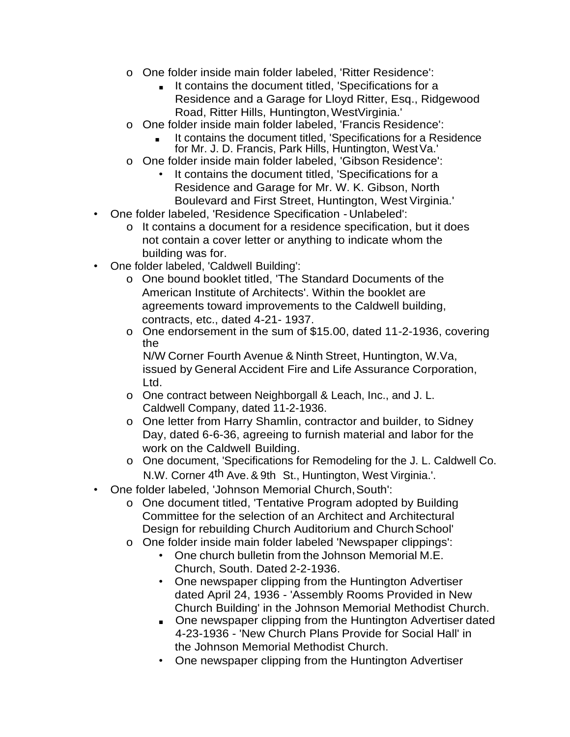- o One folder inside main folder labeled, 'Ritter Residence':
	- It contains the document titled, 'Specifications for a Residence and a Garage for Lloyd Ritter, Esq., Ridgewood Road, Ritter Hills, Huntington, WestVirginia.'
- o One folder inside main folder labeled, 'Francis Residence':
	- It contains the document titled, 'Specifications for a Residence for Mr. J. D. Francis, Park Hills, Huntington, WestVa.'
- o One folder inside main folder labeled, 'Gibson Residence':
	- It contains the document titled, 'Specifications for a Residence and Garage for Mr. W. K. Gibson, North Boulevard and First Street, Huntington, West Virginia.'
- One folder labeled, 'Residence Specification Unlabeled':
	- o It contains a document for a residence specification, but it does not contain a cover letter or anything to indicate whom the building was for.
- One folder labeled, 'Caldwell Building':
	- o One bound booklet titled, 'The Standard Documents of the American Institute of Architects'. Within the booklet are agreements toward improvements to the Caldwell building, contracts, etc., dated 4-21- 1937.
	- o One endorsement in the sum of \$15.00, dated 11-2-1936, covering the

N/W Corner Fourth Avenue & Ninth Street, Huntington, W.Va, issued by General Accident Fire and Life Assurance Corporation, Ltd.

- o One contract between Neighborgall & Leach, Inc., and J. L. Caldwell Company, dated 11-2-1936.
- o One letter from Harry Shamlin, contractor and builder, to Sidney Day, dated 6-6-36, agreeing to furnish material and labor for the work on the Caldwell Building.
- o One document, 'Specifications for Remodeling for the J. L. Caldwell Co. N.W. Corner 4th Ave.& 9th St., Huntington, West Virginia.'.
- One folder labeled, 'Johnson Memorial Church,South':
	- o One document titled, 'Tentative Program adopted by Building Committee for the selection of an Architect and Architectural Design for rebuilding Church Auditorium and Church School'
	- o One folder inside main folder labeled 'Newspaper clippings':
		- One church bulletin from the Johnson Memorial M.E. Church, South. Dated 2-2-1936.
		- One newspaper clipping from the Huntington Advertiser dated April 24, 1936 - 'Assembly Rooms Provided in New Church Building' in the Johnson Memorial Methodist Church.
		- One newspaper clipping from the Huntington Advertiser dated 4-23-1936 - 'New Church Plans Provide for Social Hall' in the Johnson Memorial Methodist Church.
		- One newspaper clipping from the Huntington Advertiser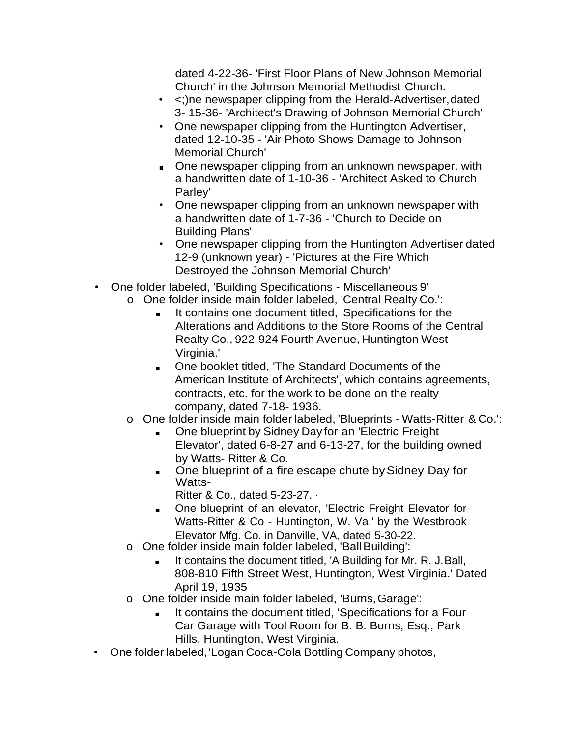dated 4-22-36- 'First Floor Plans of New Johnson Memorial Church' in the Johnson Memorial Methodist Church.

- <;)ne newspaper clipping from the Herald-Advertiser,dated 3- 15-36- 'Architect's Drawing of Johnson Memorial Church'
- One newspaper clipping from the Huntington Advertiser, dated 12-10-35 - 'Air Photo Shows Damage to Johnson Memorial Church'
- One newspaper clipping from an unknown newspaper, with a handwritten date of 1-10-36 - 'Architect Asked to Church Parley'
- One newspaper clipping from an unknown newspaper with a handwritten date of 1-7-36 - 'Church to Decide on Building Plans'
- One newspaper clipping from the Huntington Advertiser dated 12-9 (unknown year) - 'Pictures at the Fire Which Destroyed the Johnson Memorial Church'
- One folder labeled, 'Building Specifications Miscellaneous 9'
	- o One folder inside main folder labeled, 'Central Realty Co.':
		- It contains one document titled, 'Specifications for the Alterations and Additions to the Store Rooms of the Central Realty Co., 922-924 Fourth Avenue, Huntington West Virginia.'
		- One booklet titled, 'The Standard Documents of the American Institute of Architects', which contains agreements, contracts, etc. for the work to be done on the realty company, dated 7-18- 1936.
	- o One folder inside main folder labeled, 'Blueprints Watts-Ritter & Co.':
		- One blueprint by Sidney Day for an 'Electric Freight Elevator', dated 6-8-27 and 6-13-27, for the building owned by Watts- Ritter & Co.
		- One blueprint of a fire escape chute by Sidney Day for Watts-
			- Ritter & Co., dated 5-23-27. ·
		- One blueprint of an elevator, 'Electric Freight Elevator for Watts-Ritter & Co - Huntington, W. Va.' by the Westbrook Elevator Mfg. Co. in Danville, VA, dated 5-30-22.
	- o One folder inside main folder labeled, 'Ball Building':
		- It contains the document titled, 'A Building for Mr. R. J. Ball, 808-810 Fifth Street West, Huntington, West Virginia.' Dated April 19, 1935
	- o One folder inside main folder labeled, 'Burns,Garage':
		- It contains the document titled, 'Specifications for a Four Car Garage with Tool Room for B. B. Burns, Esq., Park Hills, Huntington, West Virginia.
- One folder labeled, 'Logan Coca-Cola Bottling Company photos,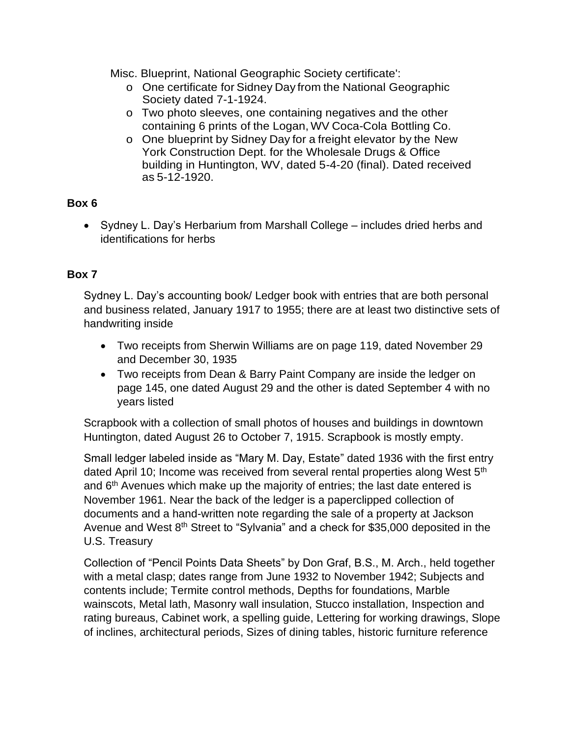Misc. Blueprint, National Geographic Society certificate':

- o One certificate for Sidney Day from the National Geographic Society dated 7-1-1924.
- o Two photo sleeves, one containing negatives and the other containing 6 prints of the Logan, WV Coca-Cola Bottling Co.
- o One blueprint by Sidney Day for a freight elevator by the New York Construction Dept. for the Wholesale Drugs & Office building in Huntington, WV, dated 5-4-20 (final). Dated received as 5-12-1920.

## **Box 6**

• Sydney L. Day's Herbarium from Marshall College – includes dried herbs and identifications for herbs

# **Box 7**

Sydney L. Day's accounting book/ Ledger book with entries that are both personal and business related, January 1917 to 1955; there are at least two distinctive sets of handwriting inside

- Two receipts from Sherwin Williams are on page 119, dated November 29 and December 30, 1935
- Two receipts from Dean & Barry Paint Company are inside the ledger on page 145, one dated August 29 and the other is dated September 4 with no years listed

Scrapbook with a collection of small photos of houses and buildings in downtown Huntington, dated August 26 to October 7, 1915. Scrapbook is mostly empty.

Small ledger labeled inside as "Mary M. Day, Estate" dated 1936 with the first entry dated April 10; Income was received from several rental properties along West 5<sup>th</sup> and 6<sup>th</sup> Avenues which make up the majority of entries; the last date entered is November 1961. Near the back of the ledger is a paperclipped collection of documents and a hand-written note regarding the sale of a property at Jackson Avenue and West 8<sup>th</sup> Street to "Sylvania" and a check for \$35,000 deposited in the U.S. Treasury

Collection of "Pencil Points Data Sheets" by Don Graf, B.S., M. Arch., held together with a metal clasp; dates range from June 1932 to November 1942; Subjects and contents include; Termite control methods, Depths for foundations, Marble wainscots, Metal lath, Masonry wall insulation, Stucco installation, Inspection and rating bureaus, Cabinet work, a spelling guide, Lettering for working drawings, Slope of inclines, architectural periods, Sizes of dining tables, historic furniture reference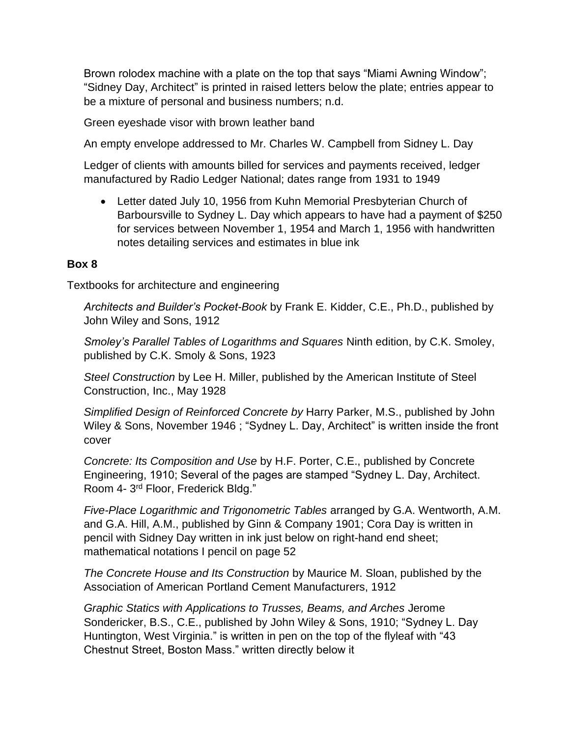Brown rolodex machine with a plate on the top that says "Miami Awning Window"; "Sidney Day, Architect" is printed in raised letters below the plate; entries appear to be a mixture of personal and business numbers; n.d.

Green eyeshade visor with brown leather band

An empty envelope addressed to Mr. Charles W. Campbell from Sidney L. Day

Ledger of clients with amounts billed for services and payments received, ledger manufactured by Radio Ledger National; dates range from 1931 to 1949

• Letter dated July 10, 1956 from Kuhn Memorial Presbyterian Church of Barboursville to Sydney L. Day which appears to have had a payment of \$250 for services between November 1, 1954 and March 1, 1956 with handwritten notes detailing services and estimates in blue ink

#### **Box 8**

Textbooks for architecture and engineering

*Architects and Builder's Pocket-Book* by Frank E. Kidder, C.E., Ph.D., published by John Wiley and Sons, 1912

*Smoley's Parallel Tables of Logarithms and Squares* Ninth edition, by C.K. Smoley, published by C.K. Smoly & Sons, 1923

*Steel Construction* by Lee H. Miller, published by the American Institute of Steel Construction, Inc., May 1928

*Simplified Design of Reinforced Concrete by* Harry Parker, M.S., published by John Wiley & Sons, November 1946 ; "Sydney L. Day, Architect" is written inside the front cover

*Concrete: Its Composition and Use* by H.F. Porter, C.E., published by Concrete Engineering, 1910; Several of the pages are stamped "Sydney L. Day, Architect. Room 4- 3<sup>rd</sup> Floor, Frederick Bldg."

*Five-Place Logarithmic and Trigonometric Tables* arranged by G.A. Wentworth, A.M. and G.A. Hill, A.M., published by Ginn & Company 1901; Cora Day is written in pencil with Sidney Day written in ink just below on right-hand end sheet; mathematical notations I pencil on page 52

*The Concrete House and Its Construction* by Maurice M. Sloan, published by the Association of American Portland Cement Manufacturers, 1912

*Graphic Statics with Applications to Trusses, Beams, and Arches* Jerome Sondericker, B.S., C.E., published by John Wiley & Sons, 1910; "Sydney L. Day Huntington, West Virginia." is written in pen on the top of the flyleaf with "43 Chestnut Street, Boston Mass." written directly below it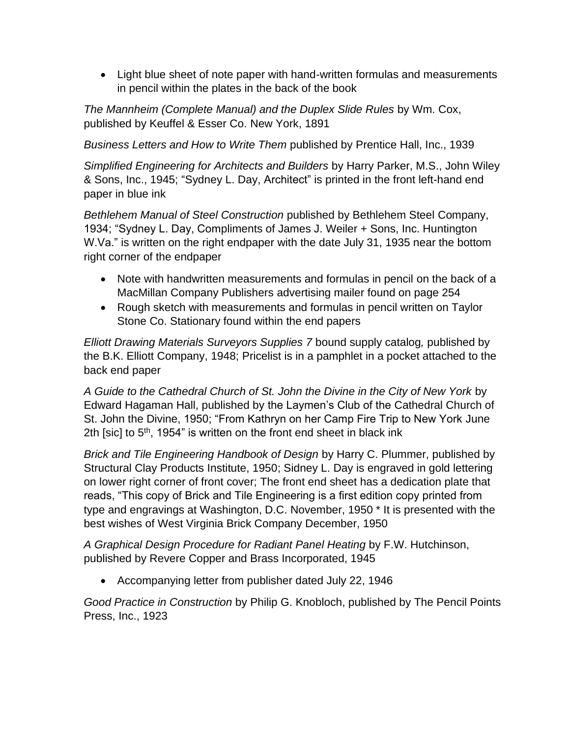• Light blue sheet of note paper with hand-written formulas and measurements in pencil within the plates in the back of the book

*The Mannheim (Complete Manual) and the Duplex Slide Rules* by Wm. Cox, published by Keuffel & Esser Co. New York, 1891

*Business Letters and How to Write Them* published by Prentice Hall, Inc., 1939

*Simplified Engineering for Architects and Builders* by Harry Parker, M.S., John Wiley & Sons, Inc., 1945; "Sydney L. Day, Architect" is printed in the front left-hand end paper in blue ink

*Bethlehem Manual of Steel Construction* published by Bethlehem Steel Company, 1934; "Sydney L. Day, Compliments of James J. Weiler + Sons, Inc. Huntington W.Va." is written on the right endpaper with the date July 31, 1935 near the bottom right corner of the endpaper

- Note with handwritten measurements and formulas in pencil on the back of a MacMillan Company Publishers advertising mailer found on page 254
- Rough sketch with measurements and formulas in pencil written on Taylor Stone Co. Stationary found within the end papers

*Elliott Drawing Materials Surveyors Supplies 7* bound supply catalog*,* published by the B.K. Elliott Company, 1948; Pricelist is in a pamphlet in a pocket attached to the back end paper

*A Guide to the Cathedral Church of St. John the Divine in the City of New York* by Edward Hagaman Hall, published by the Laymen's Club of the Cathedral Church of St. John the Divine, 1950; "From Kathryn on her Camp Fire Trip to New York June 2th [sic] to  $5<sup>th</sup>$ , 1954" is written on the front end sheet in black ink

*Brick and Tile Engineering Handbook of Design* by Harry C. Plummer, published by Structural Clay Products Institute, 1950; Sidney L. Day is engraved in gold lettering on lower right corner of front cover; The front end sheet has a dedication plate that reads, "This copy of Brick and Tile Engineering is a first edition copy printed from type and engravings at Washington, D.C. November, 1950 \* It is presented with the best wishes of West Virginia Brick Company December, 1950

*A Graphical Design Procedure for Radiant Panel Heating* by F.W. Hutchinson, published by Revere Copper and Brass Incorporated, 1945

• Accompanying letter from publisher dated July 22, 1946

*Good Practice in Construction* by Philip G. Knobloch, published by The Pencil Points Press, Inc., 1923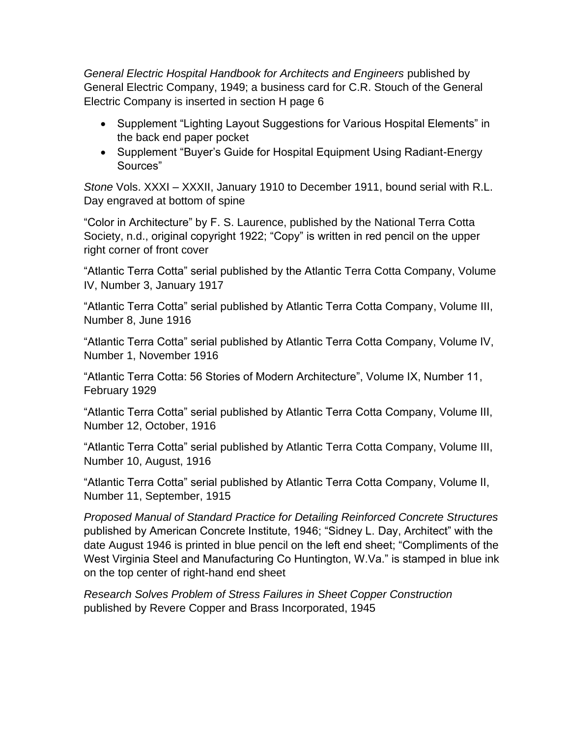*General Electric Hospital Handbook for Architects and Engineers* published by General Electric Company, 1949; a business card for C.R. Stouch of the General Electric Company is inserted in section H page 6

- Supplement "Lighting Layout Suggestions for Various Hospital Elements" in the back end paper pocket
- Supplement "Buyer's Guide for Hospital Equipment Using Radiant-Energy Sources"

*Stone* Vols. XXXI – XXXII, January 1910 to December 1911, bound serial with R.L. Day engraved at bottom of spine

"Color in Architecture" by F. S. Laurence, published by the National Terra Cotta Society, n.d., original copyright 1922; "Copy" is written in red pencil on the upper right corner of front cover

"Atlantic Terra Cotta" serial published by the Atlantic Terra Cotta Company, Volume IV, Number 3, January 1917

"Atlantic Terra Cotta" serial published by Atlantic Terra Cotta Company, Volume III, Number 8, June 1916

"Atlantic Terra Cotta" serial published by Atlantic Terra Cotta Company, Volume IV, Number 1, November 1916

"Atlantic Terra Cotta: 56 Stories of Modern Architecture", Volume IX, Number 11, February 1929

"Atlantic Terra Cotta" serial published by Atlantic Terra Cotta Company, Volume III, Number 12, October, 1916

"Atlantic Terra Cotta" serial published by Atlantic Terra Cotta Company, Volume III, Number 10, August, 1916

"Atlantic Terra Cotta" serial published by Atlantic Terra Cotta Company, Volume II, Number 11, September, 1915

*Proposed Manual of Standard Practice for Detailing Reinforced Concrete Structures*  published by American Concrete Institute, 1946; "Sidney L. Day, Architect" with the date August 1946 is printed in blue pencil on the left end sheet; "Compliments of the West Virginia Steel and Manufacturing Co Huntington, W.Va." is stamped in blue ink on the top center of right-hand end sheet

*Research Solves Problem of Stress Failures in Sheet Copper Construction*  published by Revere Copper and Brass Incorporated, 1945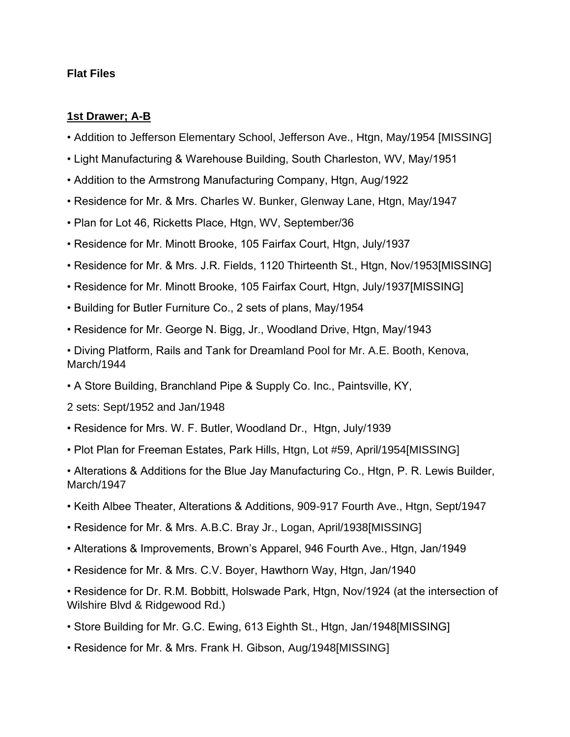#### **Flat Files**

#### **1st Drawer; A-B**

- Addition to Jefferson Elementary School, Jefferson Ave., Htgn, May/1954 [MISSING]
- Light Manufacturing & Warehouse Building, South Charleston, WV, May/1951
- Addition to the Armstrong Manufacturing Company, Htgn, Aug/1922
- Residence for Mr. & Mrs. Charles W. Bunker, Glenway Lane, Htgn, May/1947
- Plan for Lot 46, Ricketts Place, Htgn, WV, September/36
- Residence for Mr. Minott Brooke, 105 Fairfax Court, Htgn, July/1937
- Residence for Mr. & Mrs. J.R. Fields, 1120 Thirteenth St., Htgn, Nov/1953[MISSING]
- Residence for Mr. Minott Brooke, 105 Fairfax Court, Htgn, July/1937[MISSING]
- Building for Butler Furniture Co., 2 sets of plans, May/1954
- Residence for Mr. George N. Bigg, Jr., Woodland Drive, Htgn, May/1943
- Diving Platform, Rails and Tank for Dreamland Pool for Mr. A.E. Booth, Kenova, March/1944
- A Store Building, Branchland Pipe & Supply Co. Inc., Paintsville, KY,

2 sets: Sept/1952 and Jan/1948

- Residence for Mrs. W. F. Butler, Woodland Dr., Htgn, July/1939
- Plot Plan for Freeman Estates, Park Hills, Htgn, Lot #59, April/1954[MISSING]

• Alterations & Additions for the Blue Jay Manufacturing Co., Htgn, P. R. Lewis Builder, March/1947

- Keith Albee Theater, Alterations & Additions, 909-917 Fourth Ave., Htgn, Sept/1947
- Residence for Mr. & Mrs. A.B.C. Bray Jr., Logan, April/1938[MISSING]
- Alterations & Improvements, Brown's Apparel, 946 Fourth Ave., Htgn, Jan/1949
- Residence for Mr. & Mrs. C.V. Boyer, Hawthorn Way, Htgn, Jan/1940

• Residence for Dr. R.M. Bobbitt, Holswade Park, Htgn, Nov/1924 (at the intersection of Wilshire Blvd & Ridgewood Rd.)

- Store Building for Mr. G.C. Ewing, 613 Eighth St., Htgn, Jan/1948[MISSING]
- Residence for Mr. & Mrs. Frank H. Gibson, Aug/1948[MISSING]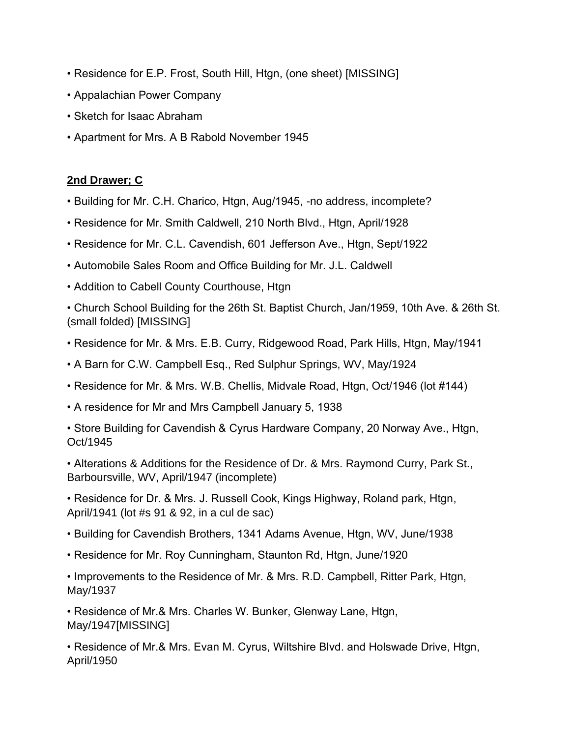- Residence for E.P. Frost, South Hill, Htgn, (one sheet) [MISSING]
- Appalachian Power Company
- Sketch for Isaac Abraham
- Apartment for Mrs. A B Rabold November 1945

## **2nd Drawer; C**

- Building for Mr. C.H. Charico, Htgn, Aug/1945, -no address, incomplete?
- Residence for Mr. Smith Caldwell, 210 North Blvd., Htgn, April/1928
- Residence for Mr. C.L. Cavendish, 601 Jefferson Ave., Htgn, Sept/1922
- Automobile Sales Room and Office Building for Mr. J.L. Caldwell
- Addition to Cabell County Courthouse, Htgn

• Church School Building for the 26th St. Baptist Church, Jan/1959, 10th Ave. & 26th St. (small folded) [MISSING]

- Residence for Mr. & Mrs. E.B. Curry, Ridgewood Road, Park Hills, Htgn, May/1941
- A Barn for C.W. Campbell Esq., Red Sulphur Springs, WV, May/1924
- Residence for Mr. & Mrs. W.B. Chellis, Midvale Road, Htgn, Oct/1946 (lot #144)
- A residence for Mr and Mrs Campbell January 5, 1938
- Store Building for Cavendish & Cyrus Hardware Company, 20 Norway Ave., Htgn, Oct/1945

• Alterations & Additions for the Residence of Dr. & Mrs. Raymond Curry, Park St., Barboursville, WV, April/1947 (incomplete)

• Residence for Dr. & Mrs. J. Russell Cook, Kings Highway, Roland park, Htgn, April/1941 (lot #s 91 & 92, in a cul de sac)

- Building for Cavendish Brothers, 1341 Adams Avenue, Htgn, WV, June/1938
- Residence for Mr. Roy Cunningham, Staunton Rd, Htgn, June/1920

• Improvements to the Residence of Mr. & Mrs. R.D. Campbell, Ritter Park, Htgn, May/1937

• Residence of Mr.& Mrs. Charles W. Bunker, Glenway Lane, Htgn, May/1947[MISSING]

• Residence of Mr.& Mrs. Evan M. Cyrus, Wiltshire Blvd. and Holswade Drive, Htgn, April/1950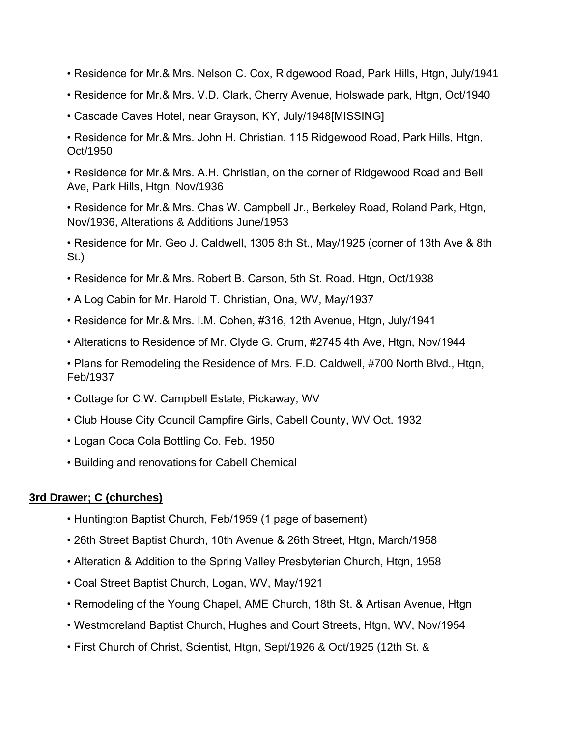- Residence for Mr.& Mrs. Nelson C. Cox, Ridgewood Road, Park Hills, Htgn, July/1941
- Residence for Mr.& Mrs. V.D. Clark, Cherry Avenue, Holswade park, Htgn, Oct/1940
- Cascade Caves Hotel, near Grayson, KY, July/1948[MISSING]

• Residence for Mr.& Mrs. John H. Christian, 115 Ridgewood Road, Park Hills, Htgn, Oct/1950

• Residence for Mr.& Mrs. A.H. Christian, on the corner of Ridgewood Road and Bell Ave, Park Hills, Htgn, Nov/1936

• Residence for Mr.& Mrs. Chas W. Campbell Jr., Berkeley Road, Roland Park, Htgn, Nov/1936, Alterations & Additions June/1953

• Residence for Mr. Geo J. Caldwell, 1305 8th St., May/1925 (corner of 13th Ave & 8th St.)

- Residence for Mr.& Mrs. Robert B. Carson, 5th St. Road, Htgn, Oct/1938
- A Log Cabin for Mr. Harold T. Christian, Ona, WV, May/1937
- Residence for Mr.& Mrs. I.M. Cohen, #316, 12th Avenue, Htgn, July/1941
- Alterations to Residence of Mr. Clyde G. Crum, #2745 4th Ave, Htgn, Nov/1944

• Plans for Remodeling the Residence of Mrs. F.D. Caldwell, #700 North Blvd., Htgn, Feb/1937

- Cottage for C.W. Campbell Estate, Pickaway, WV
- Club House City Council Campfire Girls, Cabell County, WV Oct. 1932
- Logan Coca Cola Bottling Co. Feb. 1950
- Building and renovations for Cabell Chemical

# **3rd Drawer; C (churches)**

- Huntington Baptist Church, Feb/1959 (1 page of basement)
- 26th Street Baptist Church, 10th Avenue & 26th Street, Htgn, March/1958
- Alteration & Addition to the Spring Valley Presbyterian Church, Htgn, 1958
- Coal Street Baptist Church, Logan, WV, May/1921
- Remodeling of the Young Chapel, AME Church, 18th St. & Artisan Avenue, Htgn
- Westmoreland Baptist Church, Hughes and Court Streets, Htgn, WV, Nov/1954
- First Church of Christ, Scientist, Htgn, Sept/1926 & Oct/1925 (12th St. &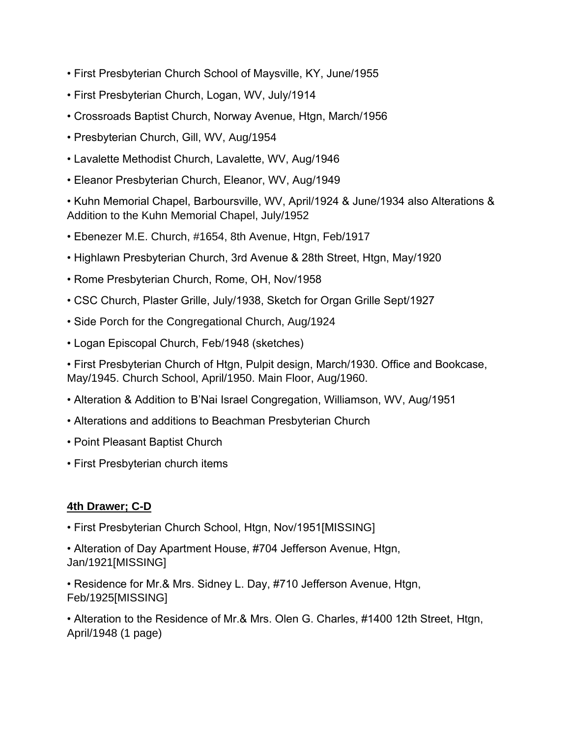- First Presbyterian Church School of Maysville, KY, June/1955
- First Presbyterian Church, Logan, WV, July/1914
- Crossroads Baptist Church, Norway Avenue, Htgn, March/1956
- Presbyterian Church, Gill, WV, Aug/1954
- Lavalette Methodist Church, Lavalette, WV, Aug/1946
- Eleanor Presbyterian Church, Eleanor, WV, Aug/1949

• Kuhn Memorial Chapel, Barboursville, WV, April/1924 & June/1934 also Alterations & Addition to the Kuhn Memorial Chapel, July/1952

- Ebenezer M.E. Church, #1654, 8th Avenue, Htgn, Feb/1917
- Highlawn Presbyterian Church, 3rd Avenue & 28th Street, Htgn, May/1920
- Rome Presbyterian Church, Rome, OH, Nov/1958
- CSC Church, Plaster Grille, July/1938, Sketch for Organ Grille Sept/1927
- Side Porch for the Congregational Church, Aug/1924
- Logan Episcopal Church, Feb/1948 (sketches)

• First Presbyterian Church of Htgn, Pulpit design, March/1930. Office and Bookcase, May/1945. Church School, April/1950. Main Floor, Aug/1960.

- Alteration & Addition to B'Nai Israel Congregation, Williamson, WV, Aug/1951
- Alterations and additions to Beachman Presbyterian Church
- Point Pleasant Baptist Church
- First Presbyterian church items

## **4th Drawer; C-D**

- First Presbyterian Church School, Htgn, Nov/1951[MISSING]
- Alteration of Day Apartment House, #704 Jefferson Avenue, Htgn, Jan/1921[MISSING]
- Residence for Mr.& Mrs. Sidney L. Day, #710 Jefferson Avenue, Htgn, Feb/1925[MISSING]

• Alteration to the Residence of Mr.& Mrs. Olen G. Charles, #1400 12th Street, Htgn, April/1948 (1 page)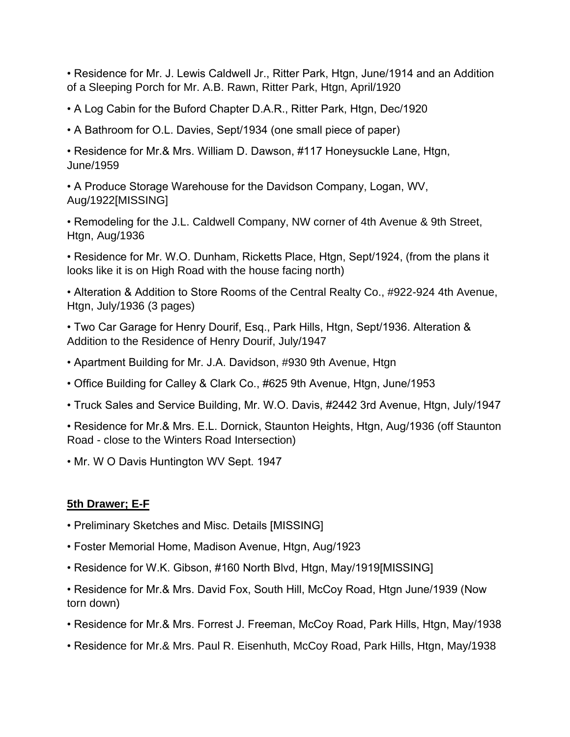• Residence for Mr. J. Lewis Caldwell Jr., Ritter Park, Htgn, June/1914 and an Addition of a Sleeping Porch for Mr. A.B. Rawn, Ritter Park, Htgn, April/1920

• A Log Cabin for the Buford Chapter D.A.R., Ritter Park, Htgn, Dec/1920

• A Bathroom for O.L. Davies, Sept/1934 (one small piece of paper)

• Residence for Mr.& Mrs. William D. Dawson, #117 Honeysuckle Lane, Htgn, June/1959

• A Produce Storage Warehouse for the Davidson Company, Logan, WV, Aug/1922[MISSING]

• Remodeling for the J.L. Caldwell Company, NW corner of 4th Avenue & 9th Street, Htgn, Aug/1936

• Residence for Mr. W.O. Dunham, Ricketts Place, Htgn, Sept/1924, (from the plans it looks like it is on High Road with the house facing north)

• Alteration & Addition to Store Rooms of the Central Realty Co., #922-924 4th Avenue, Htgn, July/1936 (3 pages)

• Two Car Garage for Henry Dourif, Esq., Park Hills, Htgn, Sept/1936. Alteration & Addition to the Residence of Henry Dourif, July/1947

- Apartment Building for Mr. J.A. Davidson, #930 9th Avenue, Htgn
- Office Building for Calley & Clark Co., #625 9th Avenue, Htgn, June/1953
- Truck Sales and Service Building, Mr. W.O. Davis, #2442 3rd Avenue, Htgn, July/1947
- Residence for Mr.& Mrs. E.L. Dornick, Staunton Heights, Htgn, Aug/1936 (off Staunton Road - close to the Winters Road Intersection)
- Mr. W O Davis Huntington WV Sept. 1947

## **5th Drawer; E-F**

- Preliminary Sketches and Misc. Details [MISSING]
- Foster Memorial Home, Madison Avenue, Htgn, Aug/1923
- Residence for W.K. Gibson, #160 North Blvd, Htgn, May/1919[MISSING]
- Residence for Mr.& Mrs. David Fox, South Hill, McCoy Road, Htgn June/1939 (Now torn down)
- Residence for Mr.& Mrs. Forrest J. Freeman, McCoy Road, Park Hills, Htgn, May/1938
- Residence for Mr.& Mrs. Paul R. Eisenhuth, McCoy Road, Park Hills, Htgn, May/1938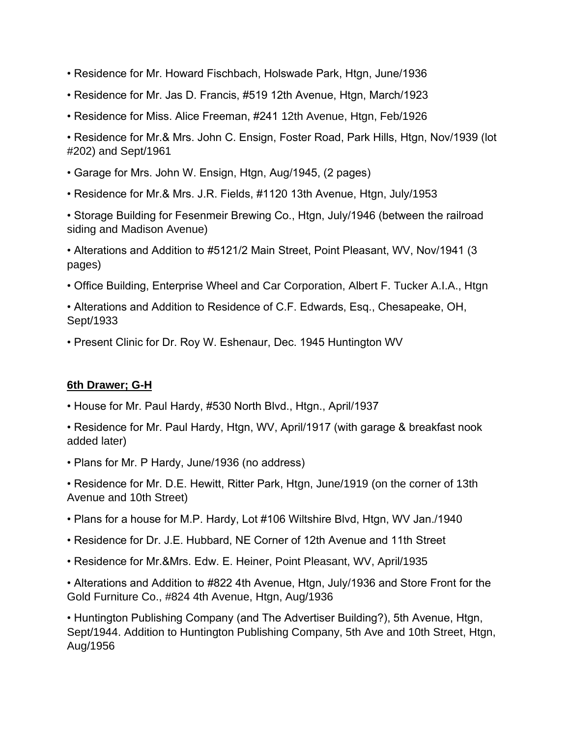- Residence for Mr. Howard Fischbach, Holswade Park, Htgn, June/1936
- Residence for Mr. Jas D. Francis, #519 12th Avenue, Htgn, March/1923
- Residence for Miss. Alice Freeman, #241 12th Avenue, Htgn, Feb/1926

• Residence for Mr.& Mrs. John C. Ensign, Foster Road, Park Hills, Htgn, Nov/1939 (lot #202) and Sept/1961

- Garage for Mrs. John W. Ensign, Htgn, Aug/1945, (2 pages)
- Residence for Mr.& Mrs. J.R. Fields, #1120 13th Avenue, Htgn, July/1953

• Storage Building for Fesenmeir Brewing Co., Htgn, July/1946 (between the railroad siding and Madison Avenue)

• Alterations and Addition to #5121/2 Main Street, Point Pleasant, WV, Nov/1941 (3 pages)

- Office Building, Enterprise Wheel and Car Corporation, Albert F. Tucker A.I.A., Htgn
- Alterations and Addition to Residence of C.F. Edwards, Esq., Chesapeake, OH, Sept/1933
- Present Clinic for Dr. Roy W. Eshenaur, Dec. 1945 Huntington WV

#### **6th Drawer; G-H**

- House for Mr. Paul Hardy, #530 North Blvd., Htgn., April/1937
- Residence for Mr. Paul Hardy, Htgn, WV, April/1917 (with garage & breakfast nook added later)
- Plans for Mr. P Hardy, June/1936 (no address)

• Residence for Mr. D.E. Hewitt, Ritter Park, Htgn, June/1919 (on the corner of 13th Avenue and 10th Street)

- Plans for a house for M.P. Hardy, Lot #106 Wiltshire Blvd, Htgn, WV Jan./1940
- Residence for Dr. J.E. Hubbard, NE Corner of 12th Avenue and 11th Street
- Residence for Mr.&Mrs. Edw. E. Heiner, Point Pleasant, WV, April/1935

• Alterations and Addition to #822 4th Avenue, Htgn, July/1936 and Store Front for the Gold Furniture Co., #824 4th Avenue, Htgn, Aug/1936

• Huntington Publishing Company (and The Advertiser Building?), 5th Avenue, Htgn, Sept/1944. Addition to Huntington Publishing Company, 5th Ave and 10th Street, Htgn, Aug/1956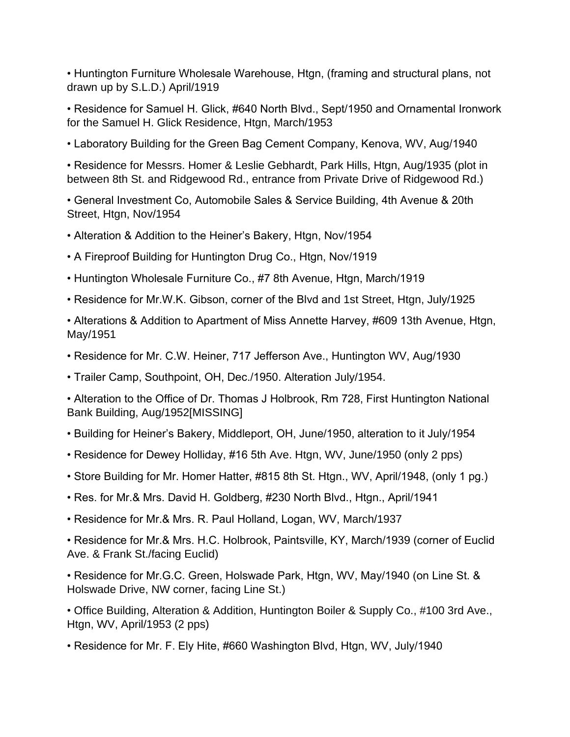• Huntington Furniture Wholesale Warehouse, Htgn, (framing and structural plans, not drawn up by S.L.D.) April/1919

• Residence for Samuel H. Glick, #640 North Blvd., Sept/1950 and Ornamental Ironwork for the Samuel H. Glick Residence, Htgn, March/1953

• Laboratory Building for the Green Bag Cement Company, Kenova, WV, Aug/1940

• Residence for Messrs. Homer & Leslie Gebhardt, Park Hills, Htgn, Aug/1935 (plot in between 8th St. and Ridgewood Rd., entrance from Private Drive of Ridgewood Rd.)

• General Investment Co, Automobile Sales & Service Building, 4th Avenue & 20th Street, Htgn, Nov/1954

- Alteration & Addition to the Heiner's Bakery, Htgn, Nov/1954
- A Fireproof Building for Huntington Drug Co., Htgn, Nov/1919
- Huntington Wholesale Furniture Co., #7 8th Avenue, Htgn, March/1919
- Residence for Mr.W.K. Gibson, corner of the Blvd and 1st Street, Htgn, July/1925

• Alterations & Addition to Apartment of Miss Annette Harvey, #609 13th Avenue, Htgn, May/1951

• Residence for Mr. C.W. Heiner, 717 Jefferson Ave., Huntington WV, Aug/1930

• Trailer Camp, Southpoint, OH, Dec./1950. Alteration July/1954.

• Alteration to the Office of Dr. Thomas J Holbrook, Rm 728, First Huntington National Bank Building, Aug/1952[MISSING]

- Building for Heiner's Bakery, Middleport, OH, June/1950, alteration to it July/1954
- Residence for Dewey Holliday, #16 5th Ave. Htgn, WV, June/1950 (only 2 pps)
- Store Building for Mr. Homer Hatter, #815 8th St. Htgn., WV, April/1948, (only 1 pg.)
- Res. for Mr.& Mrs. David H. Goldberg, #230 North Blvd., Htgn., April/1941
- Residence for Mr.& Mrs. R. Paul Holland, Logan, WV, March/1937

• Residence for Mr.& Mrs. H.C. Holbrook, Paintsville, KY, March/1939 (corner of Euclid Ave. & Frank St./facing Euclid)

• Residence for Mr.G.C. Green, Holswade Park, Htgn, WV, May/1940 (on Line St. & Holswade Drive, NW corner, facing Line St.)

• Office Building, Alteration & Addition, Huntington Boiler & Supply Co., #100 3rd Ave., Htgn, WV, April/1953 (2 pps)

• Residence for Mr. F. Ely Hite, #660 Washington Blvd, Htgn, WV, July/1940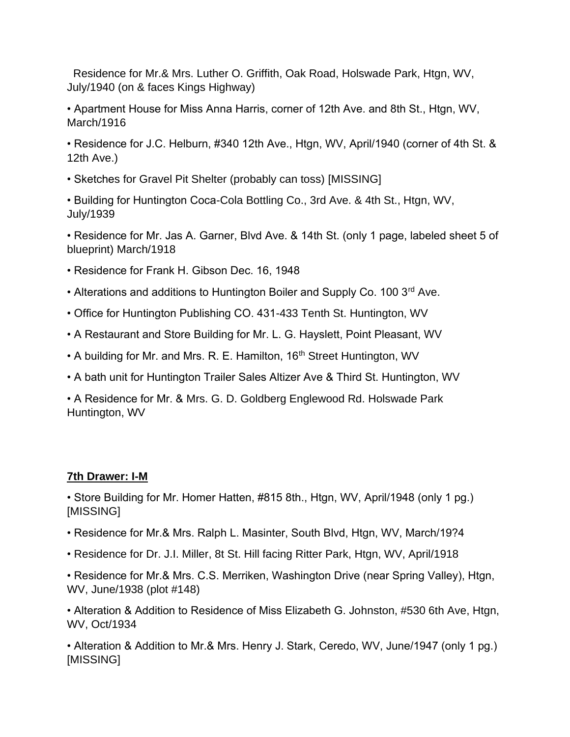Residence for Mr.& Mrs. Luther O. Griffith, Oak Road, Holswade Park, Htgn, WV, July/1940 (on & faces Kings Highway)

- Apartment House for Miss Anna Harris, corner of 12th Ave. and 8th St., Htgn, WV, March/1916
- Residence for J.C. Helburn, #340 12th Ave., Htgn, WV, April/1940 (corner of 4th St. & 12th Ave.)
- Sketches for Gravel Pit Shelter (probably can toss) [MISSING]
- Building for Huntington Coca-Cola Bottling Co., 3rd Ave. & 4th St., Htgn, WV, July/1939

• Residence for Mr. Jas A. Garner, Blvd Ave. & 14th St. (only 1 page, labeled sheet 5 of blueprint) March/1918

- Residence for Frank H. Gibson Dec. 16, 1948
- Alterations and additions to Huntington Boiler and Supply Co. 100 3rd Ave.
- Office for Huntington Publishing CO. 431-433 Tenth St. Huntington, WV
- A Restaurant and Store Building for Mr. L. G. Hayslett, Point Pleasant, WV
- A building for Mr. and Mrs. R. E. Hamilton, 16<sup>th</sup> Street Huntington, WV
- A bath unit for Huntington Trailer Sales Altizer Ave & Third St. Huntington, WV

• A Residence for Mr. & Mrs. G. D. Goldberg Englewood Rd. Holswade Park Huntington, WV

# **7th Drawer: I-M**

• Store Building for Mr. Homer Hatten, #815 8th., Htgn, WV, April/1948 (only 1 pg.) [MISSING]

- Residence for Mr.& Mrs. Ralph L. Masinter, South Blvd, Htgn, WV, March/19?4
- Residence for Dr. J.I. Miller, 8t St. Hill facing Ritter Park, Htgn, WV, April/1918

• Residence for Mr.& Mrs. C.S. Merriken, Washington Drive (near Spring Valley), Htgn, WV, June/1938 (plot #148)

• Alteration & Addition to Residence of Miss Elizabeth G. Johnston, #530 6th Ave, Htgn, WV, Oct/1934

• Alteration & Addition to Mr.& Mrs. Henry J. Stark, Ceredo, WV, June/1947 (only 1 pg.) [MISSING]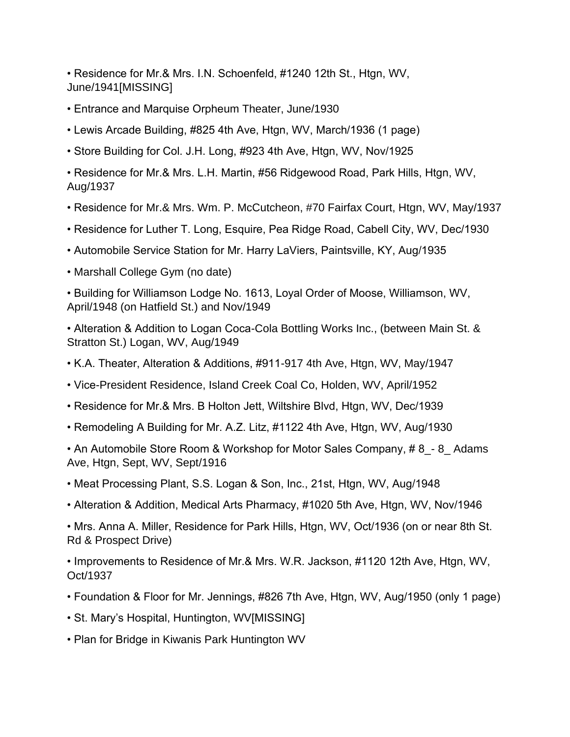• Residence for Mr.& Mrs. I.N. Schoenfeld, #1240 12th St., Htgn, WV, June/1941[MISSING]

- Entrance and Marquise Orpheum Theater, June/1930
- Lewis Arcade Building, #825 4th Ave, Htgn, WV, March/1936 (1 page)
- Store Building for Col. J.H. Long, #923 4th Ave, Htgn, WV, Nov/1925

• Residence for Mr.& Mrs. L.H. Martin, #56 Ridgewood Road, Park Hills, Htgn, WV, Aug/1937

- Residence for Mr.& Mrs. Wm. P. McCutcheon, #70 Fairfax Court, Htgn, WV, May/1937
- Residence for Luther T. Long, Esquire, Pea Ridge Road, Cabell City, WV, Dec/1930
- Automobile Service Station for Mr. Harry LaViers, Paintsville, KY, Aug/1935
- Marshall College Gym (no date)

• Building for Williamson Lodge No. 1613, Loyal Order of Moose, Williamson, WV, April/1948 (on Hatfield St.) and Nov/1949

• Alteration & Addition to Logan Coca-Cola Bottling Works Inc., (between Main St. & Stratton St.) Logan, WV, Aug/1949

- K.A. Theater, Alteration & Additions, #911-917 4th Ave, Htgn, WV, May/1947
- Vice-President Residence, Island Creek Coal Co, Holden, WV, April/1952
- Residence for Mr.& Mrs. B Holton Jett, Wiltshire Blvd, Htgn, WV, Dec/1939
- Remodeling A Building for Mr. A.Z. Litz, #1122 4th Ave, Htgn, WV, Aug/1930

• An Automobile Store Room & Workshop for Motor Sales Company, #8 - 8\_ Adams Ave, Htgn, Sept, WV, Sept/1916

- Meat Processing Plant, S.S. Logan & Son, Inc., 21st, Htgn, WV, Aug/1948
- Alteration & Addition, Medical Arts Pharmacy, #1020 5th Ave, Htgn, WV, Nov/1946

• Mrs. Anna A. Miller, Residence for Park Hills, Htgn, WV, Oct/1936 (on or near 8th St. Rd & Prospect Drive)

• Improvements to Residence of Mr.& Mrs. W.R. Jackson, #1120 12th Ave, Htgn, WV, Oct/1937

- Foundation & Floor for Mr. Jennings, #826 7th Ave, Htgn, WV, Aug/1950 (only 1 page)
- St. Mary's Hospital, Huntington, WV[MISSING]
- Plan for Bridge in Kiwanis Park Huntington WV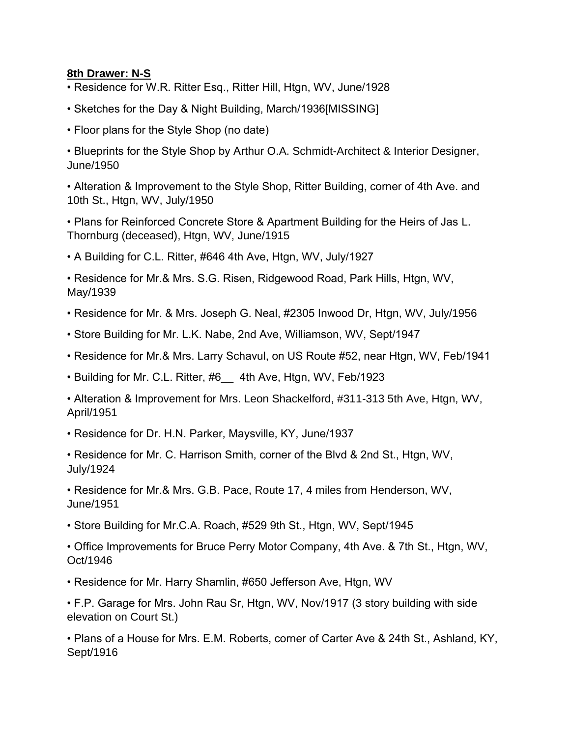#### **8th Drawer: N-S**

- Residence for W.R. Ritter Esq., Ritter Hill, Htgn, WV, June/1928
- Sketches for the Day & Night Building, March/1936[MISSING]
- Floor plans for the Style Shop (no date)
- Blueprints for the Style Shop by Arthur O.A. Schmidt-Architect & Interior Designer, June/1950
- Alteration & Improvement to the Style Shop, Ritter Building, corner of 4th Ave. and 10th St., Htgn, WV, July/1950
- Plans for Reinforced Concrete Store & Apartment Building for the Heirs of Jas L. Thornburg (deceased), Htgn, WV, June/1915
- A Building for C.L. Ritter, #646 4th Ave, Htgn, WV, July/1927
- Residence for Mr.& Mrs. S.G. Risen, Ridgewood Road, Park Hills, Htgn, WV, May/1939
- Residence for Mr. & Mrs. Joseph G. Neal, #2305 Inwood Dr, Htgn, WV, July/1956
- Store Building for Mr. L.K. Nabe, 2nd Ave, Williamson, WV, Sept/1947
- Residence for Mr.& Mrs. Larry Schavul, on US Route #52, near Htgn, WV, Feb/1941
- Building for Mr. C.L. Ritter, #6\_\_ 4th Ave, Htgn, WV, Feb/1923
- Alteration & Improvement for Mrs. Leon Shackelford, #311-313 5th Ave, Htgn, WV, April/1951
- Residence for Dr. H.N. Parker, Maysville, KY, June/1937
- Residence for Mr. C. Harrison Smith, corner of the Blvd & 2nd St., Htgn, WV, July/1924
- Residence for Mr.& Mrs. G.B. Pace, Route 17, 4 miles from Henderson, WV, June/1951
- Store Building for Mr.C.A. Roach, #529 9th St., Htgn, WV, Sept/1945
- Office Improvements for Bruce Perry Motor Company, 4th Ave. & 7th St., Htgn, WV, Oct/1946
- Residence for Mr. Harry Shamlin, #650 Jefferson Ave, Htgn, WV
- F.P. Garage for Mrs. John Rau Sr, Htgn, WV, Nov/1917 (3 story building with side elevation on Court St.)
- Plans of a House for Mrs. E.M. Roberts, corner of Carter Ave & 24th St., Ashland, KY, Sept/1916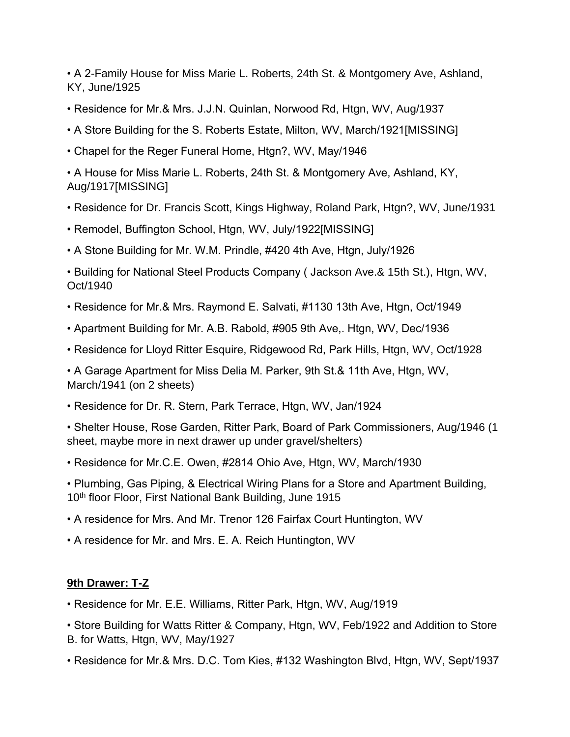• A 2-Family House for Miss Marie L. Roberts, 24th St. & Montgomery Ave, Ashland, KY, June/1925

- Residence for Mr.& Mrs. J.J.N. Quinlan, Norwood Rd, Htgn, WV, Aug/1937
- A Store Building for the S. Roberts Estate, Milton, WV, March/1921[MISSING]
- Chapel for the Reger Funeral Home, Htgn?, WV, May/1946

• A House for Miss Marie L. Roberts, 24th St. & Montgomery Ave, Ashland, KY, Aug/1917[MISSING]

- Residence for Dr. Francis Scott, Kings Highway, Roland Park, Htgn?, WV, June/1931
- Remodel, Buffington School, Htgn, WV, July/1922[MISSING]
- A Stone Building for Mr. W.M. Prindle, #420 4th Ave, Htgn, July/1926

• Building for National Steel Products Company ( Jackson Ave.& 15th St.), Htgn, WV, Oct/1940

- Residence for Mr.& Mrs. Raymond E. Salvati, #1130 13th Ave, Htgn, Oct/1949
- Apartment Building for Mr. A.B. Rabold, #905 9th Ave,. Htgn, WV, Dec/1936
- Residence for Lloyd Ritter Esquire, Ridgewood Rd, Park Hills, Htgn, WV, Oct/1928

• A Garage Apartment for Miss Delia M. Parker, 9th St.& 11th Ave, Htgn, WV, March/1941 (on 2 sheets)

• Residence for Dr. R. Stern, Park Terrace, Htgn, WV, Jan/1924

• Shelter House, Rose Garden, Ritter Park, Board of Park Commissioners, Aug/1946 (1 sheet, maybe more in next drawer up under gravel/shelters)

• Residence for Mr.C.E. Owen, #2814 Ohio Ave, Htgn, WV, March/1930

• Plumbing, Gas Piping, & Electrical Wiring Plans for a Store and Apartment Building, 10<sup>th</sup> floor Floor, First National Bank Building, June 1915

- A residence for Mrs. And Mr. Trenor 126 Fairfax Court Huntington, WV
- A residence for Mr. and Mrs. E. A. Reich Huntington, WV

# **9th Drawer: T-Z**

• Residence for Mr. E.E. Williams, Ritter Park, Htgn, WV, Aug/1919

• Store Building for Watts Ritter & Company, Htgn, WV, Feb/1922 and Addition to Store B. for Watts, Htgn, WV, May/1927

• Residence for Mr.& Mrs. D.C. Tom Kies, #132 Washington Blvd, Htgn, WV, Sept/1937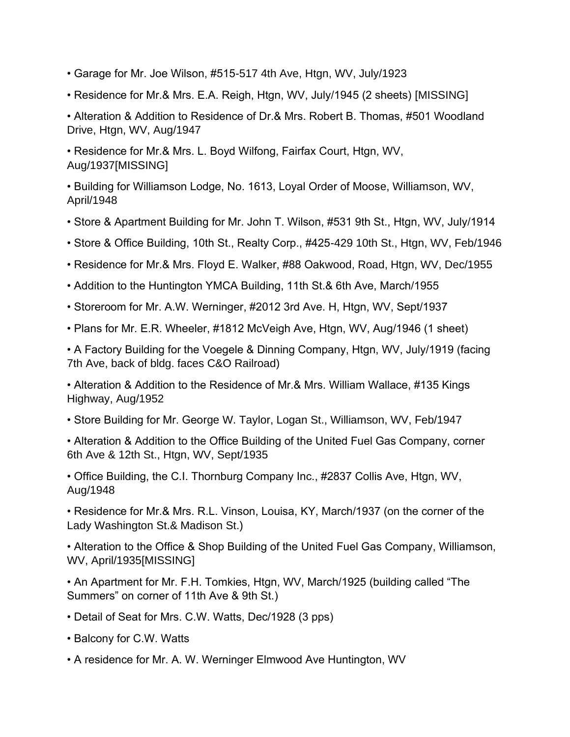- Garage for Mr. Joe Wilson, #515-517 4th Ave, Htgn, WV, July/1923
- Residence for Mr.& Mrs. E.A. Reigh, Htgn, WV, July/1945 (2 sheets) [MISSING]

• Alteration & Addition to Residence of Dr.& Mrs. Robert B. Thomas, #501 Woodland Drive, Htgn, WV, Aug/1947

• Residence for Mr.& Mrs. L. Boyd Wilfong, Fairfax Court, Htgn, WV, Aug/1937[MISSING]

• Building for Williamson Lodge, No. 1613, Loyal Order of Moose, Williamson, WV, April/1948

- Store & Apartment Building for Mr. John T. Wilson, #531 9th St., Htgn, WV, July/1914
- Store & Office Building, 10th St., Realty Corp., #425-429 10th St., Htgn, WV, Feb/1946
- Residence for Mr.& Mrs. Floyd E. Walker, #88 Oakwood, Road, Htgn, WV, Dec/1955
- Addition to the Huntington YMCA Building, 11th St.& 6th Ave, March/1955
- Storeroom for Mr. A.W. Werninger, #2012 3rd Ave. H, Htgn, WV, Sept/1937
- Plans for Mr. E.R. Wheeler, #1812 McVeigh Ave, Htgn, WV, Aug/1946 (1 sheet)

• A Factory Building for the Voegele & Dinning Company, Htgn, WV, July/1919 (facing 7th Ave, back of bldg. faces C&O Railroad)

• Alteration & Addition to the Residence of Mr.& Mrs. William Wallace, #135 Kings Highway, Aug/1952

• Store Building for Mr. George W. Taylor, Logan St., Williamson, WV, Feb/1947

• Alteration & Addition to the Office Building of the United Fuel Gas Company, corner 6th Ave & 12th St., Htgn, WV, Sept/1935

• Office Building, the C.I. Thornburg Company Inc., #2837 Collis Ave, Htgn, WV, Aug/1948

• Residence for Mr.& Mrs. R.L. Vinson, Louisa, KY, March/1937 (on the corner of the Lady Washington St.& Madison St.)

• Alteration to the Office & Shop Building of the United Fuel Gas Company, Williamson, WV, April/1935[MISSING]

• An Apartment for Mr. F.H. Tomkies, Htgn, WV, March/1925 (building called "The Summers" on corner of 11th Ave & 9th St.)

- Detail of Seat for Mrs. C.W. Watts, Dec/1928 (3 pps)
- Balcony for C.W. Watts
- A residence for Mr. A. W. Werninger Elmwood Ave Huntington, WV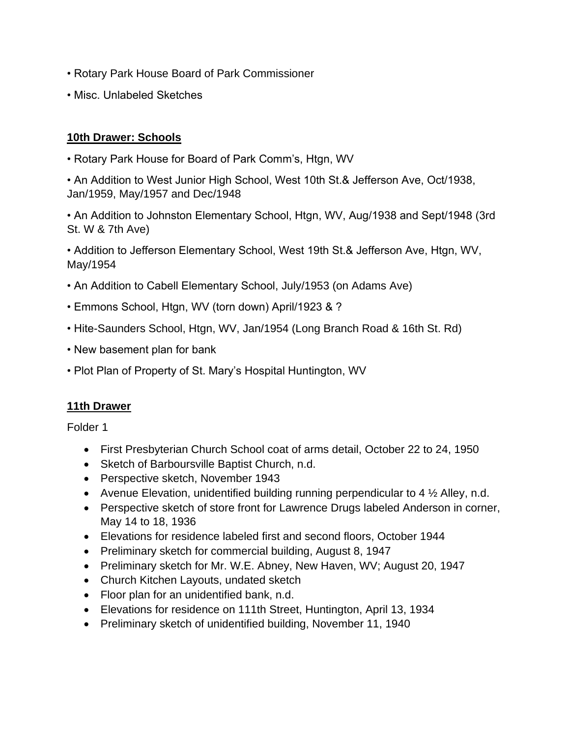- Rotary Park House Board of Park Commissioner
- Misc. Unlabeled Sketches

## **10th Drawer: Schools**

• Rotary Park House for Board of Park Comm's, Htgn, WV

• An Addition to West Junior High School, West 10th St.& Jefferson Ave, Oct/1938, Jan/1959, May/1957 and Dec/1948

• An Addition to Johnston Elementary School, Htgn, WV, Aug/1938 and Sept/1948 (3rd St. W & 7th Ave)

• Addition to Jefferson Elementary School, West 19th St.& Jefferson Ave, Htgn, WV, May/1954

- An Addition to Cabell Elementary School, July/1953 (on Adams Ave)
- Emmons School, Htgn, WV (torn down) April/1923 & ?
- Hite-Saunders School, Htgn, WV, Jan/1954 (Long Branch Road & 16th St. Rd)
- New basement plan for bank
- Plot Plan of Property of St. Mary's Hospital Huntington, WV

## **11th Drawer**

- First Presbyterian Church School coat of arms detail, October 22 to 24, 1950
- Sketch of Barboursville Baptist Church, n.d.
- Perspective sketch, November 1943
- Avenue Elevation, unidentified building running perpendicular to 4  $\frac{1}{2}$  Alley, n.d.
- Perspective sketch of store front for Lawrence Drugs labeled Anderson in corner, May 14 to 18, 1936
- Elevations for residence labeled first and second floors, October 1944
- Preliminary sketch for commercial building, August 8, 1947
- Preliminary sketch for Mr. W.E. Abney, New Haven, WV; August 20, 1947
- Church Kitchen Layouts, undated sketch
- Floor plan for an unidentified bank, n.d.
- Elevations for residence on 111th Street, Huntington, April 13, 1934
- Preliminary sketch of unidentified building, November 11, 1940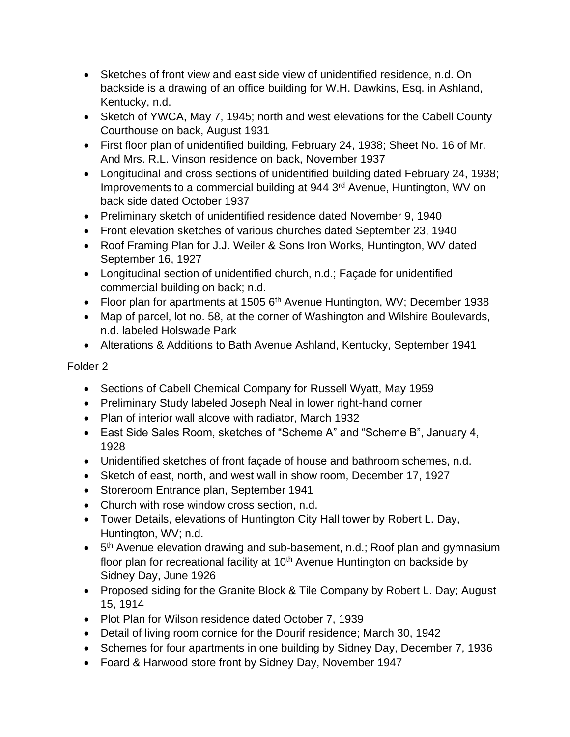- Sketches of front view and east side view of unidentified residence, n.d. On backside is a drawing of an office building for W.H. Dawkins, Esq. in Ashland, Kentucky, n.d.
- Sketch of YWCA, May 7, 1945; north and west elevations for the Cabell County Courthouse on back, August 1931
- First floor plan of unidentified building, February 24, 1938; Sheet No. 16 of Mr. And Mrs. R.L. Vinson residence on back, November 1937
- Longitudinal and cross sections of unidentified building dated February 24, 1938; Improvements to a commercial building at 944 3<sup>rd</sup> Avenue, Huntington, WV on back side dated October 1937
- Preliminary sketch of unidentified residence dated November 9, 1940
- Front elevation sketches of various churches dated September 23, 1940
- Roof Framing Plan for J.J. Weiler & Sons Iron Works, Huntington, WV dated September 16, 1927
- Longitudinal section of unidentified church, n.d.; Façade for unidentified commercial building on back; n.d.
- Floor plan for apartments at 1505  $6<sup>th</sup>$  Avenue Huntington, WV; December 1938
- Map of parcel, lot no. 58, at the corner of Washington and Wilshire Boulevards, n.d. labeled Holswade Park
- Alterations & Additions to Bath Avenue Ashland, Kentucky, September 1941

- Sections of Cabell Chemical Company for Russell Wyatt, May 1959
- Preliminary Study labeled Joseph Neal in lower right-hand corner
- Plan of interior wall alcove with radiator, March 1932
- East Side Sales Room, sketches of "Scheme A" and "Scheme B", January 4, 1928
- Unidentified sketches of front façade of house and bathroom schemes, n.d.
- Sketch of east, north, and west wall in show room, December 17, 1927
- Storeroom Entrance plan, September 1941
- Church with rose window cross section, n.d.
- Tower Details, elevations of Huntington City Hall tower by Robert L. Day, Huntington, WV; n.d.
- 5<sup>th</sup> Avenue elevation drawing and sub-basement, n.d.; Roof plan and gymnasium floor plan for recreational facility at  $10<sup>th</sup>$  Avenue Huntington on backside by Sidney Day, June 1926
- Proposed siding for the Granite Block & Tile Company by Robert L. Day; August 15, 1914
- Plot Plan for Wilson residence dated October 7, 1939
- Detail of living room cornice for the Dourif residence; March 30, 1942
- Schemes for four apartments in one building by Sidney Day, December 7, 1936
- Foard & Harwood store front by Sidney Day, November 1947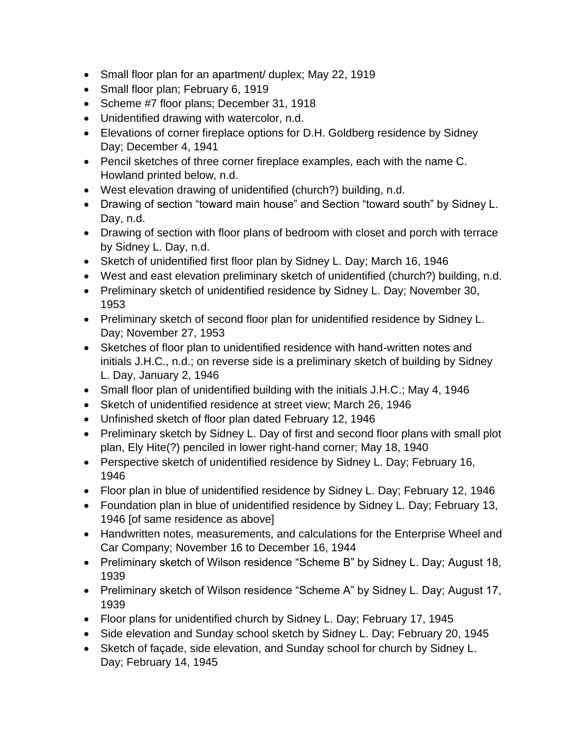- Small floor plan for an apartment/ duplex; May 22, 1919
- Small floor plan; February 6, 1919
- Scheme #7 floor plans; December 31, 1918
- Unidentified drawing with watercolor, n.d.
- Elevations of corner fireplace options for D.H. Goldberg residence by Sidney Day; December 4, 1941
- Pencil sketches of three corner fireplace examples, each with the name C. Howland printed below, n.d.
- West elevation drawing of unidentified (church?) building, n.d.
- Drawing of section "toward main house" and Section "toward south" by Sidney L. Day, n.d.
- Drawing of section with floor plans of bedroom with closet and porch with terrace by Sidney L. Day, n.d.
- Sketch of unidentified first floor plan by Sidney L. Day; March 16, 1946
- West and east elevation preliminary sketch of unidentified (church?) building, n.d.
- Preliminary sketch of unidentified residence by Sidney L. Day; November 30, 1953
- Preliminary sketch of second floor plan for unidentified residence by Sidney L. Day; November 27, 1953
- Sketches of floor plan to unidentified residence with hand-written notes and initials J.H.C., n.d.; on reverse side is a preliminary sketch of building by Sidney L. Day, January 2, 1946
- Small floor plan of unidentified building with the initials J.H.C.; May 4, 1946
- Sketch of unidentified residence at street view; March 26, 1946
- Unfinished sketch of floor plan dated February 12, 1946
- Preliminary sketch by Sidney L. Day of first and second floor plans with small plot plan, Ely Hite(?) penciled in lower right-hand corner; May 18, 1940
- Perspective sketch of unidentified residence by Sidney L. Day; February 16, 1946
- Floor plan in blue of unidentified residence by Sidney L. Day; February 12, 1946
- Foundation plan in blue of unidentified residence by Sidney L. Day; February 13, 1946 [of same residence as above]
- Handwritten notes, measurements, and calculations for the Enterprise Wheel and Car Company; November 16 to December 16, 1944
- Preliminary sketch of Wilson residence "Scheme B" by Sidney L. Day; August 18, 1939
- Preliminary sketch of Wilson residence "Scheme A" by Sidney L. Day; August 17, 1939
- Floor plans for unidentified church by Sidney L. Day; February 17, 1945
- Side elevation and Sunday school sketch by Sidney L. Day; February 20, 1945
- Sketch of façade, side elevation, and Sunday school for church by Sidney L. Day; February 14, 1945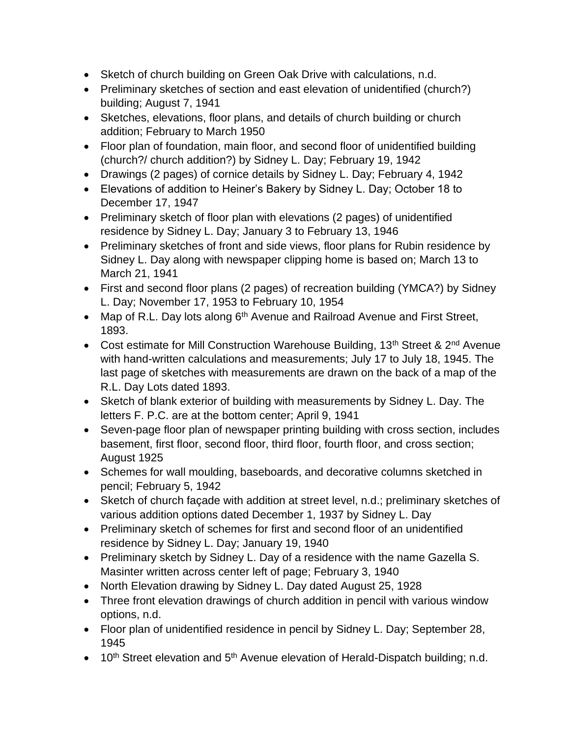- Sketch of church building on Green Oak Drive with calculations, n.d.
- Preliminary sketches of section and east elevation of unidentified (church?) building; August 7, 1941
- Sketches, elevations, floor plans, and details of church building or church addition; February to March 1950
- Floor plan of foundation, main floor, and second floor of unidentified building (church?/ church addition?) by Sidney L. Day; February 19, 1942
- Drawings (2 pages) of cornice details by Sidney L. Day; February 4, 1942
- Elevations of addition to Heiner's Bakery by Sidney L. Day; October 18 to December 17, 1947
- Preliminary sketch of floor plan with elevations (2 pages) of unidentified residence by Sidney L. Day; January 3 to February 13, 1946
- Preliminary sketches of front and side views, floor plans for Rubin residence by Sidney L. Day along with newspaper clipping home is based on; March 13 to March 21, 1941
- First and second floor plans (2 pages) of recreation building (YMCA?) by Sidney L. Day; November 17, 1953 to February 10, 1954
- Map of R.L. Day lots along  $6<sup>th</sup>$  Avenue and Railroad Avenue and First Street, 1893.
- Cost estimate for Mill Construction Warehouse Building, 13<sup>th</sup> Street & 2<sup>nd</sup> Avenue with hand-written calculations and measurements; July 17 to July 18, 1945. The last page of sketches with measurements are drawn on the back of a map of the R.L. Day Lots dated 1893.
- Sketch of blank exterior of building with measurements by Sidney L. Day. The letters F. P.C. are at the bottom center; April 9, 1941
- Seven-page floor plan of newspaper printing building with cross section, includes basement, first floor, second floor, third floor, fourth floor, and cross section; August 1925
- Schemes for wall moulding, baseboards, and decorative columns sketched in pencil; February 5, 1942
- Sketch of church façade with addition at street level, n.d.; preliminary sketches of various addition options dated December 1, 1937 by Sidney L. Day
- Preliminary sketch of schemes for first and second floor of an unidentified residence by Sidney L. Day; January 19, 1940
- Preliminary sketch by Sidney L. Day of a residence with the name Gazella S. Masinter written across center left of page; February 3, 1940
- North Elevation drawing by Sidney L. Day dated August 25, 1928
- Three front elevation drawings of church addition in pencil with various window options, n.d.
- Floor plan of unidentified residence in pencil by Sidney L. Day; September 28, 1945
- 10<sup>th</sup> Street elevation and 5<sup>th</sup> Avenue elevation of Herald-Dispatch building; n.d.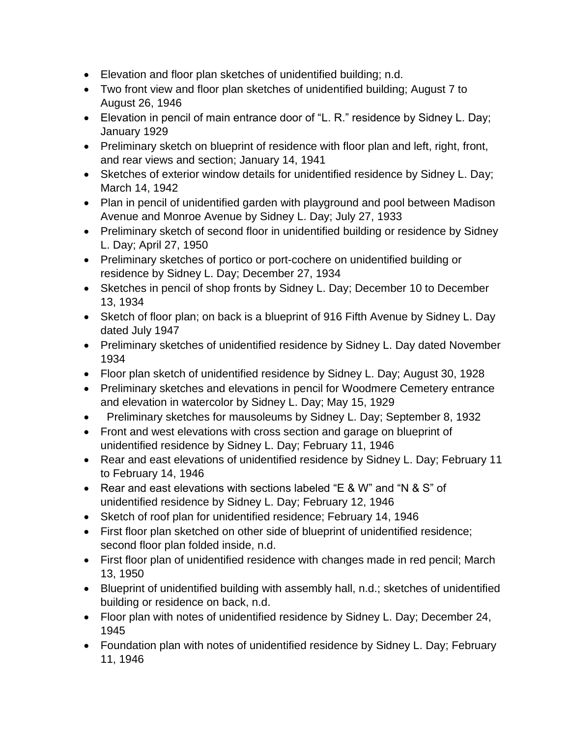- Elevation and floor plan sketches of unidentified building; n.d.
- Two front view and floor plan sketches of unidentified building; August 7 to August 26, 1946
- Elevation in pencil of main entrance door of "L. R." residence by Sidney L. Day; January 1929
- Preliminary sketch on blueprint of residence with floor plan and left, right, front, and rear views and section; January 14, 1941
- Sketches of exterior window details for unidentified residence by Sidney L. Day; March 14, 1942
- Plan in pencil of unidentified garden with playground and pool between Madison Avenue and Monroe Avenue by Sidney L. Day; July 27, 1933
- Preliminary sketch of second floor in unidentified building or residence by Sidney L. Day; April 27, 1950
- Preliminary sketches of portico or port-cochere on unidentified building or residence by Sidney L. Day; December 27, 1934
- Sketches in pencil of shop fronts by Sidney L. Day; December 10 to December 13, 1934
- Sketch of floor plan; on back is a blueprint of 916 Fifth Avenue by Sidney L. Day dated July 1947
- Preliminary sketches of unidentified residence by Sidney L. Day dated November 1934
- Floor plan sketch of unidentified residence by Sidney L. Day; August 30, 1928
- Preliminary sketches and elevations in pencil for Woodmere Cemetery entrance and elevation in watercolor by Sidney L. Day; May 15, 1929
- Preliminary sketches for mausoleums by Sidney L. Day; September 8, 1932
- Front and west elevations with cross section and garage on blueprint of unidentified residence by Sidney L. Day; February 11, 1946
- Rear and east elevations of unidentified residence by Sidney L. Day; February 11 to February 14, 1946
- Rear and east elevations with sections labeled "E & W" and "N & S" of unidentified residence by Sidney L. Day; February 12, 1946
- Sketch of roof plan for unidentified residence; February 14, 1946
- First floor plan sketched on other side of blueprint of unidentified residence; second floor plan folded inside, n.d.
- First floor plan of unidentified residence with changes made in red pencil; March 13, 1950
- Blueprint of unidentified building with assembly hall, n.d.; sketches of unidentified building or residence on back, n.d.
- Floor plan with notes of unidentified residence by Sidney L. Day; December 24, 1945
- Foundation plan with notes of unidentified residence by Sidney L. Day; February 11, 1946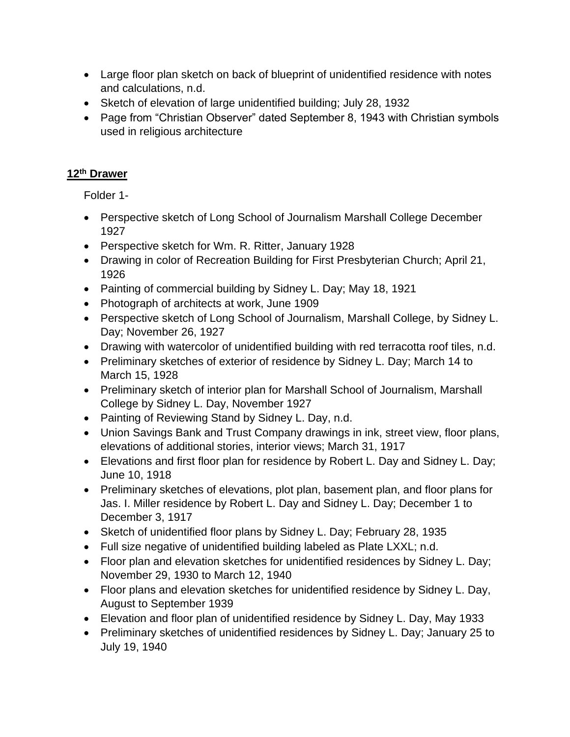- Large floor plan sketch on back of blueprint of unidentified residence with notes and calculations, n.d.
- Sketch of elevation of large unidentified building; July 28, 1932
- Page from "Christian Observer" dated September 8, 1943 with Christian symbols used in religious architecture

# **12th Drawer**

Folder 1-

- Perspective sketch of Long School of Journalism Marshall College December 1927
- Perspective sketch for Wm. R. Ritter, January 1928
- Drawing in color of Recreation Building for First Presbyterian Church; April 21, 1926
- Painting of commercial building by Sidney L. Day; May 18, 1921
- Photograph of architects at work, June 1909
- Perspective sketch of Long School of Journalism, Marshall College, by Sidney L. Day; November 26, 1927
- Drawing with watercolor of unidentified building with red terracotta roof tiles, n.d.
- Preliminary sketches of exterior of residence by Sidney L. Day; March 14 to March 15, 1928
- Preliminary sketch of interior plan for Marshall School of Journalism, Marshall College by Sidney L. Day, November 1927
- Painting of Reviewing Stand by Sidney L. Day, n.d.
- Union Savings Bank and Trust Company drawings in ink, street view, floor plans, elevations of additional stories, interior views; March 31, 1917
- Elevations and first floor plan for residence by Robert L. Day and Sidney L. Day; June 10, 1918
- Preliminary sketches of elevations, plot plan, basement plan, and floor plans for Jas. I. Miller residence by Robert L. Day and Sidney L. Day; December 1 to December 3, 1917
- Sketch of unidentified floor plans by Sidney L. Day; February 28, 1935
- Full size negative of unidentified building labeled as Plate LXXL; n.d.
- Floor plan and elevation sketches for unidentified residences by Sidney L. Day; November 29, 1930 to March 12, 1940
- Floor plans and elevation sketches for unidentified residence by Sidney L. Day, August to September 1939
- Elevation and floor plan of unidentified residence by Sidney L. Day, May 1933
- Preliminary sketches of unidentified residences by Sidney L. Day; January 25 to July 19, 1940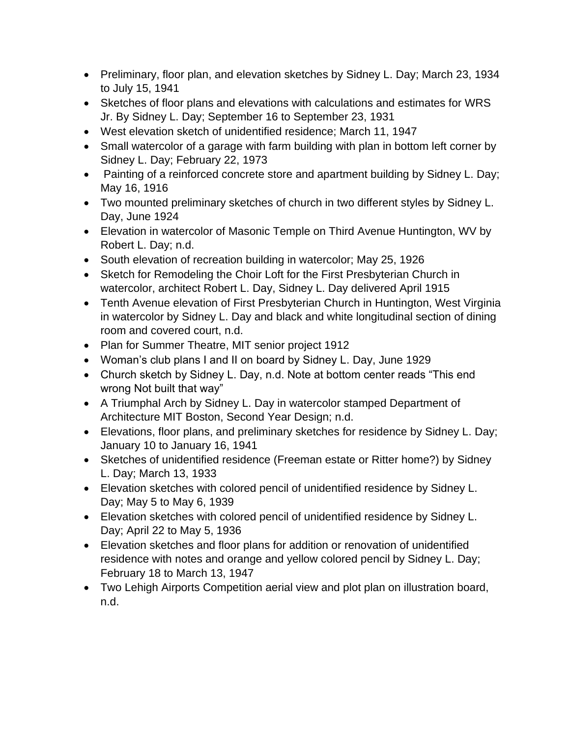- Preliminary, floor plan, and elevation sketches by Sidney L. Day; March 23, 1934 to July 15, 1941
- Sketches of floor plans and elevations with calculations and estimates for WRS Jr. By Sidney L. Day; September 16 to September 23, 1931
- West elevation sketch of unidentified residence; March 11, 1947
- Small watercolor of a garage with farm building with plan in bottom left corner by Sidney L. Day; February 22, 1973
- Painting of a reinforced concrete store and apartment building by Sidney L. Day; May 16, 1916
- Two mounted preliminary sketches of church in two different styles by Sidney L. Day, June 1924
- Elevation in watercolor of Masonic Temple on Third Avenue Huntington, WV by Robert L. Day; n.d.
- South elevation of recreation building in watercolor; May 25, 1926
- Sketch for Remodeling the Choir Loft for the First Presbyterian Church in watercolor, architect Robert L. Day, Sidney L. Day delivered April 1915
- Tenth Avenue elevation of First Presbyterian Church in Huntington, West Virginia in watercolor by Sidney L. Day and black and white longitudinal section of dining room and covered court, n.d.
- Plan for Summer Theatre, MIT senior project 1912
- Woman's club plans I and II on board by Sidney L. Day, June 1929
- Church sketch by Sidney L. Day, n.d. Note at bottom center reads "This end wrong Not built that way"
- A Triumphal Arch by Sidney L. Day in watercolor stamped Department of Architecture MIT Boston, Second Year Design; n.d.
- Elevations, floor plans, and preliminary sketches for residence by Sidney L. Day; January 10 to January 16, 1941
- Sketches of unidentified residence (Freeman estate or Ritter home?) by Sidney L. Day; March 13, 1933
- Elevation sketches with colored pencil of unidentified residence by Sidney L. Day; May 5 to May 6, 1939
- Elevation sketches with colored pencil of unidentified residence by Sidney L. Day; April 22 to May 5, 1936
- Elevation sketches and floor plans for addition or renovation of unidentified residence with notes and orange and yellow colored pencil by Sidney L. Day; February 18 to March 13, 1947
- Two Lehigh Airports Competition aerial view and plot plan on illustration board, n.d.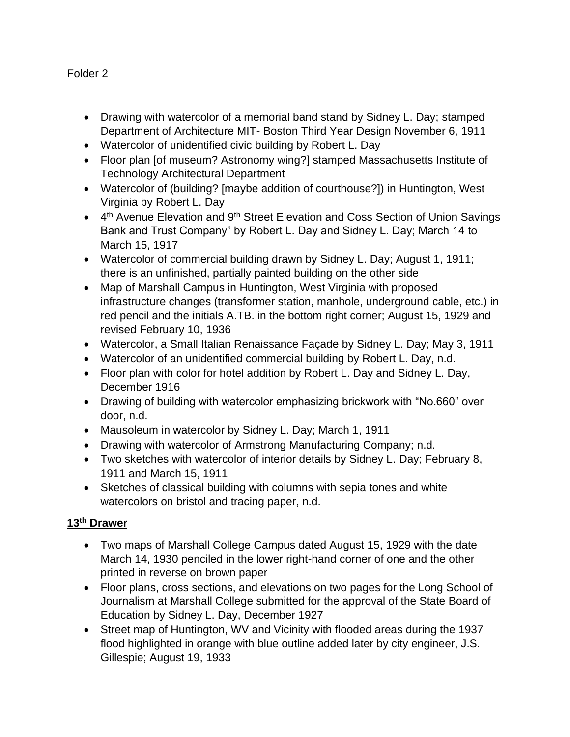- Drawing with watercolor of a memorial band stand by Sidney L. Day; stamped Department of Architecture MIT- Boston Third Year Design November 6, 1911
- Watercolor of unidentified civic building by Robert L. Day
- Floor plan [of museum? Astronomy wing?] stamped Massachusetts Institute of Technology Architectural Department
- Watercolor of (building? [maybe addition of courthouse?]) in Huntington, West Virginia by Robert L. Day
- 4<sup>th</sup> Avenue Elevation and 9<sup>th</sup> Street Elevation and Coss Section of Union Savings Bank and Trust Company" by Robert L. Day and Sidney L. Day; March 14 to March 15, 1917
- Watercolor of commercial building drawn by Sidney L. Day; August 1, 1911; there is an unfinished, partially painted building on the other side
- Map of Marshall Campus in Huntington, West Virginia with proposed infrastructure changes (transformer station, manhole, underground cable, etc.) in red pencil and the initials A.TB. in the bottom right corner; August 15, 1929 and revised February 10, 1936
- Watercolor, a Small Italian Renaissance Façade by Sidney L. Day; May 3, 1911
- Watercolor of an unidentified commercial building by Robert L. Day, n.d.
- Floor plan with color for hotel addition by Robert L. Day and Sidney L. Day, December 1916
- Drawing of building with watercolor emphasizing brickwork with "No.660" over door, n.d.
- Mausoleum in watercolor by Sidney L. Day; March 1, 1911
- Drawing with watercolor of Armstrong Manufacturing Company; n.d.
- Two sketches with watercolor of interior details by Sidney L. Day; February 8, 1911 and March 15, 1911
- Sketches of classical building with columns with sepia tones and white watercolors on bristol and tracing paper, n.d.

## **13th Drawer**

- Two maps of Marshall College Campus dated August 15, 1929 with the date March 14, 1930 penciled in the lower right-hand corner of one and the other printed in reverse on brown paper
- Floor plans, cross sections, and elevations on two pages for the Long School of Journalism at Marshall College submitted for the approval of the State Board of Education by Sidney L. Day, December 1927
- Street map of Huntington, WV and Vicinity with flooded areas during the 1937 flood highlighted in orange with blue outline added later by city engineer, J.S. Gillespie; August 19, 1933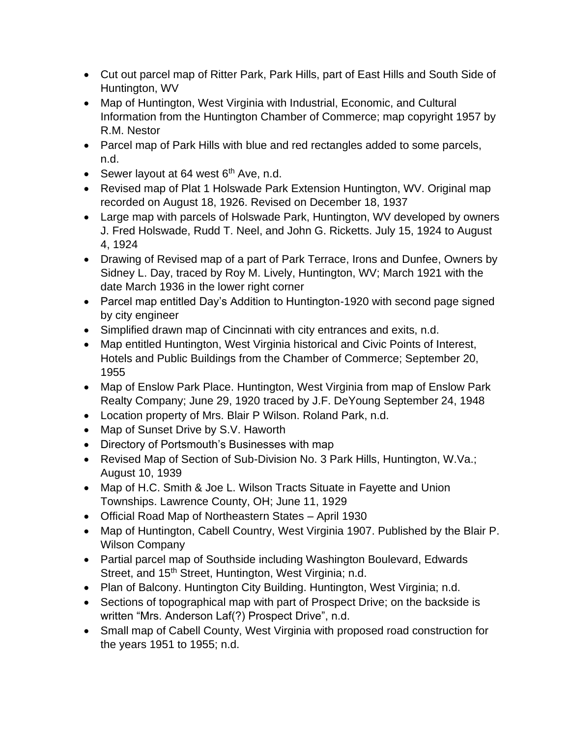- Cut out parcel map of Ritter Park, Park Hills, part of East Hills and South Side of Huntington, WV
- Map of Huntington, West Virginia with Industrial, Economic, and Cultural Information from the Huntington Chamber of Commerce; map copyright 1957 by R.M. Nestor
- Parcel map of Park Hills with blue and red rectangles added to some parcels, n.d.
- Sewer layout at 64 west  $6<sup>th</sup>$  Ave, n.d.
- Revised map of Plat 1 Holswade Park Extension Huntington, WV. Original map recorded on August 18, 1926. Revised on December 18, 1937
- Large map with parcels of Holswade Park, Huntington, WV developed by owners J. Fred Holswade, Rudd T. Neel, and John G. Ricketts. July 15, 1924 to August 4, 1924
- Drawing of Revised map of a part of Park Terrace, Irons and Dunfee, Owners by Sidney L. Day, traced by Roy M. Lively, Huntington, WV; March 1921 with the date March 1936 in the lower right corner
- Parcel map entitled Day's Addition to Huntington-1920 with second page signed by city engineer
- Simplified drawn map of Cincinnati with city entrances and exits, n.d.
- Map entitled Huntington, West Virginia historical and Civic Points of Interest, Hotels and Public Buildings from the Chamber of Commerce; September 20, 1955
- Map of Enslow Park Place. Huntington, West Virginia from map of Enslow Park Realty Company; June 29, 1920 traced by J.F. DeYoung September 24, 1948
- Location property of Mrs. Blair P Wilson. Roland Park, n.d.
- Map of Sunset Drive by S.V. Haworth
- Directory of Portsmouth's Businesses with map
- Revised Map of Section of Sub-Division No. 3 Park Hills, Huntington, W.Va.; August 10, 1939
- Map of H.C. Smith & Joe L. Wilson Tracts Situate in Fayette and Union Townships. Lawrence County, OH; June 11, 1929
- Official Road Map of Northeastern States April 1930
- Map of Huntington, Cabell Country, West Virginia 1907. Published by the Blair P. Wilson Company
- Partial parcel map of Southside including Washington Boulevard, Edwards Street, and 15<sup>th</sup> Street, Huntington, West Virginia; n.d.
- Plan of Balcony. Huntington City Building. Huntington, West Virginia; n.d.
- Sections of topographical map with part of Prospect Drive; on the backside is written "Mrs. Anderson Laf(?) Prospect Drive", n.d.
- Small map of Cabell County, West Virginia with proposed road construction for the years 1951 to 1955; n.d.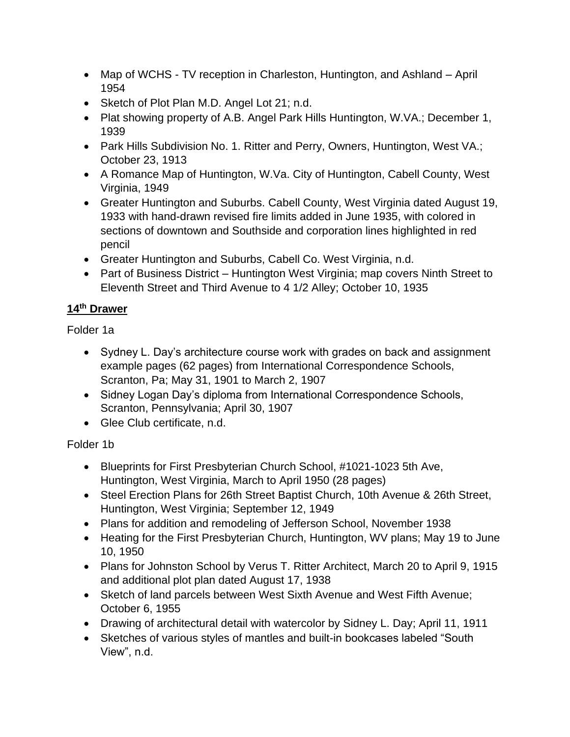- Map of WCHS TV reception in Charleston, Huntington, and Ashland April 1954
- Sketch of Plot Plan M.D. Angel Lot 21; n.d.
- Plat showing property of A.B. Angel Park Hills Huntington, W.VA.; December 1, 1939
- Park Hills Subdivision No. 1. Ritter and Perry, Owners, Huntington, West VA.; October 23, 1913
- A Romance Map of Huntington, W.Va. City of Huntington, Cabell County, West Virginia, 1949
- Greater Huntington and Suburbs. Cabell County, West Virginia dated August 19, 1933 with hand-drawn revised fire limits added in June 1935, with colored in sections of downtown and Southside and corporation lines highlighted in red pencil
- Greater Huntington and Suburbs, Cabell Co. West Virginia, n.d.
- Part of Business District Huntington West Virginia; map covers Ninth Street to Eleventh Street and Third Avenue to 4 1/2 Alley; October 10, 1935

# **14th Drawer**

Folder 1a

- Sydney L. Day's architecture course work with grades on back and assignment example pages (62 pages) from International Correspondence Schools, Scranton, Pa; May 31, 1901 to March 2, 1907
- Sidney Logan Day's diploma from International Correspondence Schools, Scranton, Pennsylvania; April 30, 1907
- Glee Club certificate, n.d.

# Folder 1b

- Blueprints for First Presbyterian Church School, #1021-1023 5th Ave, Huntington, West Virginia, March to April 1950 (28 pages)
- Steel Erection Plans for 26th Street Baptist Church, 10th Avenue & 26th Street, Huntington, West Virginia; September 12, 1949
- Plans for addition and remodeling of Jefferson School, November 1938
- Heating for the First Presbyterian Church, Huntington, WV plans; May 19 to June 10, 1950
- Plans for Johnston School by Verus T. Ritter Architect, March 20 to April 9, 1915 and additional plot plan dated August 17, 1938
- Sketch of land parcels between West Sixth Avenue and West Fifth Avenue; October 6, 1955
- Drawing of architectural detail with watercolor by Sidney L. Day; April 11, 1911
- Sketches of various styles of mantles and built-in bookcases labeled "South View", n.d.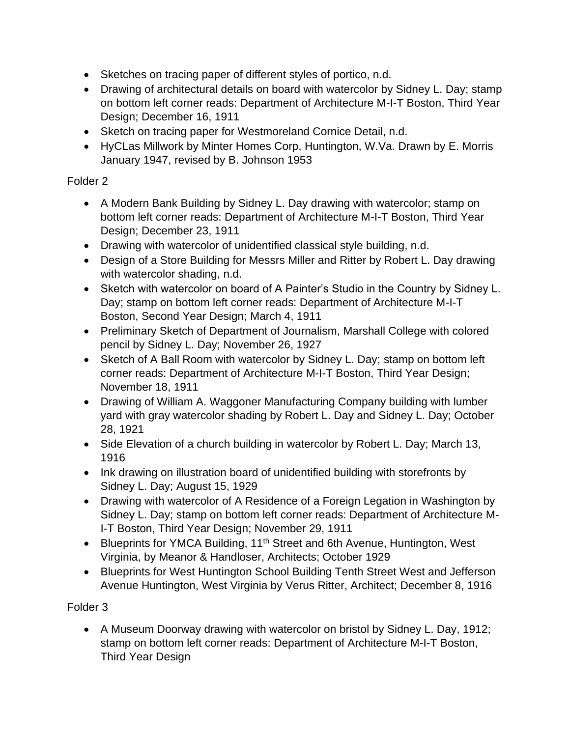- Sketches on tracing paper of different styles of portico, n.d.
- Drawing of architectural details on board with watercolor by Sidney L. Day; stamp on bottom left corner reads: Department of Architecture M-I-T Boston, Third Year Design; December 16, 1911
- Sketch on tracing paper for Westmoreland Cornice Detail, n.d.
- HyCLas Millwork by Minter Homes Corp, Huntington, W.Va. Drawn by E. Morris January 1947, revised by B. Johnson 1953

- A Modern Bank Building by Sidney L. Day drawing with watercolor; stamp on bottom left corner reads: Department of Architecture M-I-T Boston, Third Year Design; December 23, 1911
- Drawing with watercolor of unidentified classical style building, n.d.
- Design of a Store Building for Messrs Miller and Ritter by Robert L. Day drawing with watercolor shading, n.d.
- Sketch with watercolor on board of A Painter's Studio in the Country by Sidney L. Day; stamp on bottom left corner reads: Department of Architecture M-I-T Boston, Second Year Design; March 4, 1911
- Preliminary Sketch of Department of Journalism, Marshall College with colored pencil by Sidney L. Day; November 26, 1927
- Sketch of A Ball Room with watercolor by Sidney L. Day; stamp on bottom left corner reads: Department of Architecture M-I-T Boston, Third Year Design; November 18, 1911
- Drawing of William A. Waggoner Manufacturing Company building with lumber yard with gray watercolor shading by Robert L. Day and Sidney L. Day; October 28, 1921
- Side Elevation of a church building in watercolor by Robert L. Day; March 13, 1916
- Ink drawing on illustration board of unidentified building with storefronts by Sidney L. Day; August 15, 1929
- Drawing with watercolor of A Residence of a Foreign Legation in Washington by Sidney L. Day; stamp on bottom left corner reads: Department of Architecture M-I-T Boston, Third Year Design; November 29, 1911
- Blueprints for YMCA Building, 11<sup>th</sup> Street and 6th Avenue, Huntington, West Virginia, by Meanor & Handloser, Architects; October 1929
- Blueprints for West Huntington School Building Tenth Street West and Jefferson Avenue Huntington, West Virginia by Verus Ritter, Architect; December 8, 1916

# Folder 3

• A Museum Doorway drawing with watercolor on bristol by Sidney L. Day, 1912; stamp on bottom left corner reads: Department of Architecture M-I-T Boston, Third Year Design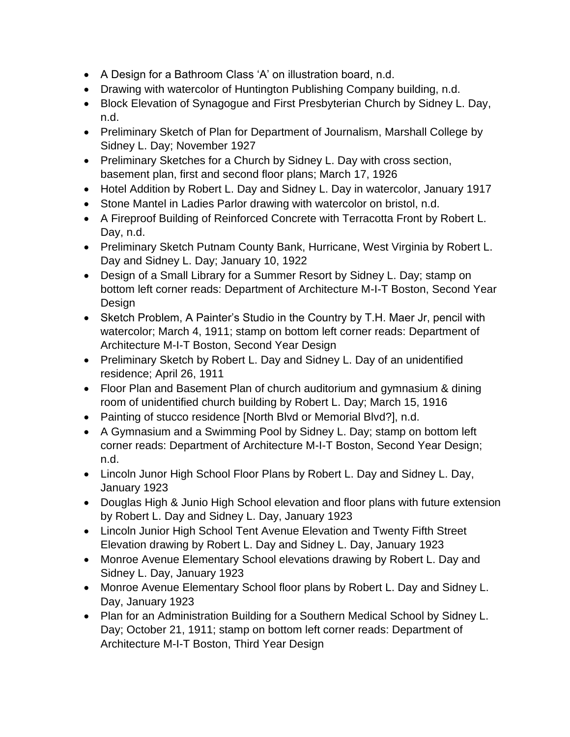- A Design for a Bathroom Class 'A' on illustration board, n.d.
- Drawing with watercolor of Huntington Publishing Company building, n.d.
- Block Elevation of Synagogue and First Presbyterian Church by Sidney L. Day, n.d.
- Preliminary Sketch of Plan for Department of Journalism, Marshall College by Sidney L. Day; November 1927
- Preliminary Sketches for a Church by Sidney L. Day with cross section, basement plan, first and second floor plans; March 17, 1926
- Hotel Addition by Robert L. Day and Sidney L. Day in watercolor, January 1917
- Stone Mantel in Ladies Parlor drawing with watercolor on bristol, n.d.
- A Fireproof Building of Reinforced Concrete with Terracotta Front by Robert L. Day, n.d.
- Preliminary Sketch Putnam County Bank, Hurricane, West Virginia by Robert L. Day and Sidney L. Day; January 10, 1922
- Design of a Small Library for a Summer Resort by Sidney L. Day; stamp on bottom left corner reads: Department of Architecture M-I-T Boston, Second Year Design
- Sketch Problem, A Painter's Studio in the Country by T.H. Maer Jr, pencil with watercolor; March 4, 1911; stamp on bottom left corner reads: Department of Architecture M-I-T Boston, Second Year Design
- Preliminary Sketch by Robert L. Day and Sidney L. Day of an unidentified residence; April 26, 1911
- Floor Plan and Basement Plan of church auditorium and gymnasium & dining room of unidentified church building by Robert L. Day; March 15, 1916
- Painting of stucco residence [North Blvd or Memorial Blvd?], n.d.
- A Gymnasium and a Swimming Pool by Sidney L. Day; stamp on bottom left corner reads: Department of Architecture M-I-T Boston, Second Year Design; n.d.
- Lincoln Junor High School Floor Plans by Robert L. Day and Sidney L. Day, January 1923
- Douglas High & Junio High School elevation and floor plans with future extension by Robert L. Day and Sidney L. Day, January 1923
- Lincoln Junior High School Tent Avenue Elevation and Twenty Fifth Street Elevation drawing by Robert L. Day and Sidney L. Day, January 1923
- Monroe Avenue Elementary School elevations drawing by Robert L. Day and Sidney L. Day, January 1923
- Monroe Avenue Elementary School floor plans by Robert L. Day and Sidney L. Day, January 1923
- Plan for an Administration Building for a Southern Medical School by Sidney L. Day; October 21, 1911; stamp on bottom left corner reads: Department of Architecture M-I-T Boston, Third Year Design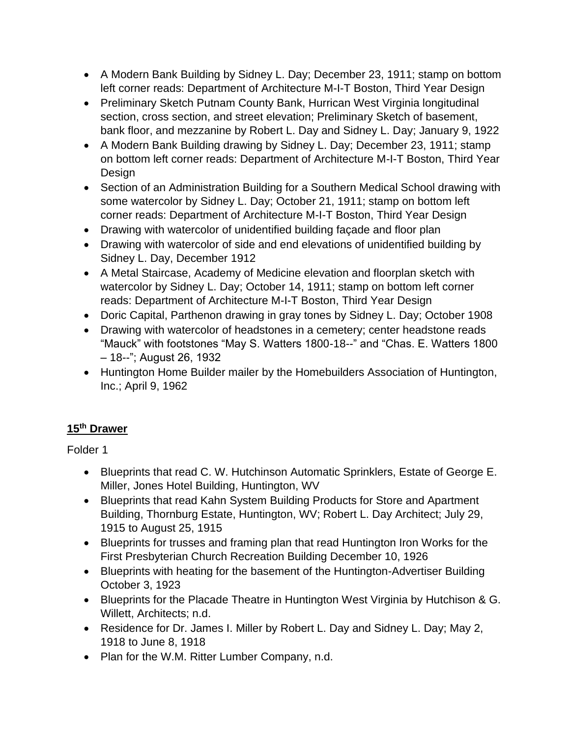- A Modern Bank Building by Sidney L. Day; December 23, 1911; stamp on bottom left corner reads: Department of Architecture M-I-T Boston, Third Year Design
- Preliminary Sketch Putnam County Bank, Hurrican West Virginia longitudinal section, cross section, and street elevation; Preliminary Sketch of basement, bank floor, and mezzanine by Robert L. Day and Sidney L. Day; January 9, 1922
- A Modern Bank Building drawing by Sidney L. Day; December 23, 1911; stamp on bottom left corner reads: Department of Architecture M-I-T Boston, Third Year Design
- Section of an Administration Building for a Southern Medical School drawing with some watercolor by Sidney L. Day; October 21, 1911; stamp on bottom left corner reads: Department of Architecture M-I-T Boston, Third Year Design
- Drawing with watercolor of unidentified building façade and floor plan
- Drawing with watercolor of side and end elevations of unidentified building by Sidney L. Day, December 1912
- A Metal Staircase, Academy of Medicine elevation and floorplan sketch with watercolor by Sidney L. Day; October 14, 1911; stamp on bottom left corner reads: Department of Architecture M-I-T Boston, Third Year Design
- Doric Capital, Parthenon drawing in gray tones by Sidney L. Day; October 1908
- Drawing with watercolor of headstones in a cemetery; center headstone reads "Mauck" with footstones "May S. Watters 1800-18--" and "Chas. E. Watters 1800 – 18--"; August 26, 1932
- Huntington Home Builder mailer by the Homebuilders Association of Huntington, Inc.; April 9, 1962

# **15th Drawer**

- Blueprints that read C. W. Hutchinson Automatic Sprinklers, Estate of George E. Miller, Jones Hotel Building, Huntington, WV
- Blueprints that read Kahn System Building Products for Store and Apartment Building, Thornburg Estate, Huntington, WV; Robert L. Day Architect; July 29, 1915 to August 25, 1915
- Blueprints for trusses and framing plan that read Huntington Iron Works for the First Presbyterian Church Recreation Building December 10, 1926
- Blueprints with heating for the basement of the Huntington-Advertiser Building October 3, 1923
- Blueprints for the Placade Theatre in Huntington West Virginia by Hutchison & G. Willett, Architects; n.d.
- Residence for Dr. James I. Miller by Robert L. Day and Sidney L. Day; May 2, 1918 to June 8, 1918
- Plan for the W.M. Ritter Lumber Company, n.d.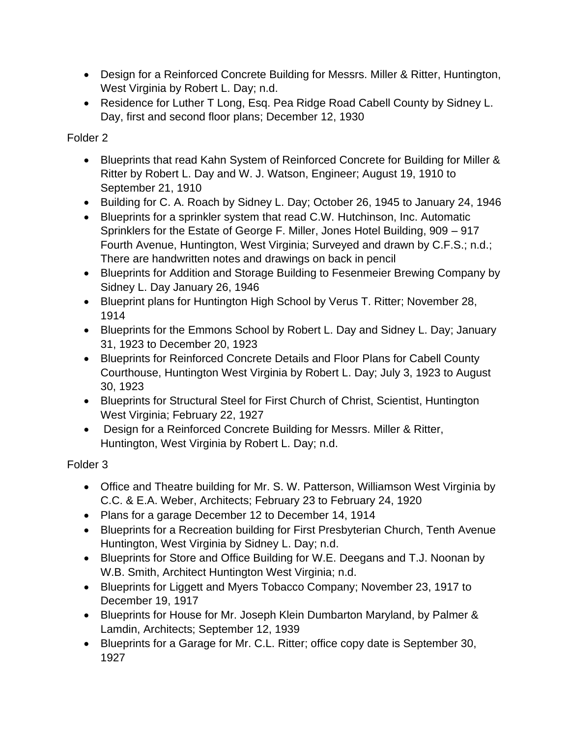- Design for a Reinforced Concrete Building for Messrs. Miller & Ritter, Huntington, West Virginia by Robert L. Day; n.d.
- Residence for Luther T Long, Esq. Pea Ridge Road Cabell County by Sidney L. Day, first and second floor plans; December 12, 1930

- Blueprints that read Kahn System of Reinforced Concrete for Building for Miller & Ritter by Robert L. Day and W. J. Watson, Engineer; August 19, 1910 to September 21, 1910
- Building for C. A. Roach by Sidney L. Day; October 26, 1945 to January 24, 1946
- Blueprints for a sprinkler system that read C.W. Hutchinson, Inc. Automatic Sprinklers for the Estate of George F. Miller, Jones Hotel Building, 909 – 917 Fourth Avenue, Huntington, West Virginia; Surveyed and drawn by C.F.S.; n.d.; There are handwritten notes and drawings on back in pencil
- Blueprints for Addition and Storage Building to Fesenmeier Brewing Company by Sidney L. Day January 26, 1946
- Blueprint plans for Huntington High School by Verus T. Ritter; November 28, 1914
- Blueprints for the Emmons School by Robert L. Day and Sidney L. Day; January 31, 1923 to December 20, 1923
- Blueprints for Reinforced Concrete Details and Floor Plans for Cabell County Courthouse, Huntington West Virginia by Robert L. Day; July 3, 1923 to August 30, 1923
- Blueprints for Structural Steel for First Church of Christ, Scientist, Huntington West Virginia; February 22, 1927
- Design for a Reinforced Concrete Building for Messrs. Miller & Ritter, Huntington, West Virginia by Robert L. Day; n.d.

- Office and Theatre building for Mr. S. W. Patterson, Williamson West Virginia by C.C. & E.A. Weber, Architects; February 23 to February 24, 1920
- Plans for a garage December 12 to December 14, 1914
- Blueprints for a Recreation building for First Presbyterian Church, Tenth Avenue Huntington, West Virginia by Sidney L. Day; n.d.
- Blueprints for Store and Office Building for W.E. Deegans and T.J. Noonan by W.B. Smith, Architect Huntington West Virginia; n.d.
- Blueprints for Liggett and Myers Tobacco Company; November 23, 1917 to December 19, 1917
- Blueprints for House for Mr. Joseph Klein Dumbarton Maryland, by Palmer & Lamdin, Architects; September 12, 1939
- Blueprints for a Garage for Mr. C.L. Ritter; office copy date is September 30, 1927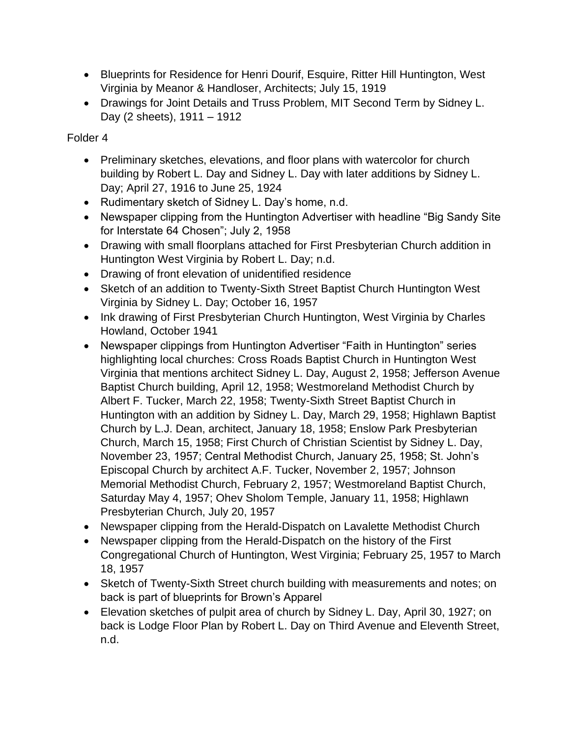- Blueprints for Residence for Henri Dourif, Esquire, Ritter Hill Huntington, West Virginia by Meanor & Handloser, Architects; July 15, 1919
- Drawings for Joint Details and Truss Problem, MIT Second Term by Sidney L. Day (2 sheets), 1911 – 1912

- Preliminary sketches, elevations, and floor plans with watercolor for church building by Robert L. Day and Sidney L. Day with later additions by Sidney L. Day; April 27, 1916 to June 25, 1924
- Rudimentary sketch of Sidney L. Day's home, n.d.
- Newspaper clipping from the Huntington Advertiser with headline "Big Sandy Site for Interstate 64 Chosen"; July 2, 1958
- Drawing with small floorplans attached for First Presbyterian Church addition in Huntington West Virginia by Robert L. Day; n.d.
- Drawing of front elevation of unidentified residence
- Sketch of an addition to Twenty-Sixth Street Baptist Church Huntington West Virginia by Sidney L. Day; October 16, 1957
- Ink drawing of First Presbyterian Church Huntington, West Virginia by Charles Howland, October 1941
- Newspaper clippings from Huntington Advertiser "Faith in Huntington" series highlighting local churches: Cross Roads Baptist Church in Huntington West Virginia that mentions architect Sidney L. Day, August 2, 1958; Jefferson Avenue Baptist Church building, April 12, 1958; Westmoreland Methodist Church by Albert F. Tucker, March 22, 1958; Twenty-Sixth Street Baptist Church in Huntington with an addition by Sidney L. Day, March 29, 1958; Highlawn Baptist Church by L.J. Dean, architect, January 18, 1958; Enslow Park Presbyterian Church, March 15, 1958; First Church of Christian Scientist by Sidney L. Day, November 23, 1957; Central Methodist Church, January 25, 1958; St. John's Episcopal Church by architect A.F. Tucker, November 2, 1957; Johnson Memorial Methodist Church, February 2, 1957; Westmoreland Baptist Church, Saturday May 4, 1957; Ohev Sholom Temple, January 11, 1958; Highlawn Presbyterian Church, July 20, 1957
- Newspaper clipping from the Herald-Dispatch on Lavalette Methodist Church
- Newspaper clipping from the Herald-Dispatch on the history of the First Congregational Church of Huntington, West Virginia; February 25, 1957 to March 18, 1957
- Sketch of Twenty-Sixth Street church building with measurements and notes; on back is part of blueprints for Brown's Apparel
- Elevation sketches of pulpit area of church by Sidney L. Day, April 30, 1927; on back is Lodge Floor Plan by Robert L. Day on Third Avenue and Eleventh Street, n.d.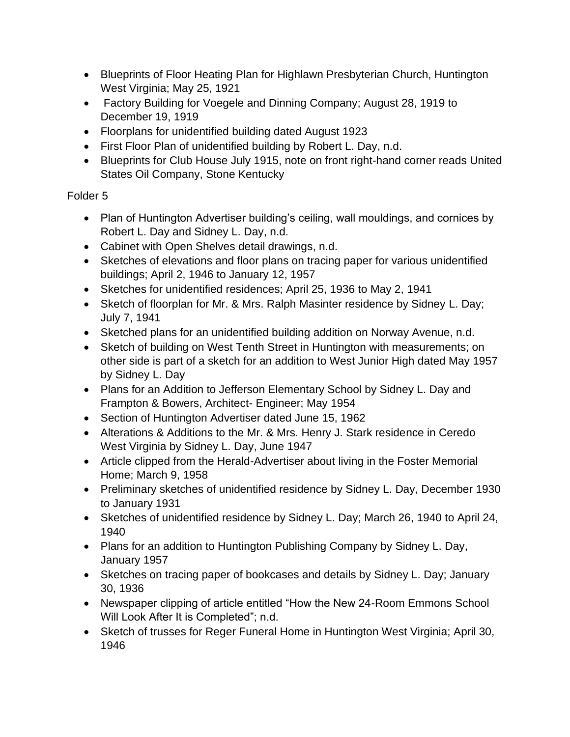- Blueprints of Floor Heating Plan for Highlawn Presbyterian Church, Huntington West Virginia; May 25, 1921
- Factory Building for Voegele and Dinning Company; August 28, 1919 to December 19, 1919
- Floorplans for unidentified building dated August 1923
- First Floor Plan of unidentified building by Robert L. Day, n.d.
- Blueprints for Club House July 1915, note on front right-hand corner reads United States Oil Company, Stone Kentucky

- Plan of Huntington Advertiser building's ceiling, wall mouldings, and cornices by Robert L. Day and Sidney L. Day, n.d.
- Cabinet with Open Shelves detail drawings, n.d.
- Sketches of elevations and floor plans on tracing paper for various unidentified buildings; April 2, 1946 to January 12, 1957
- Sketches for unidentified residences; April 25, 1936 to May 2, 1941
- Sketch of floorplan for Mr. & Mrs. Ralph Masinter residence by Sidney L. Day; July 7, 1941
- Sketched plans for an unidentified building addition on Norway Avenue, n.d.
- Sketch of building on West Tenth Street in Huntington with measurements; on other side is part of a sketch for an addition to West Junior High dated May 1957 by Sidney L. Day
- Plans for an Addition to Jefferson Elementary School by Sidney L. Day and Frampton & Bowers, Architect- Engineer; May 1954
- Section of Huntington Advertiser dated June 15, 1962
- Alterations & Additions to the Mr. & Mrs. Henry J. Stark residence in Ceredo West Virginia by Sidney L. Day, June 1947
- Article clipped from the Herald-Advertiser about living in the Foster Memorial Home; March 9, 1958
- Preliminary sketches of unidentified residence by Sidney L. Day, December 1930 to January 1931
- Sketches of unidentified residence by Sidney L. Day; March 26, 1940 to April 24, 1940
- Plans for an addition to Huntington Publishing Company by Sidney L. Day, January 1957
- Sketches on tracing paper of bookcases and details by Sidney L. Day; January 30, 1936
- Newspaper clipping of article entitled "How the New 24-Room Emmons School Will Look After It is Completed"; n.d.
- Sketch of trusses for Reger Funeral Home in Huntington West Virginia; April 30, 1946